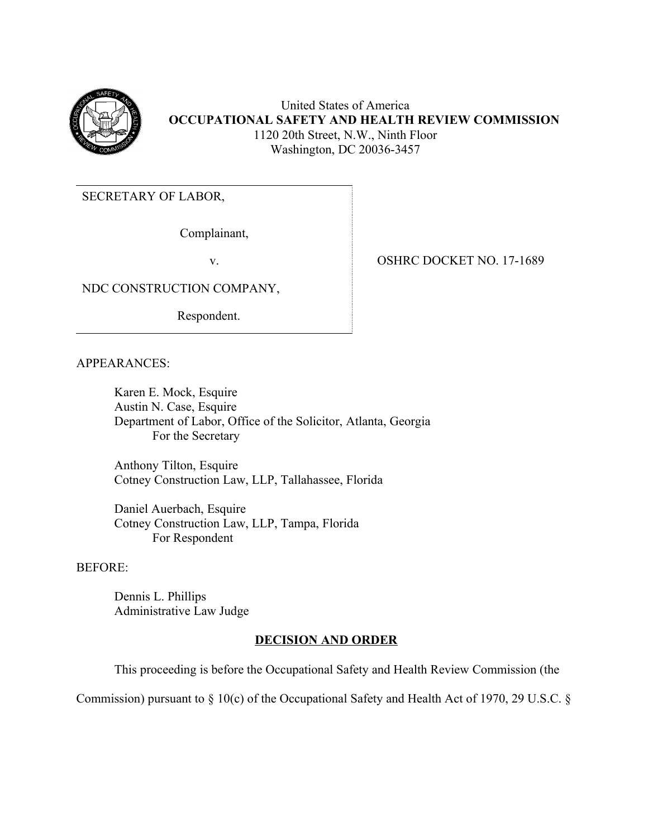

United States of America **OCCUPATIONAL SAFETY AND HEALTH REVIEW COMMISSION** 1120 20th Street, N.W., Ninth Floor Washington, DC 20036-3457

SECRETARY OF LABOR,

Complainant,

NDC CONSTRUCTION COMPANY,

Respondent.

v. OSHRC DOCKET NO. 17-1689

APPEARANCES:

Karen E. Mock, Esquire Austin N. Case, Esquire Department of Labor, Office of the Solicitor, Atlanta, Georgia For the Secretary

Anthony Tilton, Esquire Cotney Construction Law, LLP, Tallahassee, Florida

Daniel Auerbach, Esquire Cotney Construction Law, LLP, Tampa, Florida For Respondent

## BEFORE:

Dennis L. Phillips Administrative Law Judge

## **DECISION AND ORDER**

This proceeding is before the Occupational Safety and Health Review Commission (the

Commission) pursuant to § 10(c) of the Occupational Safety and Health Act of 1970, 29 U.S.C. §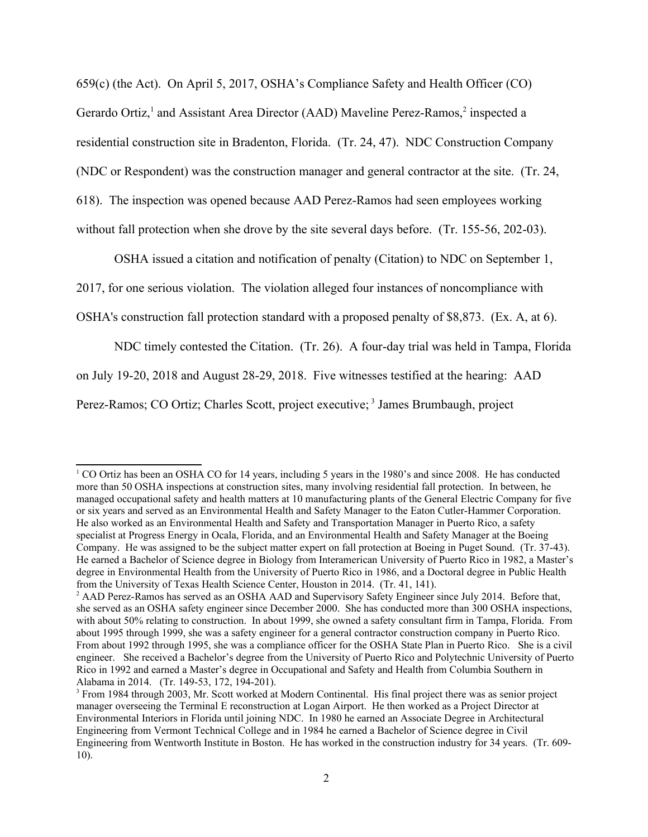659(c) (the Act). On April 5, 2017, OSHA's Compliance Safety and Health Officer (CO) Gerardo Ortiz,<sup>[1](#page-1-0)</sup> and Assistant Area Director (AAD) Maveline Perez-Ramos,<sup>2</sup> inspected a residential construction site in Bradenton, Florida. (Tr. 24, 47). NDC Construction Company (NDC or Respondent) was the construction manager and general contractor at the site. (Tr. 24, 618). The inspection was opened because AAD Perez-Ramos had seen employees working without fall protection when she drove by the site several days before. (Tr. 155-56, 202-03).

OSHA issued a citation and notification of penalty (Citation) to NDC on September 1,

2017, for one serious violation. The violation alleged four instances of noncompliance with

OSHA's construction fall protection standard with a proposed penalty of \$8,873. (Ex. A, at 6).

NDC timely contested the Citation. (Tr. 26). A four-day trial was held in Tampa, Florida

on July 19-20, 2018 and August 28-29, 2018. Five witnesses testified at the hearing: AAD

Perez-Ramos; CO Ortiz; Charles Scott, project executive;<sup>3</sup> James Brumbaugh, project

<span id="page-1-0"></span><sup>&</sup>lt;sup>1</sup> CO Ortiz has been an OSHA CO for 14 years, including 5 years in the 1980's and since 2008. He has conducted more than 50 OSHA inspections at construction sites, many involving residential fall protection. In between, he managed occupational safety and health matters at 10 manufacturing plants of the General Electric Company for five or six years and served as an Environmental Health and Safety Manager to the Eaton Cutler-Hammer Corporation. He also worked as an Environmental Health and Safety and Transportation Manager in Puerto Rico, a safety specialist at Progress Energy in Ocala, Florida, and an Environmental Health and Safety Manager at the Boeing Company. He was assigned to be the subject matter expert on fall protection at Boeing in Puget Sound. (Tr. 37-43). He earned a Bachelor of Science degree in Biology from Interamerican University of Puerto Rico in 1982, a Master's degree in Environmental Health from the University of Puerto Rico in 1986, and a Doctoral degree in Public Health from the University of Texas Health Science Center, Houston in 2014. (Tr. 41, 141).

<span id="page-1-1"></span> Alabama in 2014. (Tr. 149-53, 172, 194-201). <sup>2</sup> AAD Perez-Ramos has served as an OSHA AAD and Supervisory Safety Engineer since July 2014. Before that, she served as an OSHA safety engineer since December 2000. She has conducted more than 300 OSHA inspections, with about 50% relating to construction. In about 1999, she owned a safety consultant firm in Tampa, Florida. From about 1995 through 1999, she was a safety engineer for a general contractor construction company in Puerto Rico. From about 1992 through 1995, she was a compliance officer for the OSHA State Plan in Puerto Rico. She is a civil engineer. She received a Bachelor's degree from the University of Puerto Rico and Polytechnic University of Puerto Rico in 1992 and earned a Master's degree in Occupational and Safety and Health from Columbia Southern in

<span id="page-1-2"></span> $10$ ). <sup>3</sup> From 1984 through 2003, Mr. Scott worked at Modern Continental. His final project there was as senior project manager overseeing the Terminal E reconstruction at Logan Airport. He then worked as a Project Director at Environmental Interiors in Florida until joining NDC. In 1980 he earned an Associate Degree in Architectural Engineering from Vermont Technical College and in 1984 he earned a Bachelor of Science degree in Civil Engineering from Wentworth Institute in Boston. He has worked in the construction industry for 34 years. (Tr. 609- 10). 2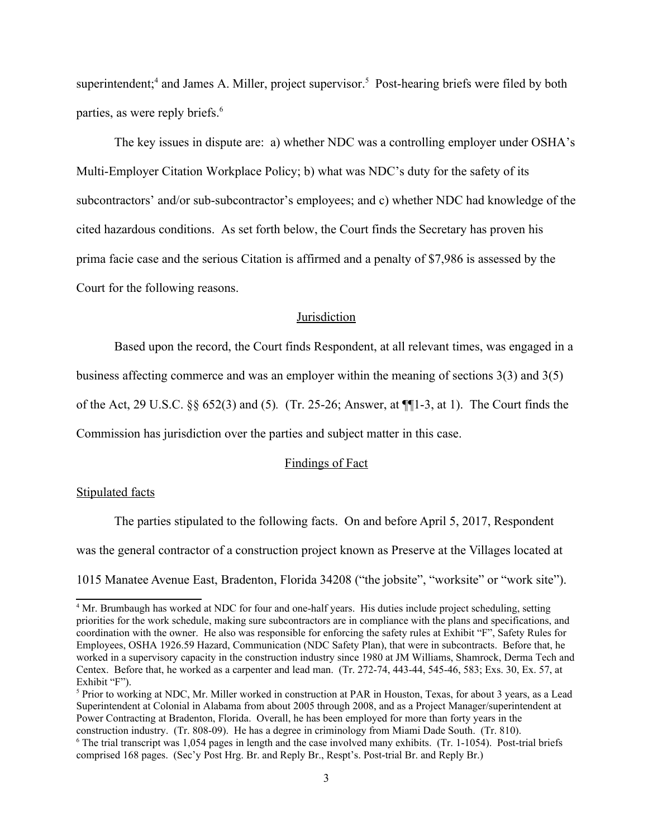superintendent;<sup>4</sup> and James A. Miller, project supervisor.<sup>5</sup> Post-hearing briefs were filed by both parties, as were reply briefs.<sup>6</sup>

The key issues in dispute are: a) whether NDC was a controlling employer under OSHA's Multi-Employer Citation Workplace Policy; b) what was NDC's duty for the safety of its subcontractors' and/or sub-subcontractor's employees; and c) whether NDC had knowledge of the cited hazardous conditions. As set forth below, the Court finds the Secretary has proven his prima facie case and the serious Citation is affirmed and a penalty of \$7,986 is assessed by the Court for the following reasons.

## **Jurisdiction**

Based upon the record, the Court finds Respondent, at all relevant times, was engaged in a

business affecting commerce and was an employer within the meaning of sections 3(3) and 3(5)

of the Act, 29 U.S.C. §§ 652(3) and (5)*.* (Tr. 25-26; Answer, at ¶¶1-3, at 1). The Court finds the

Commission has jurisdiction over the parties and subject matter in this case.

#### Findings of Fact

### Stipulated facts

1015 Manatee Avenue East, Bradenton, Florida 34208 ("the jobsite", "worksite" or "work site").<br>A Mr. Brunbauch has worked at NDC for four and one half years. His duties include project scheduling, estting The parties stipulated to the following facts. On and before April 5, 2017, Respondent was the general contractor of a construction project known as Preserve at the Villages located at

<span id="page-2-2"></span><span id="page-2-1"></span> comprised 168 pages. (Sec'y Post Hrg. Br. and Reply Br., Respt's. Post-trial Br. and Reply Br.) 3 <sup>5</sup> Prior to working at NDC, Mr. Miller worked in construction at PAR in Houston, Texas, for about 3 years, as a Lead Superintendent at Colonial in Alabama from about 2005 through 2008, and as a Project Manager/superintendent at Power Contracting at Bradenton, Florida. Overall, he has been employed for more than forty years in the construction industry. (Tr. 808-09). He has a degree in criminology from Miami Dade South. (Tr. 810). 6 The trial transcript was 1,054 pages in length and the case involved many exhibits. (Tr. 1-1054). Post-trial briefs

<span id="page-2-0"></span><sup>&</sup>lt;sup>4</sup> Mr. Brumbaugh has worked at NDC for four and one-half years. His duties include project scheduling, setting priorities for the work schedule, making sure subcontractors are in compliance with the plans and specifications, and coordination with the owner. He also was responsible for enforcing the safety rules at Exhibit "F", Safety Rules for Employees, OSHA 1926.59 Hazard, Communication (NDC Safety Plan), that were in subcontracts. Before that, he worked in a supervisory capacity in the construction industry since 1980 at JM Williams, Shamrock, Derma Tech and Centex. Before that, he worked as a carpenter and lead man. (Tr. 272-74, 443-44, 545-46, 583; Exs. 30, Ex. 57, at Exhibit "F").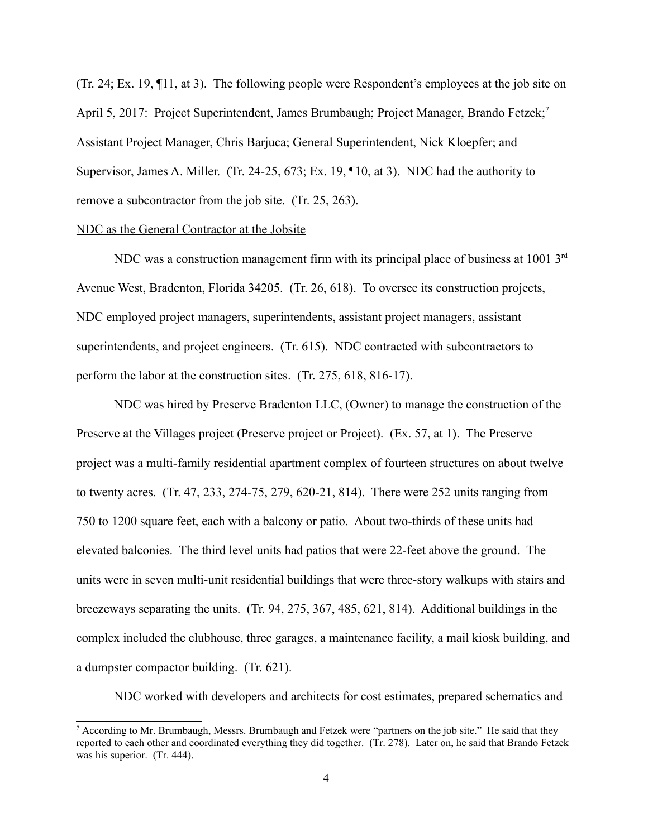(Tr. 24; Ex. 19, ¶11, at 3). The following people were Respondent's employees at the job site on April 5, 2017: Project Superintendent, James Brumbaugh; Project Manager, Brando Fetzek;<sup>7</sup> Assistant Project Manager, Chris Barjuca; General Superintendent, Nick Kloepfer; and Supervisor, James A. Miller. (Tr. 24-25, 673; Ex. 19, ¶10, at 3). NDC had the authority to remove a subcontractor from the job site. (Tr. 25, 263).

### NDC as the General Contractor at the Jobsite

NDC was a construction management firm with its principal place of business at 1001 3<sup>rd</sup> Avenue West, Bradenton, Florida 34205. (Tr. 26, 618). To oversee its construction projects, NDC employed project managers, superintendents, assistant project managers, assistant superintendents, and project engineers. (Tr. 615). NDC contracted with subcontractors to perform the labor at the construction sites. (Tr. 275, 618, 816-17).

 750 to 1200 square feet, each with a balcony or patio. About two-thirds of these units had NDC was hired by Preserve Bradenton LLC, (Owner) to manage the construction of the Preserve at the Villages project (Preserve project or Project). (Ex. 57, at 1). The Preserve project was a multi-family residential apartment complex of fourteen structures on about twelve to twenty acres. (Tr. 47, 233, 274-75, 279, 620-21, 814). There were 252 units ranging from elevated balconies. The third level units had patios that were 22-feet above the ground. The units were in seven multi-unit residential buildings that were three-story walkups with stairs and breezeways separating the units. (Tr. 94, 275, 367, 485, 621, 814). Additional buildings in the complex included the clubhouse, three garages, a maintenance facility, a mail kiosk building, and a dumpster compactor building. (Tr. 621).

NDC worked with developers and architects for cost estimates, prepared schematics and

<span id="page-3-0"></span><sup>&</sup>lt;sup>7</sup> According to Mr. Brumbaugh, Messrs. Brumbaugh and Fetzek were "partners on the job site." He said that they reported to each other and coordinated everything they did together. (Tr. 278). Later on, he said that Brando Fetzek was his superior. (Tr. 444).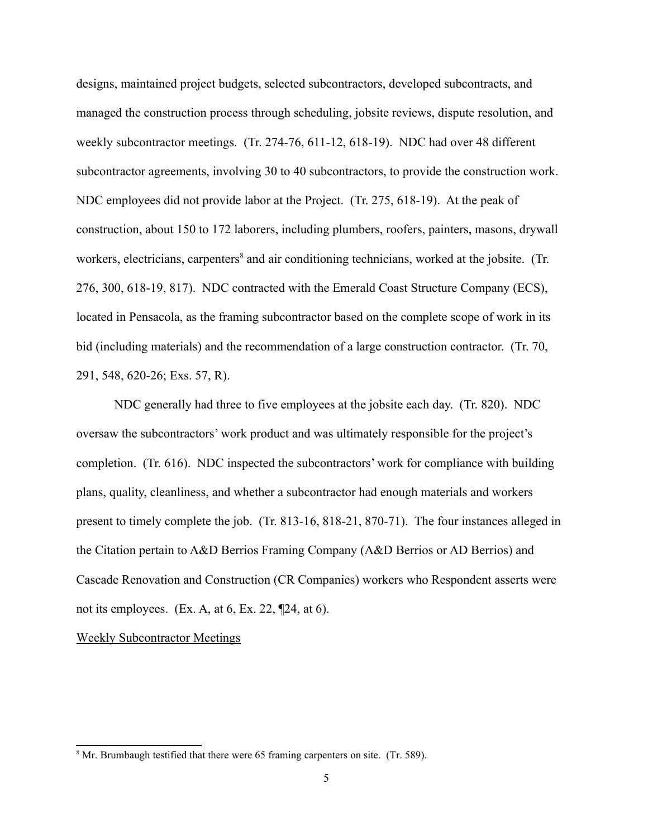designs, maintained project budgets, selected subcontractors, developed subcontracts, and managed the construction process through scheduling, jobsite reviews, dispute resolution, and weekly subcontractor meetings. (Tr. 274-76, 611-12, 618-19). NDC had over 48 different subcontractor agreements, involving 30 to 40 subcontractors, to provide the construction work. NDC employees did not provide labor at the Project. (Tr. 275, 618-19). At the peak of construction, about 150 to 172 laborers, including plumbers, roofers, painters, masons, drywall workers, electricians, carpenters<sup>[8](#page-4-0)</sup> and air conditioning technicians, worked at the jobsite. (Tr. 276, 300, 618-19, 817). NDC contracted with the Emerald Coast Structure Company (ECS), located in Pensacola, as the framing subcontractor based on the complete scope of work in its bid (including materials) and the recommendation of a large construction contractor. (Tr. 70, 291, 548, 620-26; Exs. 57, R).

NDC generally had three to five employees at the jobsite each day. (Tr. 820). NDC oversaw the subcontractors' work product and was ultimately responsible for the project's completion. (Tr. 616). NDC inspected the subcontractors' work for compliance with building plans, quality, cleanliness, and whether a subcontractor had enough materials and workers present to timely complete the job. (Tr. 813-16, 818-21, 870-71). The four instances alleged in the Citation pertain to A&D Berrios Framing Company (A&D Berrios or AD Berrios) and Cascade Renovation and Construction (CR Companies) workers who Respondent asserts were not its employees. (Ex. A, at  $6$ , Ex. 22,  $[24, at 6]$ ).

### Weekly Subcontractor Meetings

<span id="page-4-0"></span><sup>&</sup>lt;sup>8</sup> Mr. Brumbaugh testified that there were 65 framing carpenters on site. (Tr. 589).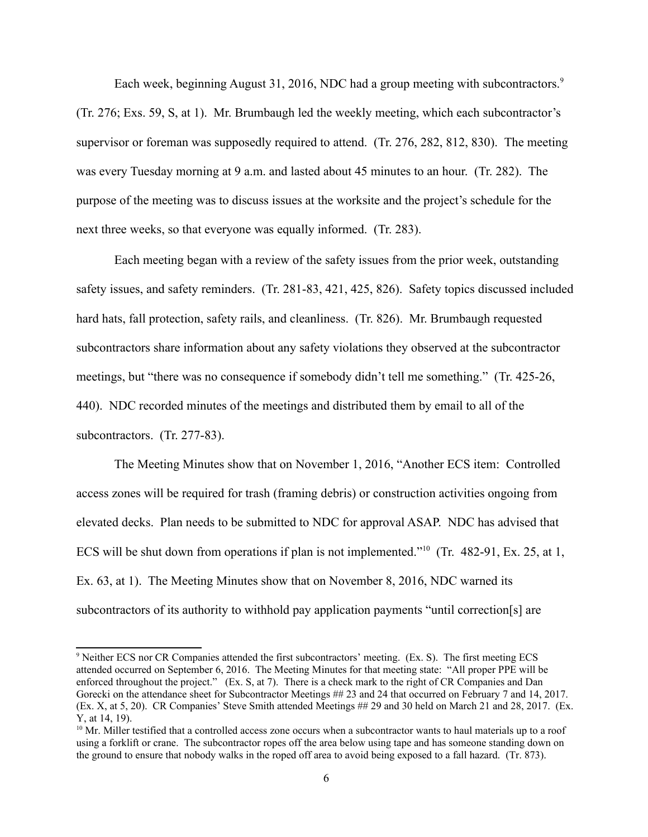Each week, beginning August 31, 2016, NDC had a group meeting with subcontractors.<sup>9</sup> next three weeks, so that everyone was equally informed. (Tr. 283). (Tr. 276; Exs. 59, S, at 1). Mr. Brumbaugh led the weekly meeting, which each subcontractor's supervisor or foreman was supposedly required to attend. (Tr. 276, 282, 812, 830). The meeting was every Tuesday morning at 9 a.m. and lasted about 45 minutes to an hour. (Tr. 282). The purpose of the meeting was to discuss issues at the worksite and the project's schedule for the

Each meeting began with a review of the safety issues from the prior week, outstanding safety issues, and safety reminders. (Tr. 281-83, 421, 425, 826). Safety topics discussed included hard hats, fall protection, safety rails, and cleanliness. (Tr. 826). Mr. Brumbaugh requested subcontractors share information about any safety violations they observed at the subcontractor meetings, but "there was no consequence if somebody didn't tell me something." (Tr. 425-26, 440). NDC recorded minutes of the meetings and distributed them by email to all of the subcontractors. (Tr. 277-83).

The Meeting Minutes show that on November 1, 2016, "Another ECS item: Controlled access zones will be required for trash (framing debris) or construction activities ongoing from elevated decks. Plan needs to be submitted to NDC for approval ASAP. NDC has advised that ECS will be shut down from operations if plan is not implemented."<sup>10</sup> (Tr. 482-91, Ex. 25, at 1, Ex. 63, at 1). The Meeting Minutes show that on November 8, 2016, NDC warned its subcontractors of its authority to withhold pay application payments "until correction[s] are

<span id="page-5-0"></span><sup>&</sup>lt;sup>9</sup> Neither ECS nor CR Companies attended the first subcontractors' meeting. (Ex. S). The first meeting ECS attended occurred on September 6, 2016. The Meeting Minutes for that meeting state: "All proper PPE will be enforced throughout the project." (Ex. S, at 7). There is a check mark to the right of CR Companies and Dan Gorecki on the attendance sheet for Subcontractor Meetings ## 23 and 24 that occurred on February 7 and 14, 2017. (Ex. X, at 5, 20). CR Companies' Steve Smith attended Meetings ## 29 and 30 held on March 21 and 28, 2017. (Ex. Y, at 14, 19).

<span id="page-5-1"></span> $10$  Mr. Miller testified that a controlled access zone occurs when a subcontractor wants to haul materials up to a roof using a forklift or crane. The subcontractor ropes off the area below using tape and has someone standing down on the ground to ensure that nobody walks in the roped off area to avoid being exposed to a fall hazard. (Tr. 873).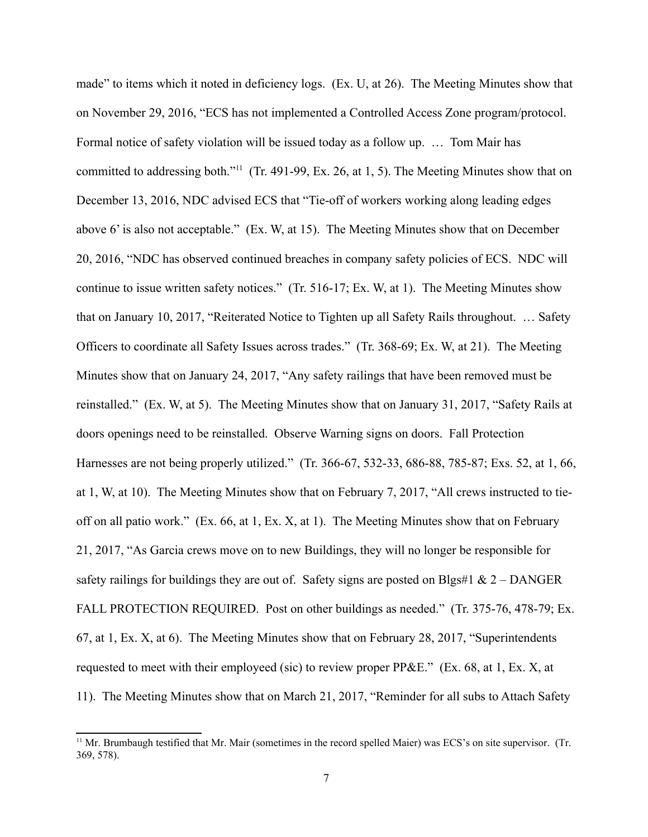on November 29, 2016, "ECS has not implemented a Controlled Access Zone program/protocol. Formal notice of safety violation will be issued today as a follow up. … Tom Mair has made" to items which it noted in deficiency logs. (Ex. U, at 26). The Meeting Minutes show that committed to addressing both."<sup>[11](#page-6-0)</sup> (Tr. 491-99, Ex. 26, at 1, 5). The Meeting Minutes show that on December 13, 2016, NDC advised ECS that "Tie-off of workers working along leading edges above 6' is also not acceptable." (Ex. W, at 15). The Meeting Minutes show that on December 20, 2016, "NDC has observed continued breaches in company safety policies of ECS. NDC will continue to issue written safety notices." (Tr. 516-17; Ex. W, at 1). The Meeting Minutes show that on January 10, 2017, "Reiterated Notice to Tighten up all Safety Rails throughout. … Safety Officers to coordinate all Safety Issues across trades." (Tr. 368-69; Ex. W, at 21). The Meeting Minutes show that on January 24, 2017, "Any safety railings that have been removed must be reinstalled." (Ex. W, at 5). The Meeting Minutes show that on January 31, 2017, "Safety Rails at doors openings need to be reinstalled. Observe Warning signs on doors. Fall Protection Harnesses are not being properly utilized." (Tr. 366-67, 532-33, 686-88, 785-87; Exs. 52, at 1, 66, at 1, W, at 10). The Meeting Minutes show that on February 7, 2017, "All crews instructed to tieoff on all patio work." (Ex. 66, at 1, Ex. X, at 1). The Meeting Minutes show that on February 21, 2017, "As Garcia crews move on to new Buildings, they will no longer be responsible for safety railings for buildings they are out of. Safety signs are posted on Blgs#1 &  $2 -$ DANGER FALL PROTECTION REQUIRED. Post on other buildings as needed." (Tr. 375-76, 478-79; Ex. 67, at 1, Ex. X, at 6). The Meeting Minutes show that on February 28, 2017, "Superintendents requested to meet with their employeed (sic) to review proper PP&E." (Ex. 68, at 1, Ex. X, at 11). The Meeting Minutes show that on March 21, 2017, "Reminder for all subs to Attach Safety

<span id="page-6-0"></span><sup>&</sup>lt;sup>11</sup> Mr. Brumbaugh testified that Mr. Mair (sometimes in the record spelled Maier) was ECS's on site supervisor. (Tr. 369, 578).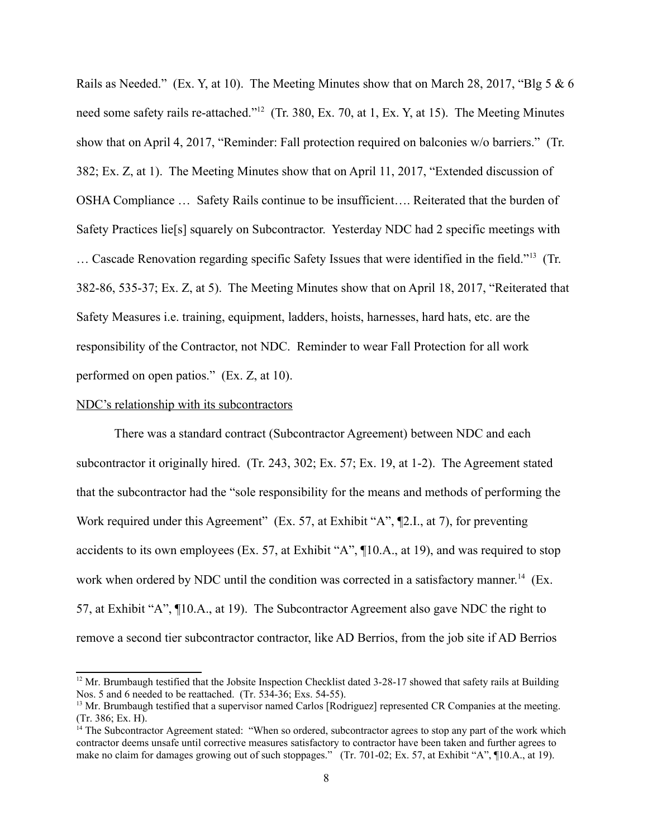Safety Practices lie[s] squarely on Subcontractor. Yesterday NDC had 2 specific meetings with Rails as Needed." (Ex. Y, at 10). The Meeting Minutes show that on March 28, 2017, "Blg 5 & 6 need some safety rails re-attached."<sup>[12](#page-7-0)</sup> (Tr. 380, Ex. 70, at 1, Ex. Y, at 15). The Meeting Minutes show that on April 4, 2017, "Reminder: Fall protection required on balconies w/o barriers." (Tr. 382; Ex. Z, at 1). The Meeting Minutes show that on April 11, 2017, "Extended discussion of OSHA Compliance … Safety Rails continue to be insufficient…. Reiterated that the burden of … Cascade Renovation regarding specific Safety Issues that were identified in the field.["13](#page-7-1) (Tr. 382-86, 535-37; Ex. Z, at 5). The Meeting Minutes show that on April 18, 2017, "Reiterated that Safety Measures i.e. training, equipment, ladders, hoists, harnesses, hard hats, etc. are the responsibility of the Contractor, not NDC. Reminder to wear Fall Protection for all work performed on open patios." (Ex. Z, at 10).

### NDC's relationship with its subcontractors

There was a standard contract (Subcontractor Agreement) between NDC and each subcontractor it originally hired. (Tr. 243, 302; Ex. 57; Ex. 19, at 1-2). The Agreement stated that the subcontractor had the "sole responsibility for the means and methods of performing the Work required under this Agreement" (Ex. 57, at Exhibit "A", ¶2.I., at 7), for preventing accidents to its own employees (Ex. 57, at Exhibit "A", ¶10.A., at 19), and was required to stop work when ordered by NDC until the condition was corrected in a satisfactory manner.<sup>14</sup> (Ex. 57, at Exhibit "A", ¶10.A., at 19). The Subcontractor Agreement also gave NDC the right to remove a second tier subcontractor contractor, like AD Berrios, from the job site if AD Berrios

<span id="page-7-0"></span> Nos. 5 and 6 needed to be reattached. (Tr. 534-36; Exs. 54-55). <sup>12</sup> Mr. Brumbaugh testified that the Jobsite Inspection Checklist dated 3-28-17 showed that safety rails at Building

<span id="page-7-1"></span><sup>&</sup>lt;sup>13</sup> Mr. Brumbaugh testified that a supervisor named Carlos [Rodriguez] represented CR Companies at the meeting. (Tr. 386; Ex. H).

<span id="page-7-2"></span><sup>&</sup>lt;sup>14</sup> The Subcontractor Agreement stated: "When so ordered, subcontractor agrees to stop any part of the work which contractor deems unsafe until corrective measures satisfactory to contractor have been taken and further agrees to make no claim for damages growing out of such stoppages." (Tr. 701-02; Ex. 57, at Exhibit "A", ¶10.A., at 19).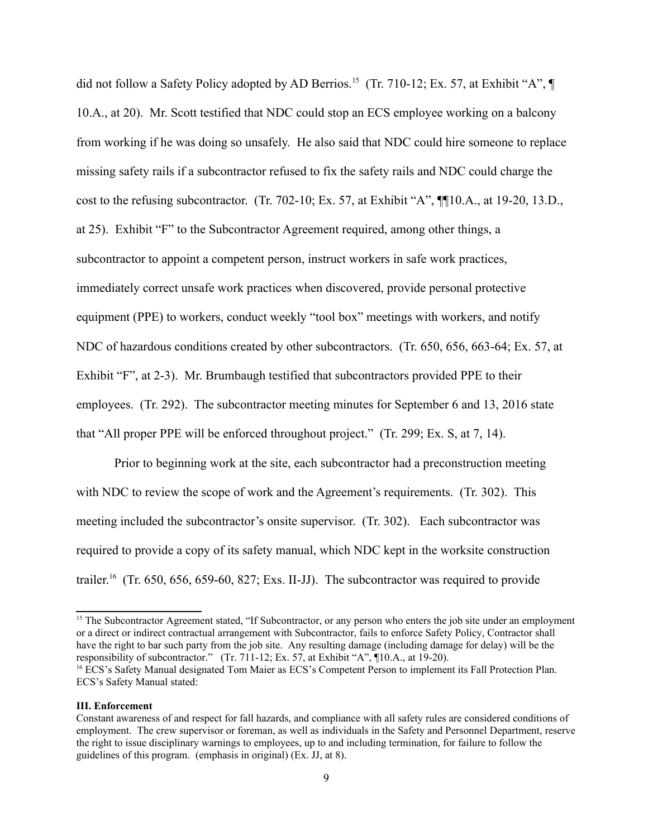did not follow a Safety Policy adopted by AD Berrios.<sup>15</sup> (Tr. 710-12; Ex. 57, at Exhibit "A", ¶ 10.A., at 20). Mr. Scott testified that NDC could stop an ECS employee working on a balcony from working if he was doing so unsafely. He also said that NDC could hire someone to replace missing safety rails if a subcontractor refused to fix the safety rails and NDC could charge the cost to the refusing subcontractor. (Tr. 702-10; Ex. 57, at Exhibit "A", ¶¶10.A., at 19-20, 13.D., at 25). Exhibit "F" to the Subcontractor Agreement required, among other things, a subcontractor to appoint a competent person, instruct workers in safe work practices, immediately correct unsafe work practices when discovered, provide personal protective equipment (PPE) to workers, conduct weekly "tool box" meetings with workers, and notify NDC of hazardous conditions created by other subcontractors. (Tr. 650, 656, 663-64; Ex. 57, at Exhibit "F", at 2-3). Mr. Brumbaugh testified that subcontractors provided PPE to their employees. (Tr. 292). The subcontractor meeting minutes for September 6 and 13, 2016 state that "All proper PPE will be enforced throughout project." (Tr. 299; Ex. S, at 7, 14).

Prior to beginning work at the site, each subcontractor had a preconstruction meeting with NDC to review the scope of work and the Agreement's requirements. (Tr. 302). This meeting included the subcontractor's onsite supervisor. (Tr. 302). Each subcontractor was required to provide a copy of its safety manual, which NDC kept in the worksite construction trailer.<sup>16</sup> (Tr. 650, 656, 659-60, 827; Exs. II-JJ). The subcontractor was required to provide

<span id="page-8-0"></span>responsibility of subcontractor." (Tr. 711-12; Ex. 57, at Exhibit "A", 10.A., at 19-20). <sup>15</sup> The Subcontractor Agreement stated, "If Subcontractor, or any person who enters the job site under an employment or a direct or indirect contractual arrangement with Subcontractor, fails to enforce Safety Policy, Contractor shall have the right to bar such party from the job site. Any resulting damage (including damage for delay) will be the <sup>16</sup> ECS's Safety Manual designated Tom Maier as ECS's Competent Person to implement its Fall Protection Plan. ECS's Safety Manual stated:

#### <span id="page-8-1"></span>**III.** Enforcement

Constant awareness of and respect for fall hazards, and compliance with all safety rules are considered conditions of employment. The crew supervisor or foreman, as well as individuals in the Safety and Personnel Department, reserve the right to issue disciplinary warnings to employees, up to and including termination, for failure to follow the guidelines of this program. (emphasis in original) (Ex. JJ, at 8).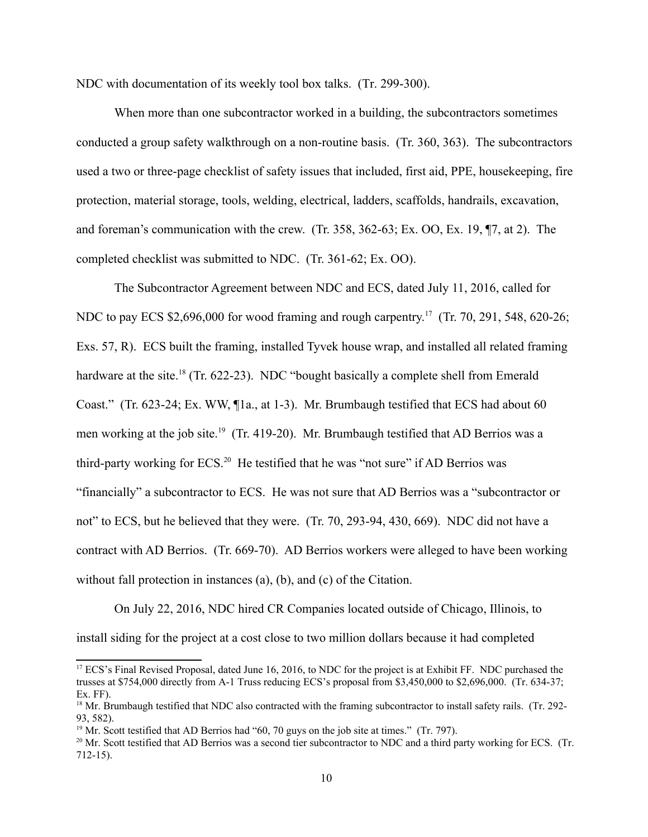NDC with documentation of its weekly tool box talks. (Tr. 299-300).

When more than one subcontractor worked in a building, the subcontractors sometimes conducted a group safety walkthrough on a non-routine basis. (Tr. 360, 363). The subcontractors used a two or three-page checklist of safety issues that included, first aid, PPE, housekeeping, fire protection, material storage, tools, welding, electrical, ladders, scaffolds, handrails, excavation, and foreman's communication with the crew. (Tr. 358, 362-63; Ex. OO, Ex. 19, ¶7, at 2). The completed checklist was submitted to NDC. (Tr. 361-62; Ex. OO).

The Subcontractor Agreement between NDC and ECS, dated July 11, 2016, called for NDC to pay ECS \$2,696,000 for wood framing and rough carpentry.<sup>17</sup> (Tr. 70, 291, 548, 620-26; Exs. 57, R). ECS built the framing, installed Tyvek house wrap, and installed all related framing hardware at the site.<sup>18</sup> (Tr. 622-23). NDC "bought basically a complete shell from Emerald Coast." (Tr. 623-24; Ex. WW, ¶1a., at 1-3). Mr. Brumbaugh testified that ECS had about 60 men working at the job site.<sup>[19](#page-9-2)</sup> (Tr. 419-20). Mr. Brumbaugh testified that AD Berrios was a third-party working for ECS.<sup>20</sup> He testified that he was "not sure" if AD Berrios was "financially" a subcontractor to ECS. He was not sure that AD Berrios was a "subcontractor or not" to ECS, but he believed that they were. (Tr. 70, 293-94, 430, 669). NDC did not have a contract with AD Berrios. (Tr. 669-70). AD Berrios workers were alleged to have been working without fall protection in instances (a), (b), and (c) of the Citation.

On July 22, 2016, NDC hired CR Companies located outside of Chicago, Illinois, to install siding for the project at a cost close to two million dollars because it had completed

<span id="page-9-0"></span><sup>&</sup>lt;sup>17</sup> ECS's Final Revised Proposal, dated June 16, 2016, to NDC for the project is at Exhibit FF. NDC purchased the trusses at \$754,000 directly from A-1 Truss reducing ECS's proposal from \$3,450,000 to \$2,696,000. (Tr. 634-37; Ex. FF).

<span id="page-9-1"></span> $18$  Mr. Brumbaugh testified that NDC also contracted with the framing subcontractor to install safety rails. (Tr. 292-93, 582).

<span id="page-9-2"></span><sup>&</sup>lt;sup>19</sup> Mr. Scott testified that AD Berrios had "60, 70 guys on the job site at times." (Tr. 797).

<span id="page-9-3"></span> $^{20}$  Mr. Scott testified that AD Berrios was a second tier subcontractor to NDC and a third party working for ECS. (Tr. 712-15).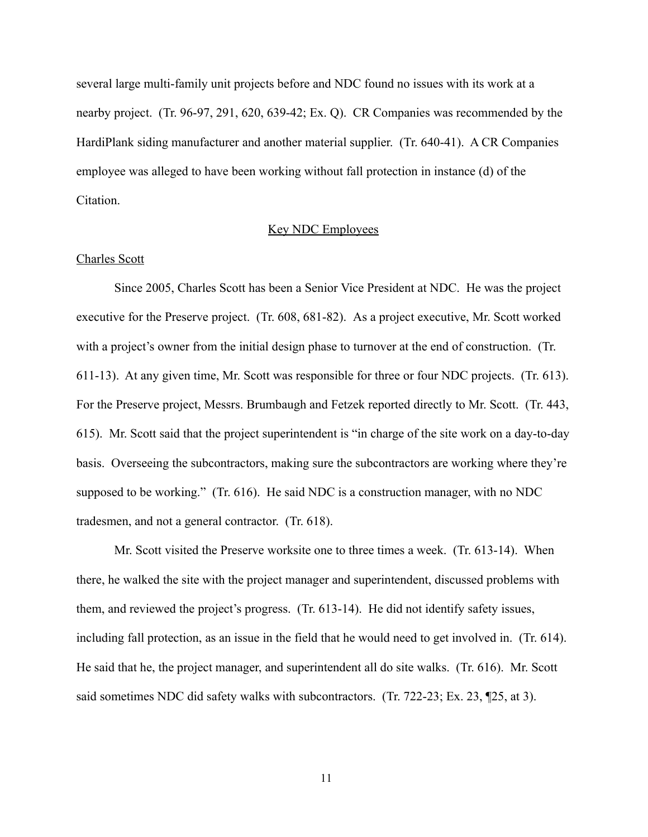several large multi-family unit projects before and NDC found no issues with its work at a nearby project. (Tr. 96-97, 291, 620, 639-42; Ex. Q). CR Companies was recommended by the HardiPlank siding manufacturer and another material supplier. (Tr. 640-41). A CR Companies employee was alleged to have been working without fall protection in instance (d) of the Citation.

### Key NDC Employees

### Charles Scott

Since 2005, Charles Scott has been a Senior Vice President at NDC. He was the project executive for the Preserve project. (Tr. 608, 681-82). As a project executive, Mr. Scott worked with a project's owner from the initial design phase to turnover at the end of construction. (Tr. 611-13). At any given time, Mr. Scott was responsible for three or four NDC projects. (Tr. 613). For the Preserve project, Messrs. Brumbaugh and Fetzek reported directly to Mr. Scott. (Tr. 443, 615). Mr. Scott said that the project superintendent is "in charge of the site work on a day-to-day basis. Overseeing the subcontractors, making sure the subcontractors are working where they're supposed to be working." (Tr. 616). He said NDC is a construction manager, with no NDC tradesmen, and not a general contractor. (Tr. 618).

Mr. Scott visited the Preserve worksite one to three times a week. (Tr. 613-14). When there, he walked the site with the project manager and superintendent, discussed problems with them, and reviewed the project's progress. (Tr. 613-14). He did not identify safety issues, including fall protection, as an issue in the field that he would need to get involved in. (Tr. 614). He said that he, the project manager, and superintendent all do site walks. (Tr. 616). Mr. Scott said sometimes NDC did safety walks with subcontractors. (Tr. 722-23; Ex. 23, ¶25, at 3).

11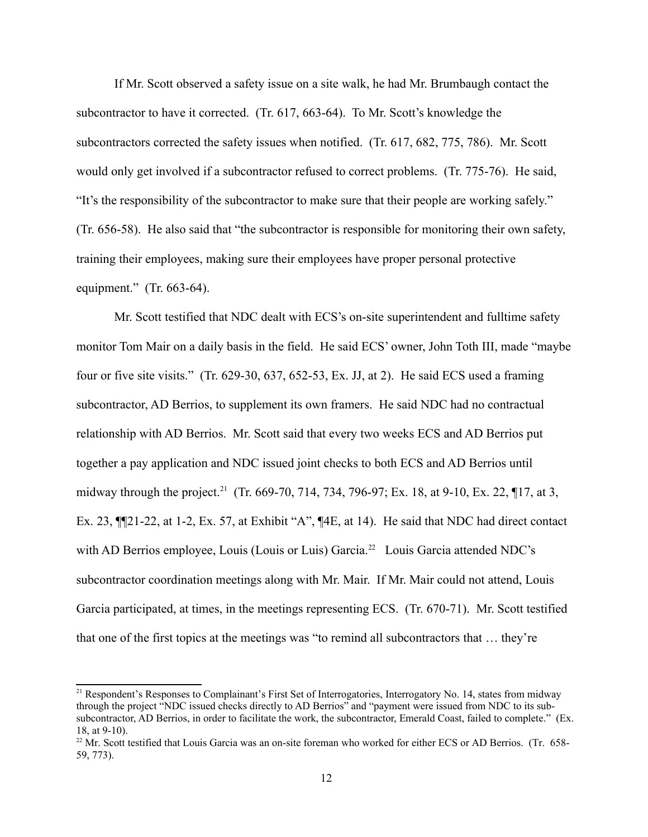"It's the responsibility of the subcontractor to make sure that their people are working safely." If Mr. Scott observed a safety issue on a site walk, he had Mr. Brumbaugh contact the subcontractor to have it corrected. (Tr. 617, 663-64). To Mr. Scott's knowledge the subcontractors corrected the safety issues when notified. (Tr. 617, 682, 775, 786). Mr. Scott would only get involved if a subcontractor refused to correct problems. (Tr. 775-76). He said,  $(Tr. 656-58)$ . He also said that "the subcontractor is responsible for monitoring their own safety, training their employees, making sure their employees have proper personal protective equipment." (Tr. 663-64).

Mr. Scott testified that NDC dealt with ECS's on-site superintendent and fulltime safety monitor Tom Mair on a daily basis in the field. He said ECS' owner, John Toth III, made "maybe four or five site visits." (Tr. 629-30, 637, 652-53, Ex. JJ, at 2). He said ECS used a framing subcontractor, AD Berrios, to supplement its own framers. He said NDC had no contractual relationship with AD Berrios. Mr. Scott said that every two weeks ECS and AD Berrios put together a pay application and NDC issued joint checks to both ECS and AD Berrios until midway through the project.<sup>[21](#page-11-0)</sup> (Tr. 669-70, 714, 734, 796-97; Ex. 18, at 9-10, Ex. 22, ¶17, at 3, Ex. 23, ¶¶21-22, at 1-2, Ex. 57, at Exhibit "A", ¶4E, at 14). He said that NDC had direct contact with AD Berrios employee, Louis (Louis or Luis) Garcia.<sup>[22](#page-11-1)</sup> Louis Garcia attended NDC's subcontractor coordination meetings along with Mr. Mair. If Mr. Mair could not attend, Louis Garcia participated, at times, in the meetings representing ECS. (Tr. 670-71). Mr. Scott testified that one of the first topics at the meetings was "to remind all subcontractors that … they're

<span id="page-11-0"></span><sup>&</sup>lt;sup>21</sup> Respondent's Responses to Complainant's First Set of Interrogatories, Interrogatory No. 14, states from midway through the project "NDC issued checks directly to AD Berrios" and "payment were issued from NDC to its subsubcontractor, AD Berrios, in order to facilitate the work, the subcontractor, Emerald Coast, failed to complete." (Ex. 18, at 9-10).

<span id="page-11-1"></span><sup>&</sup>lt;sup>22</sup> Mr. Scott testified that Louis Garcia was an on-site foreman who worked for either ECS or AD Berrios. (Tr. 658-59, 773).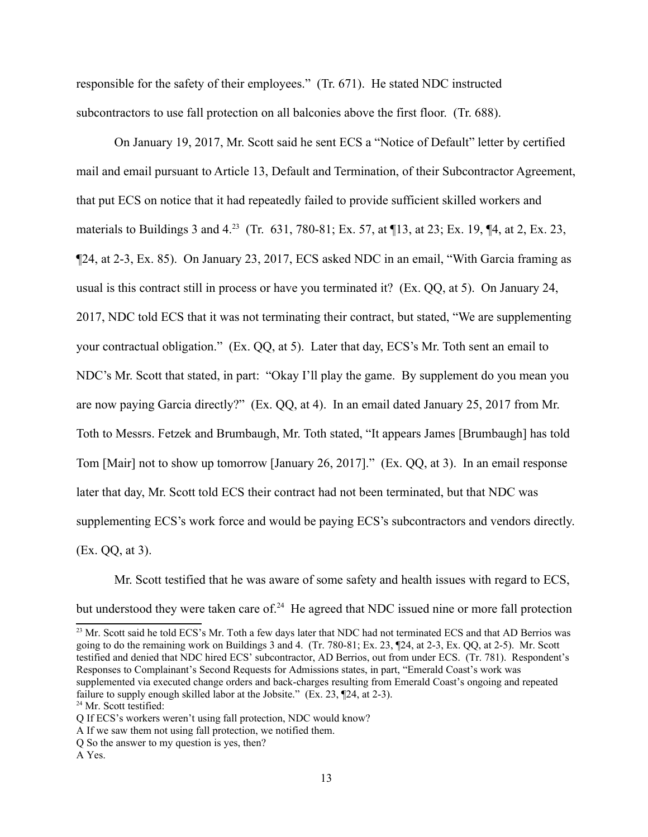responsible for the safety of their employees." (Tr. 671). He stated NDC instructed subcontractors to use fall protection on all balconies above the first floor. (Tr. 688).

On January 19, 2017, Mr. Scott said he sent ECS a "Notice of Default" letter by certified mail and email pursuant to Article 13, Default and Termination, of their Subcontractor Agreement, that put ECS on notice that it had repeatedly failed to provide sufficient skilled workers and materials to Buildings 3 and 4.<sup>23</sup> (Tr. 631, 780-81; Ex. 57, at 113, at 23; Ex. 19, 14, at 2, Ex. 23, ¶24, at 2-3, Ex. 85). On January 23, 2017, ECS asked NDC in an email, "With Garcia framing as usual is this contract still in process or have you terminated it? (Ex. QQ, at 5). On January 24, 2017, NDC told ECS that it was not terminating their contract, but stated, "We are supplementing your contractual obligation." (Ex. QQ, at 5). Later that day, ECS's Mr. Toth sent an email to NDC's Mr. Scott that stated, in part: "Okay I'll play the game. By supplement do you mean you are now paying Garcia directly?" (Ex. QQ, at 4). In an email dated January 25, 2017 from Mr. Toth to Messrs. Fetzek and Brumbaugh, Mr. Toth stated, "It appears James [Brumbaugh] has told Tom [Mair] not to show up tomorrow [January 26, 2017]." (Ex. QQ, at 3). In an email response later that day, Mr. Scott told ECS their contract had not been terminated, but that NDC was supplementing ECS's work force and would be paying ECS's subcontractors and vendors directly. (Ex. QQ, at 3).

Mr. Scott testified that he was aware of some safety and health issues with regard to ECS, but understood they were taken care of.<sup>24</sup> He agreed that NDC issued nine or more fall protection

<span id="page-12-0"></span><sup>23</sup> Mr. Scott said he told ECS's Mr. Toth a few days later that NDC had not terminated ECS and that AD Berrios was going to do the remaining work on Buildings 3 and 4. (Tr. 780-81; Ex. 23, ¶24, at 2-3, Ex. QQ, at 2-5). Mr. Scott testified and denied that NDC hired ECS' subcontractor, AD Berrios, out from under ECS. (Tr. 781). Respondent's Responses to Complainant's Second Requests for Admissions states, in part, "Emerald Coast's work was supplemented via executed change orders and back-charges resulting from Emerald Coast's ongoing and repeated failure to supply enough skilled labor at the Jobsite." (Ex. 23, ¶24, at 2-3).

<span id="page-12-1"></span><sup>&</sup>lt;sup>24</sup> Mr. Scott testified:

Q If ECS's workers weren't using fall protection, NDC would know?

A If we saw them not using fall protection, we notified them.

Q So the answer to my question is yes, then?

A Yes.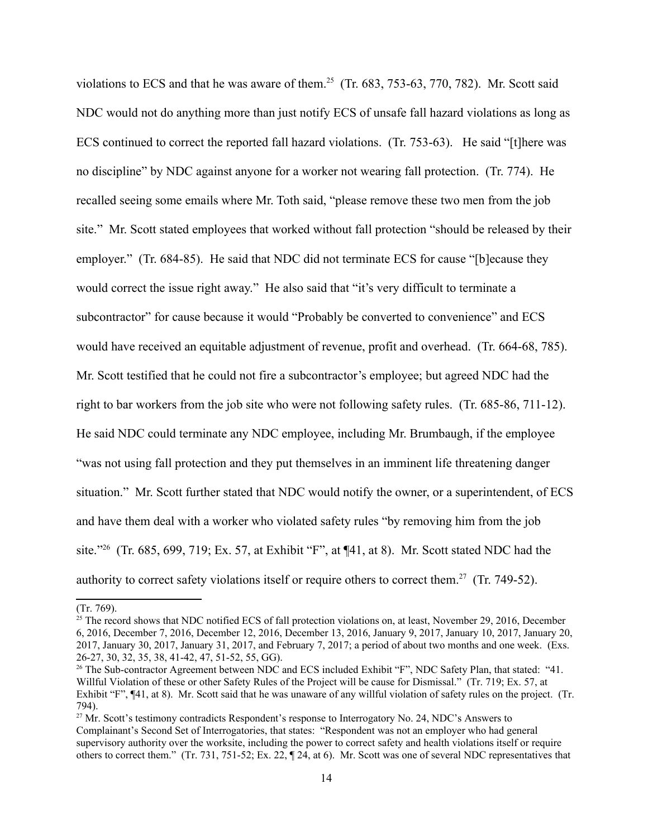violations to ECS and that he was aware of them.<sup>25</sup> (Tr.  $683$ ,  $753-63$ ,  $770$ ,  $782$ ). Mr. Scott said NDC would not do anything more than just notify ECS of unsafe fall hazard violations as long as ECS continued to correct the reported fall hazard violations. (Tr. 753-63). He said "[t]here was no discipline" by NDC against anyone for a worker not wearing fall protection. (Tr. 774). He recalled seeing some emails where Mr. Toth said, "please remove these two men from the job site." Mr. Scott stated employees that worked without fall protection "should be released by their employer." (Tr. 684-85). He said that NDC did not terminate ECS for cause "[b]ecause they would correct the issue right away." He also said that "it's very difficult to terminate a subcontractor" for cause because it would "Probably be converted to convenience" and ECS would have received an equitable adjustment of revenue, profit and overhead. (Tr. 664-68, 785). Mr. Scott testified that he could not fire a subcontractor's employee; but agreed NDC had the right to bar workers from the job site who were not following safety rules. (Tr. 685-86, 711-12). He said NDC could terminate any NDC employee, including Mr. Brumbaugh, if the employee "was not using fall protection and they put themselves in an imminent life threatening danger situation." Mr. Scott further stated that NDC would notify the owner, or a superintendent, of ECS and have them deal with a worker who violated safety rules "by removing him from the job site.["26](#page-13-1) (Tr. 685, 699, 719; Ex. 57, at Exhibit "F", at ¶41, at 8). Mr. Scott stated NDC had the authority to correct safety violations itself or require others to correct them.<sup>[27](#page-13-2)</sup> (Tr. 749-52).

<sup>(</sup>Tr. 769).

<span id="page-13-0"></span> $25$  The record shows that NDC notified ECS of fall protection violations on, at least, November 29, 2016, December 6, 2016, December 7, 2016, December 12, 2016, December 13, 2016, January 9, 2017, January 10, 2017, January 20, 2017, January 30, 2017, January 31, 2017, and February 7, 2017; a period of about two months and one week. (Exs. 26-27, 30, 32, 35, 38, 41-42, 47, 51-52, 55, GG).

<span id="page-13-1"></span><sup>&</sup>lt;sup>26</sup> The Sub-contractor Agreement between NDC and ECS included Exhibit "F", NDC Safety Plan, that stated: "41. Willful Violation of these or other Safety Rules of the Project will be cause for Dismissal." (Tr. 719; Ex. 57, at Exhibit "F", ¶41, at 8). Mr. Scott said that he was unaware of any willful violation of safety rules on the project. (Tr. 794).

<span id="page-13-2"></span><sup>&</sup>lt;sup>27</sup> Mr. Scott's testimony contradicts Respondent's response to Interrogatory No. 24, NDC's Answers to Complainant's Second Set of Interrogatories, that states: "Respondent was not an employer who had general supervisory authority over the worksite, including the power to correct safety and health violations itself or require others to correct them." (Tr. 731, 751-52; Ex. 22, ¶ 24, at 6). Mr. Scott was one of several NDC representatives that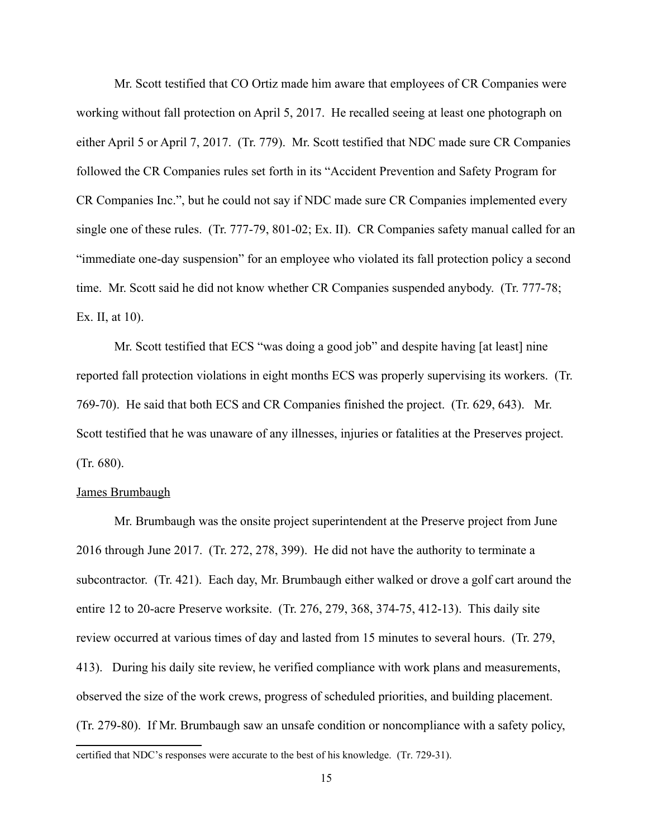Mr. Scott testified that CO Ortiz made him aware that employees of CR Companies were working without fall protection on April 5, 2017. He recalled seeing at least one photograph on either April 5 or April 7, 2017. (Tr. 779). Mr. Scott testified that NDC made sure CR Companies followed the CR Companies rules set forth in its "Accident Prevention and Safety Program for CR Companies Inc.", but he could not say if NDC made sure CR Companies implemented every single one of these rules. (Tr. 777-79, 801-02; Ex. II). CR Companies safety manual called for an "immediate one-day suspension" for an employee who violated its fall protection policy a second time. Mr. Scott said he did not know whether CR Companies suspended anybody. (Tr. 777-78; Ex. II, at 10).

 Scott testified that he was unaware of any illnesses, injuries or fatalities at the Preserves project. (Tr. 680). Mr. Scott testified that ECS "was doing a good job" and despite having [at least] nine reported fall protection violations in eight months ECS was properly supervising its workers. (Tr. 769-70). He said that both ECS and CR Companies finished the project. (Tr. 629, 643). Mr.

### James Brumbaugh

Mr. Brumbaugh was the onsite project superintendent at the Preserve project from June 2016 through June 2017. (Tr. 272, 278, 399). He did not have the authority to terminate a subcontractor. (Tr. 421). Each day, Mr. Brumbaugh either walked or drove a golf cart around the entire 12 to 20-acre Preserve worksite. (Tr. 276, 279, 368, 374-75, 412-13). This daily site review occurred at various times of day and lasted from 15 minutes to several hours. (Tr. 279, 413). During his daily site review, he verified compliance with work plans and measurements, observed the size of the work crews, progress of scheduled priorities, and building placement. (Tr. 279-80). If Mr. Brumbaugh saw an unsafe condition or noncompliance with a safety policy,

 certified that NDC's responses were accurate to the best of his knowledge. (Tr. 729-31). 15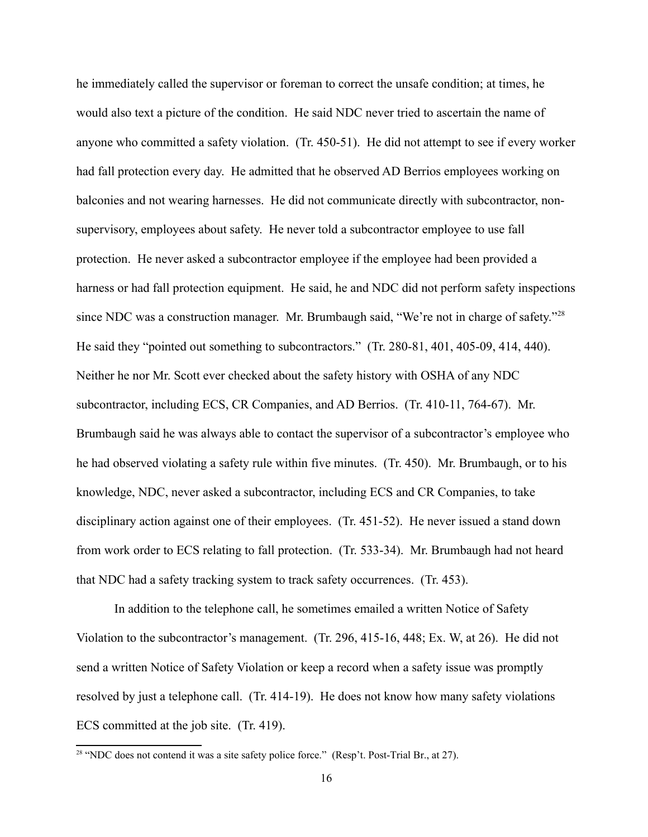since NDC was a construction manager. Mr. Brumbaugh said, "We're not in charge of safety."<sup>28</sup> he immediately called the supervisor or foreman to correct the unsafe condition; at times, he would also text a picture of the condition. He said NDC never tried to ascertain the name of anyone who committed a safety violation. (Tr. 450-51). He did not attempt to see if every worker had fall protection every day. He admitted that he observed AD Berrios employees working on balconies and not wearing harnesses. He did not communicate directly with subcontractor, nonsupervisory, employees about safety. He never told a subcontractor employee to use fall protection. He never asked a subcontractor employee if the employee had been provided a harness or had fall protection equipment. He said, he and NDC did not perform safety inspections He said they "pointed out something to subcontractors." (Tr. 280-81, 401, 405-09, 414, 440). Neither he nor Mr. Scott ever checked about the safety history with OSHA of any NDC subcontractor, including ECS, CR Companies, and AD Berrios. (Tr. 410-11, 764-67). Mr. Brumbaugh said he was always able to contact the supervisor of a subcontractor's employee who he had observed violating a safety rule within five minutes. (Tr. 450). Mr. Brumbaugh, or to his knowledge, NDC, never asked a subcontractor, including ECS and CR Companies, to take disciplinary action against one of their employees. (Tr. 451-52). He never issued a stand down from work order to ECS relating to fall protection. (Tr. 533-34). Mr. Brumbaugh had not heard that NDC had a safety tracking system to track safety occurrences. (Tr. 453).

In addition to the telephone call, he sometimes emailed a written Notice of Safety Violation to the subcontractor's management. (Tr. 296, 415-16, 448; Ex. W, at 26). He did not send a written Notice of Safety Violation or keep a record when a safety issue was promptly resolved by just a telephone call. (Tr. 414-19). He does not know how many safety violations ECS committed at the job site. (Tr. 419).

<span id="page-15-0"></span><sup>&</sup>lt;sup>28</sup> "NDC does not contend it was a site safety police force." (Resp't. Post-Trial Br., at 27).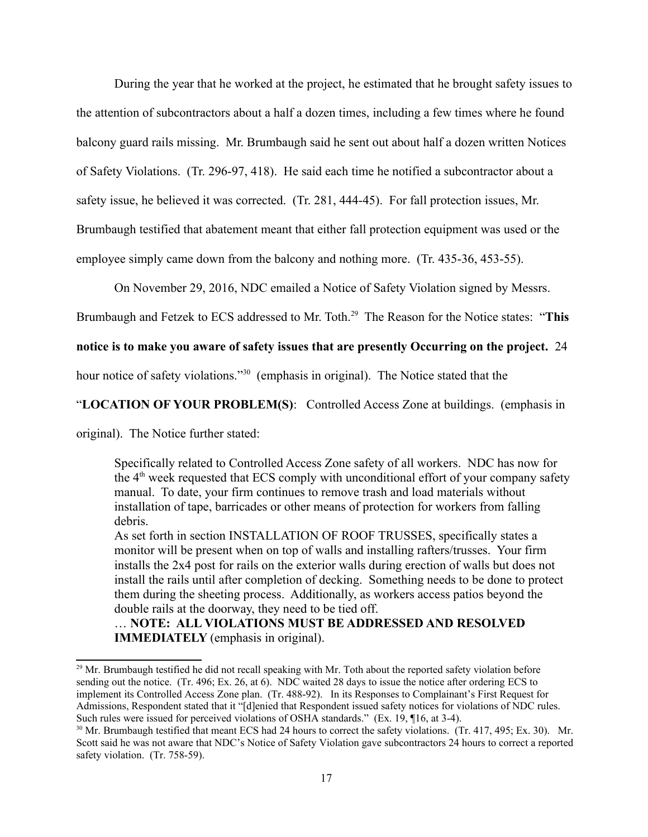During the year that he worked at the project, he estimated that he brought safety issues to the attention of subcontractors about a half a dozen times, including a few times where he found balcony guard rails missing. Mr. Brumbaugh said he sent out about half a dozen written Notices of Safety Violations. (Tr. 296-97, 418). He said each time he notified a subcontractor about a safety issue, he believed it was corrected. (Tr. 281, 444-45). For fall protection issues, Mr. Brumbaugh testified that abatement meant that either fall protection equipment was used or the employee simply came down from the balcony and nothing more. (Tr. 435-36, 453-55).

On November 29, 2016, NDC emailed a Notice of Safety Violation signed by Messrs.

Brumbaugh and Fetzek to ECS addressed to Mr. Toth.<sup>29</sup> The Reason for the Notice states: "This

## **notice is to make you aware of safety issues that are presently Occurring on the project.** 24

hour notice of safety violations."<sup>30</sup> (emphasis in original). The Notice stated that the

### "**LOCATION OF YOUR PROBLEM(S)**: Controlled Access Zone at buildings. (emphasis in

original). The Notice further stated:

Specifically related to Controlled Access Zone safety of all workers. NDC has now for the  $4<sup>th</sup>$  week requested that ECS comply with unconditional effort of your company safety manual. To date, your firm continues to remove trash and load materials without installation of tape, barricades or other means of protection for workers from falling debris.

As set forth in section INSTALLATION OF ROOF TRUSSES, specifically states a monitor will be present when on top of walls and installing rafters/trusses. Your firm installs the 2x4 post for rails on the exterior walls during erection of walls but does not install the rails until after completion of decking. Something needs to be done to protect them during the sheeting process. Additionally, as workers access patios beyond the double rails at the doorway, they need to be tied off.

**IMMEDIATELY** (emphasis in original). … **NOTE: ALL V OLAT ONS MUST BE ADDRESSED AND RESOLVED** 

<span id="page-16-0"></span><sup>&</sup>lt;sup>29</sup> Mr. Brumbaugh testified he did not recall speaking with Mr. Toth about the reported safety violation before sending out the notice. (Tr. 496; Ex. 26, at 6). NDC waited 28 days to issue the notice after ordering ECS to implement its Controlled Access Zone plan. (Tr. 488-92). In its Responses to Complainant's First Request for Admissions, Respondent stated that it "[d]enied that Respondent issued safety notices for violations of NDC rules. Such rules were issued for perceived violations of OSHA standards." (Ex. 19, ¶16, at 3-4).

<span id="page-16-1"></span> $^{30}$  Mr. Brumbaugh testified that meant ECS had 24 hours to correct the safety violations. (Tr. 417, 495; Ex. 30). Mr. Scott said he was not aware that NDC's Notice of Safety Violation gave subcontractors 24 hours to correct a reported safety violation. (Tr. 758-59).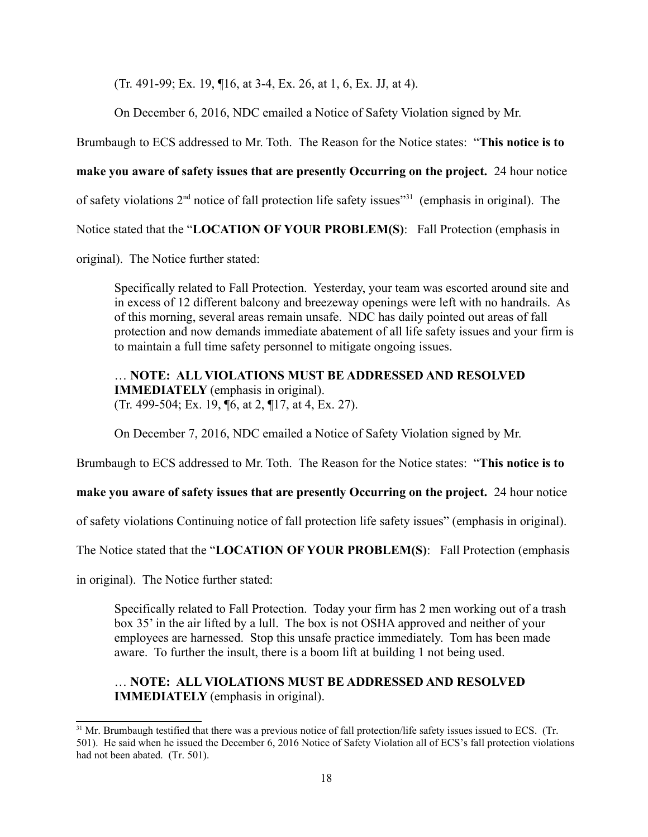(Tr. 491-99; Ex. 19, ¶16, at 3-4, Ex. 26, at 1, 6, Ex. JJ, at 4).

On December 6, 2016, NDC emailed a Notice of Safety Violation signed by Mr.

Brumbaugh to ECS addressed to Mr. Toth. The Reason for the Notice states: "**This notice is to** 

**make you aware of safety issues that are presently Occurring on the project.** 24 hour notice

of safety violations  $2<sup>nd</sup>$  notice of fall protection life safety issues"<sup>31</sup> (emphasis in original). The

Notice stated that the "LOCATION OF YOUR PROBLEM(S): Fall Protection (emphasis in

original). The Notice further stated:

Specifically related to Fall Protection. Yesterday, your team was escorted around site and in excess of 12 different balcony and breezeway openings were left with no handrails. As of this morning, several areas remain unsafe. NDC has daily pointed out areas of fall protection and now demands immediate abatement of all life safety issues and your firm is to maintain a full time safety personnel to mitigate ongoing issues.

**IMMEDIATELY** (emphasis in original). ... **NOTE: ALL VIOLATIONS MUST BE ADDRESSED AND RESOLVED (Tr. 499-504; Ex. 19, ¶6, at 2, ¶17, at 4, Ex. 27).** 

On December 7, 2016, NDC emailed a Notice of Safety Violation signed by Mr.

Brumbaugh to ECS addressed to Mr. Toth. The Reason for the Notice states: "**This notice is to** 

## **make you aware of safety issues that are presently Occurring on the project.** 24 hour notice

of safety violations Continuing notice of fall protection life safety issues" (emphasis in original).

The Notice stated that the "LOCATION OF YOUR PROBLEM(S): Fall Protection (emphasis

in original). The Notice further stated:

 aware. To further the insult, there is a boom lift at building 1 not being used. Specifically related to Fall Protection. Today your firm has 2 men working out of a trash box 35' in the air lifted by a lull. The box is not OSHA approved and neither of your employees are harnessed. Stop this unsafe practice immediately. Tom has been made

# **IMMEDIATELY** (emphasis in original). … **NOTE: ALL V OLAT ONS MUST BE ADDRESSED AND RESOLVED**

<span id="page-17-0"></span><sup>&</sup>lt;sup>31</sup> Mr. Brumbaugh testified that there was a previous notice of fall protection/life safety issues issued to ECS. (Tr. 501). He said when he issued the December 6, 2016 Notice of Safety Violation all of ECS's fall protection violations had not been abated. (Tr. 501).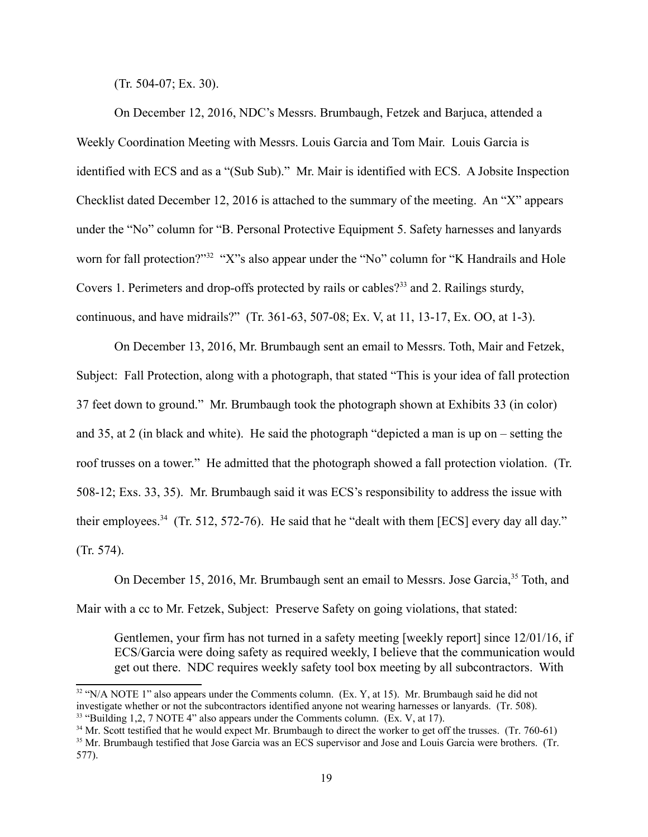(Tr. 504-07; Ex. 30).

 Checklist dated December 12, 2016 is attached to the summary of the meeting. An "X" appears On December 12, 2016, NDC's Messrs. Brumbaugh, Fetzek and Barjuca, attended a Weekly Coordination Meeting with Messrs. Louis Garcia and Tom Mair. Louis Garcia is identified with ECS and as a "(Sub Sub)." Mr. Mair is identified with ECS. A Jobsite Inspection under the "No" column for "B. Personal Protective Equipment 5. Safety harnesses and lanyards worn for fall protection?"<sup>[32](#page-18-0)</sup> "X"s also appear under the "No" column for "K Handrails and Hole Covers 1. Perimeters and drop-offs protected by rails or cables?<sup>33</sup> and 2. Railings sturdy, continuous, and have midrails?" (Tr. 361-63, 507-08; Ex. V, at 11, 13-17, Ex. OO, at 1-3).

their employees.<sup>34</sup> (Tr. 512, 572-76). He said that he "dealt with them [ECS] every day all day."<br>(Tr. 574). On December 13, 2016, Mr. Brumbaugh sent an email to Messrs. Toth, Mair and Fetzek, Subject: Fall Protection, along with a photograph, that stated "This is your idea of fall protection 37 feet down to ground." Mr. Brumbaugh took the photograph shown at Exhibits 33 (in color) and 35, at 2 (in black and white). He said the photograph "depicted a man is up on – setting the roof trusses on a tower." He admitted that the photograph showed a fall protection violation. (Tr. 508-12; Exs. 33, 35). Mr. Brumbaugh said it was ECS's responsibility to address the issue with

On December 15, 2016, Mr. Brumbaugh sent an email to Messrs. Jose Garcia,<sup>[35](#page-18-3)</sup> Toth, and Mair with a cc to Mr. Fetzek, Subject: Preserve Safety on going violations, that stated:

Gentlemen, your firm has not turned in a safety meeting [weekly report] since 12/01/16, if ECS/Garcia were doing safety as required weekly, I believe that the communication would get out there. NDC requires weekly safety tool box meeting by all subcontractors. With

<span id="page-18-0"></span>investigate whether or not the subcontractors identified anyone not wearing harnesses or lanyards. (Tr. 508).<br><sup>33</sup> "Building 1,2, 7 NOTE 4" also appears under the Comments column. (Ex. V, at 17). <sup>32</sup> "N/A NOTE 1" also appears under the Comments column. (Ex. Y, at 15). Mr. Brumbaugh said he did not

<span id="page-18-2"></span><span id="page-18-1"></span><sup>&</sup>lt;sup>34</sup> Mr. Scott testified that he would expect Mr. Brumbaugh to direct the worker to get off the trusses. (Tr. 760-61)

<span id="page-18-3"></span><sup>577).</sup> <sup>35</sup> Mr. Brumbaugh testified that Jose Garcia was an ECS supervisor and Jose and Louis Garcia were brothers. (Tr. 577).<br>19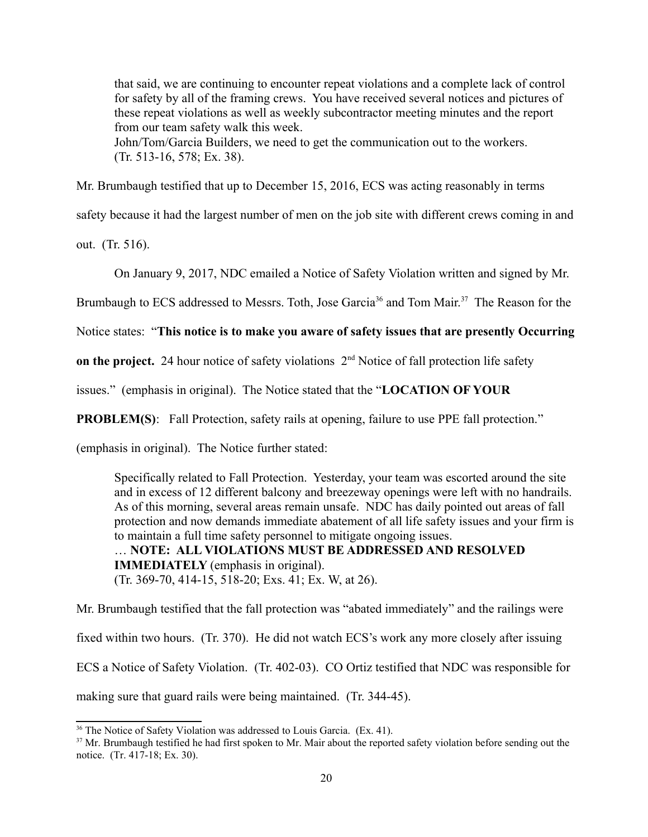that said, we are continuing to encounter repeat violations and a complete lack of control for safety by all of the framing crews. You have received several notices and pictures of these repeat violations as well as weekly subcontractor meeting minutes and the report from our team safety walk this week.

John/Tom/Garcia Builders, we need to get the communication out to the workers. (Tr. 513-16, 578; Ex. 38).

Mr. Brumbaugh testified that up to December 15, 2016, ECS was acting reasonably in terms

safety because it had the largest number of men on the job site with different crews coming in and

out. (Tr. 516).

On January 9, 2017, NDC emailed a Notice of Safety Violation written and signed by Mr.

Brumbaugh to ECS addressed to Messrs. Toth, Jose Garcia<sup>[36](#page-19-0)</sup> and Tom Mair.<sup>37</sup> The Reason for the

Notice states: "**This notice is to make you aware of safety issues that are presently Occurring** 

**on the project.** 24 hour notice of safety violations  $2<sup>nd</sup>$  Notice of fall protection life safety

 issues." (emphasis in original). The Notice stated that the "**LOCAT ON OF YOUR** 

(emphasis in original). The Notice further stated:

**PROBLEM(S):** Fall Protection, safety rails at opening, failure to use PPE fall protection."<br>(emphasis in original). The Notice further stated:<br>Specifically related to Fall Protection. Yesterday, your team was escorted aro **IMMEDIATELY** (emphasis in original). and in excess of 12 different balcony and breezeway openings were left with no handrails. As of this morning, several areas remain unsafe. NDC has daily pointed out areas of fall protection and now demands immediate abatement of all life safety issues and your firm is to maintain a full time safety personnel to mitigate ongoing issues. … **NOTE: ALL V OLAT ONS MUST BE ADDRESSED AND RESOLVED** 

**(Tr. 369-70, 414-15, 518-20; Exs. 41; Ex. W, at 26).** 

Mr. Brumbaugh testified that the fall protection was "abated immediately" and the railings were fixed within two hours. (Tr. 370). He did not watch ECS's work any more closely after issuing ECS a Notice of Safety Violation. (Tr. 402-03). CO Ortiz testified that NDC was responsible for making sure that guard rails were being maintained. (Tr. 344-45).

<span id="page-19-1"></span><span id="page-19-0"></span>

<sup>&</sup>lt;sup>36</sup> The Notice of Safety Violation was addressed to Louis Garcia. (Ex. 41).<br><sup>37</sup> Mr. Brumbaugh testified he had first spoken to Mr. Mair about the reported safety violation before sending out the notice. (Tr. 417-18; Ex. 30).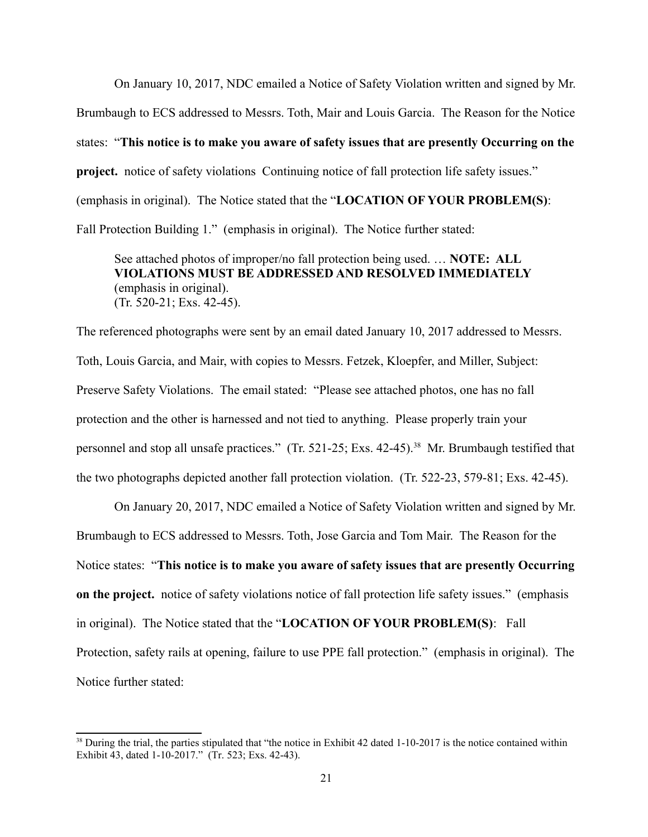project. notice of safety violations Continuing notice of fall protection life safety issues." Fall Protection Building 1." (emphasis in original). The Notice further stated: On January 10, 2017, NDC emailed a Notice of Safety Violation written and signed by Mr. Brumbaugh to ECS addressed to Messrs. Toth, Mair and Louis Garcia. The Reason for the Notice states: "**This notice is to make you aware of safety issues that are presently Occurring on the**  project. notice of safety violations Continuing notice of fall protection life safety issues."<br>(emphasis in original). The Notice stated that the "LOCATION OF YOUR PROBLEM(S):<br>Fall Protection Building 1." (emphasis in orig

See attached photos of improper/no fall protection being used. … **NOTE: ALL V OLAT ONS MUST BE ADDRESSED AND RESOLVED MMED ATELY**  (emphasis in original). (Tr. 520-21; Exs. 42-45).

Toth, Louis Garcia, and Mair, with copies to Messrs. Fetzek, Kloepfer, and Miller, Subject: Toth, Louis Garcia, and Mair, with copies to Messrs. Fetzek, Kloepfer, and Miller, Subject: Preserve Safety Violations. The email stated: "Please see attached photos, one has no fall The referenced photographs were sent by an email dated January 10, 2017 addressed to Messrs. protection and the other is harnessed and not tied to anything. Please properly train your personnel and stop all unsafe practices." (Tr. 521-25; Exs. 42-45).<sup>38</sup> Mr. Brumbaugh testified that the two photographs depicted another fall protection violation. (Tr. 522-23, 579-81; Exs. 42-45).

 Brumbaugh to ECS addressed to Messrs. Toth, Jose Garcia and Tom Mair. The Reason for the in original). The Notice stated that the "**LOCAT ON OF YOUR PROBLEM(S)**: Fall Protection, safety rails at opening, failure to use PPE fall protection." (emphasis in original). The Notice further stated: On January 20, 2017, NDC emailed a Notice of Safety Violation written and signed by Mr. Notice states: "**This notice is to make you aware of safety issues that are presently Occurring on the project.** notice of safety violations notice of fall protection life safety issues." (emphasis

<span id="page-20-0"></span> $38$  During the trial, the parties stipulated that "the notice in Exhibit 42 dated 1-10-2017 is the notice contained within Exhibit 43, dated 1-10-2017." (Tr. 523; Exs. 42-43).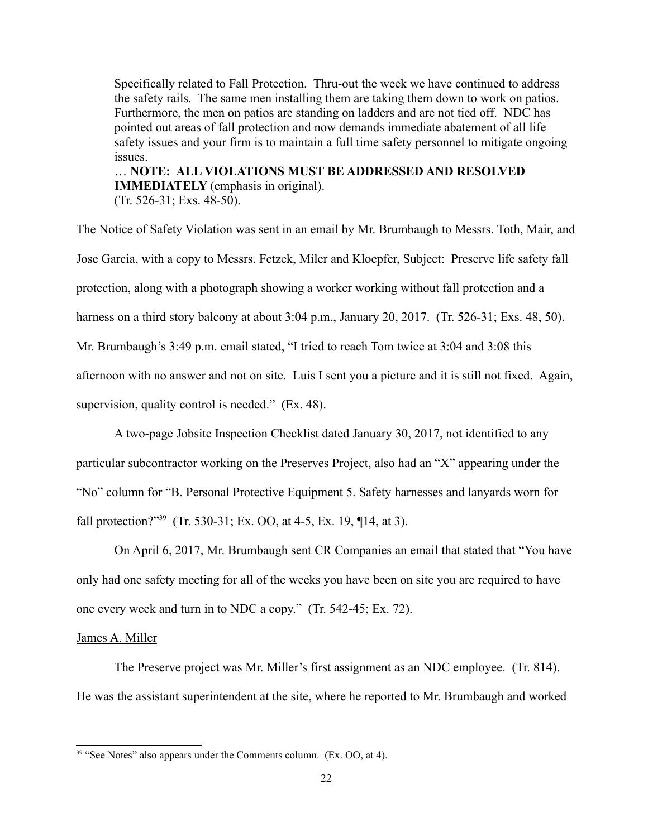the safety rails. The same men installing them are taking them down to work on patios. Specifically related to Fall Protection. Thru-out the week we have continued to address Furthermore, the men on patios are standing on ladders and are not tied off. NDC has pointed out areas of fall protection and now demands immediate abatement of all life safety issues and your firm is to maintain a full time safety personnel to mitigate ongoing issues.

**IMMEDIATELY** (emphasis in original).<br>(Tr. 526-31; Exs. 48-50). … **NOTE: ALL V OLAT ONS MUST BE ADDRESSED AND RESOLVED** 

The Notice of Safety Violation was sent in an email by Mr. Brumbaugh to Messrs. Toth, Mair, and Jose Garcia, with a copy to Messrs. Fetzek, Miler and Kloepfer, Subject: Preserve life safety fall protection, along with a photograph showing a worker working without fall protection and a harness on a third story balcony at about 3:04 p.m., January 20, 2017. (Tr. 526-31; Exs. 48, 50). Mr. Brumbaugh's 3:49 p.m. email stated, "I tried to reach Tom twice at 3:04 and 3:08 this afternoon with no answer and not on site. Luis I sent you a picture and it is still not fixed. Again,

supervision, quality control is needed." (Ex. 48).

A two-page Jobsite Inspection Checklist dated January 30, 2017, not identified to any particular subcontractor working on the Preserves Project, also had an "X" appearing under the "No" column for "B. Personal Protective Equipment 5. Safety harnesses and lanyards worn for fall protection?["39](#page-21-0) (Tr. 530-31; Ex. OO, at 4-5, Ex. 19, ¶14, at 3).

On April 6, 2017, Mr. Brumbaugh sent CR Companies an email that stated that "You have only had one safety meeting for all of the weeks you have been on site you are required to have one every week and turn in to NDC a copy." (Tr. 542-45; Ex. 72).

## James A. Miller

The Preserve project was Mr. Miller's first assignment as an NDC employee. (Tr. 814). He was the assistant superintendent at the site, where he reported to Mr. Brumbaugh and worked

<span id="page-21-0"></span><sup>&</sup>lt;sup>39</sup> "See Notes" also appears under the Comments column. (Ex. OO, at 4).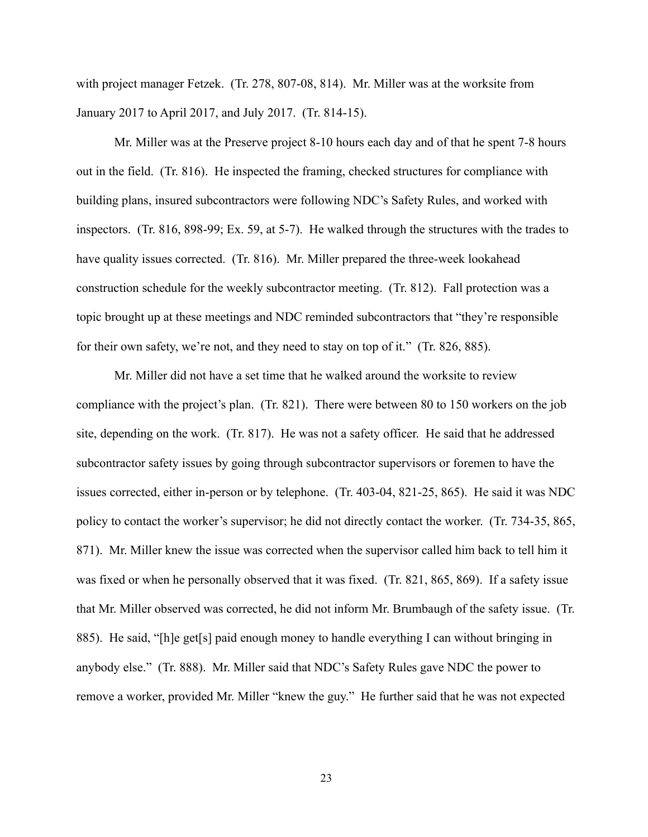with project manager Fetzek. (Tr. 278, 807-08, 814). Mr. Miller was at the worksite from January 2017 to April 2017, and July 2017. (Tr. 814-15).

Mr. Miller was at the Preserve project 8-10 hours each day and of that he spent 7-8 hours out in the field. (Tr. 816). He inspected the framing, checked structures for compliance with building plans, insured subcontractors were following NDC's Safety Rules, and worked with inspectors. (Tr. 816, 898-99; Ex. 59, at 5-7). He walked through the structures with the trades to have quality issues corrected. (Tr. 816). Mr. Miller prepared the three-week lookahead construction schedule for the weekly subcontractor meeting. (Tr. 812). Fall protection was a topic brought up at these meetings and NDC reminded subcontractors that "they're responsible for their own safety, we're not, and they need to stay on top of it." (Tr. 826, 885).

Mr. Miller did not have a set time that he walked around the worksite to review compliance with the project's plan. (Tr. 821). There were between 80 to 150 workers on the job site, depending on the work. (Tr. 817). He was not a safety officer. He said that he addressed subcontractor safety issues by going through subcontractor supervisors or foremen to have the issues corrected, either in-person or by telephone. (Tr. 403-04, 821-25, 865). He said it was NDC policy to contact the worker's supervisor; he did not directly contact the worker. (Tr. 734-35, 865, 871). Mr. Miller knew the issue was corrected when the supervisor called him back to tell him it was fixed or when he personally observed that it was fixed. (Tr. 821, 865, 869). If a safety issue that Mr. Miller observed was corrected, he did not inform Mr. Brumbaugh of the safety issue. (Tr. 885). He said, "[h]e get[s] paid enough money to handle everything I can without bringing in anybody else." (Tr. 888). Mr. Miller said that NDC's Safety Rules gave NDC the power to remove a worker, provided Mr. Miller "knew the guy." He further said that he was not expected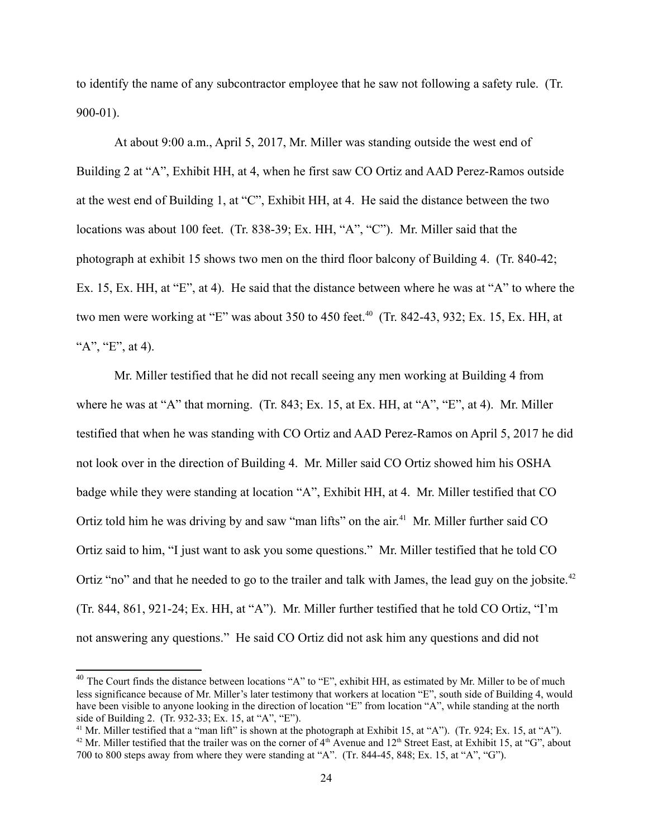to identify the name of any subcontractor employee that he saw not following a safety rule. (Tr. 900-01).

At about 9:00 a.m., April 5, 2017, Mr. Miller was standing outside the west end of Building 2 at "A", Exhibit HH, at 4, when he first saw CO Ortiz and AAD Perez-Ramos outside at the west end of Building 1, at "C", Exhibit HH, at 4. He said the distance between the two locations was about 100 feet. (Tr. 838-39; Ex. HH, "A", "C"). Mr. Miller said that the photograph at exhibit 15 shows two men on the third floor balcony of Building 4. (Tr. 840-42; Ex. 15, Ex. HH, at "E", at 4). He said that the distance between where he was at "A" to where the two men were working at "E" was about 350 to 450 feet.<sup>40</sup> (Tr. 842-43, 932; Ex. 15, Ex. HH, at " $A$ ", " $E$ ", at 4).

Mr. Miller testified that he did not recall seeing any men working at Building 4 from where he was at "A" that morning. (Tr. 843; Ex. 15, at Ex. HH, at "A", "E", at 4). Mr. Miller testified that when he was standing with CO Ortiz and AAD Perez-Ramos on April 5, 2017 he did not look over in the direction of Building 4. Mr. Miller said CO Ortiz showed him his OSHA badge while they were standing at location "A", Exhibit HH, at 4. Mr. Miller testified that CO Ortiz told him he was driving by and saw "man lifts" on the air.<sup>41</sup> Mr. Miller further said CO Ortiz said to him, "I just want to ask you some questions." Mr. Miller testified that he told CO Ortiz "no" and that he needed to go to the trailer and talk with James, the lead guy on the jobsite.<sup>42</sup> (Tr. 844, 861, 921-24; Ex. HH, at "A"). Mr. Miller further testified that he told CO Ortiz, "I'm not answering any questions." He said CO Ortiz did not ask him any questions and did not

<span id="page-23-0"></span>side of Building 2. (Tr. 932-33; Ex. 15, at "A", "E"). <sup>40</sup> The Court finds the distance between locations "A" to "E", exhibit HH, as estimated by Mr. Miller to be of much less significance because of Mr. Miller's later testimony that workers at location "E", south side of Building 4, would have been visible to anyone looking in the direction of location "E" from location "A", while standing at the north

<span id="page-23-2"></span><span id="page-23-1"></span><sup>&</sup>lt;sup>41</sup> Mr. Miller testified that a "man lift" is shown at the photograph at Exhibit 15, at "A"). (Tr. 924; Ex. 15, at "A").  $42$  Mr. Miller testified that the trailer was on the corner of  $4<sup>th</sup>$  Avenue and  $12<sup>th</sup>$  Street East, at Exhibit 15, at "G", about 700 to 800 steps away from where they were standing at "A". (Tr. 844-45, 848; Ex. 15, at "A", "G").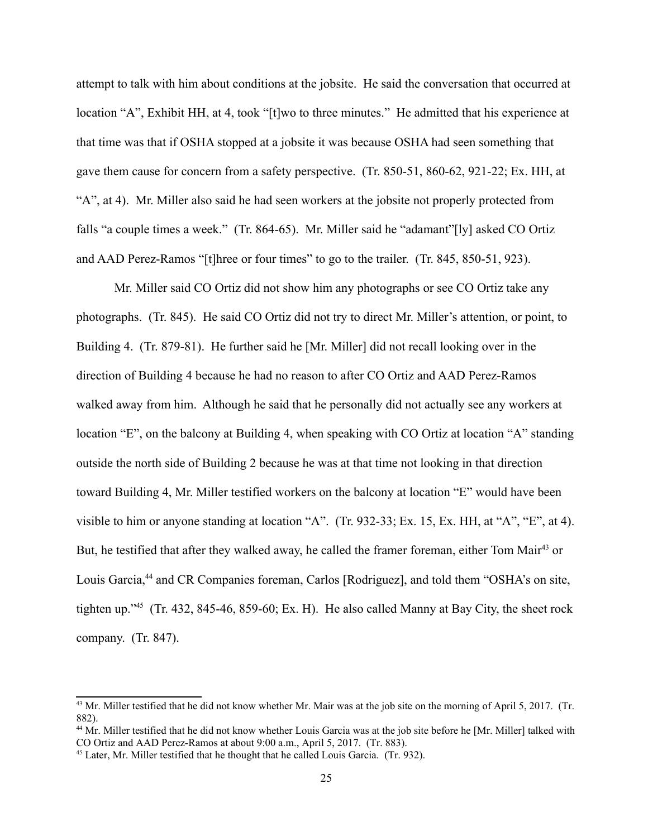attempt to talk with him about conditions at the jobsite. He said the conversation that occurred at location "A", Exhibit HH, at 4, took "[t]wo to three minutes." He admitted that his experience at that time was that if OSHA stopped at a jobsite it was because OSHA had seen something that gave them cause for concern from a safety perspective. (Tr. 850-51, 860-62, 921-22; Ex. HH, at "A", at 4). Mr. Miller also said he had seen workers at the jobsite not properly protected from falls "a couple times a week." (Tr. 864-65). Mr. Miller said he "adamant"[ly] asked CO Ortiz and AAD Perez-Ramos "[t]hree or four times" to go to the trailer. (Tr. 845, 850-51, 923).

 walked away from him. Although he said that he personally did not actually see any workers at Mr. Miller said CO Ortiz did not show him any photographs or see CO Ortiz take any photographs. (Tr. 845). He said CO Ortiz did not try to direct Mr. Miller's attention, or point, to Building 4. (Tr. 879-81). He further said he [Mr. Miller] did not recall looking over in the direction of Building 4 because he had no reason to after CO Ortiz and AAD Perez-Ramos location "E", on the balcony at Building 4, when speaking with CO Ortiz at location "A" standing outside the north side of Building 2 because he was at that time not looking in that direction toward Building 4, Mr. Miller testified workers on the balcony at location "E" would have been visible to him or anyone standing at location "A". (Tr. 932-33; Ex. 15, Ex. HH, at "A", "E", at 4). But, he testified that after they walked away, he called the framer foreman, either Tom Mair<sup>[43](#page-24-0)</sup> or Louis Garcia,<sup>44</sup> and CR Companies foreman, Carlos [Rodriguez], and told them "OSHA's on site, tighten up."[45](#page-24-2) (Tr. 432, 845-46, 859-60; Ex. H). He also called Manny at Bay City, the sheet rock company. (Tr. 847).

<span id="page-24-0"></span><sup>882).</sup> <sup>43</sup> Mr. Miller testified that he did not know whether Mr. Mair was at the job site on the morning of April 5, 2017. (Tr.

<span id="page-24-1"></span>CO Ortiz and AAD Perez-Ramos at about 9:00 a.m., April 5, 2017. (Tr. 883). <sup>44</sup> Mr. Miller testified that he did not know whether Louis Garcia was at the job site before he [Mr. Miller] talked with

<span id="page-24-2"></span> $^{45}$  Later, Mr. Miller testified that he thought that he called Louis Garcia. (Tr. 932).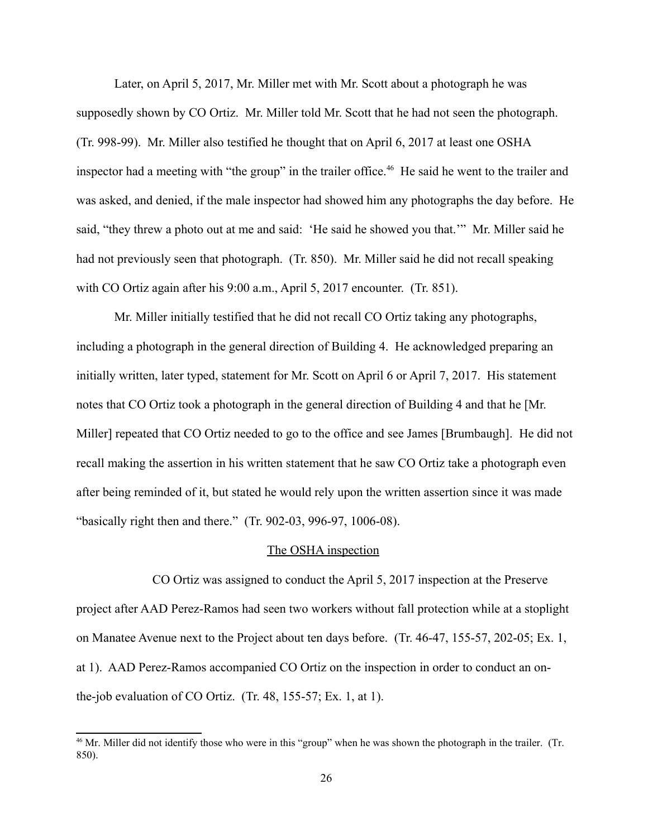Later, on April 5, 2017, Mr. Miller met with Mr. Scott about a photograph he was supposedly shown by CO Ortiz. Mr. Miller told Mr. Scott that he had not seen the photograph. (Tr. 998-99). Mr. Miller also testified he thought that on April 6, 2017 at least one OSHA inspector had a meeting with "the group" in the trailer office.<sup>46</sup> He said he went to the trailer and was asked, and denied, if the male inspector had showed him any photographs the day before. He said, "they threw a photo out at me and said: 'He said he showed you that.'" Mr. Miller said he had not previously seen that photograph. (Tr. 850). Mr. Miller said he did not recall speaking with CO Ortiz again after his 9:00 a.m., April 5, 2017 encounter. (Tr. 851).

Mr. Miller initially testified that he did not recall CO Ortiz taking any photographs, including a photograph in the general direction of Building 4. He acknowledged preparing an initially written, later typed, statement for Mr. Scott on April 6 or April 7, 2017. His statement notes that CO Ortiz took a photograph in the general direction of Building 4 and that he [Mr. Miller] repeated that CO Ortiz needed to go to the office and see James [Brumbaugh]. He did not recall making the assertion in his written statement that he saw CO Ortiz take a photograph even after being reminded of it, but stated he would rely upon the written assertion since it was made "basically right then and there." (Tr. 902-03, 996-97, 1006-08).

### The OSHA inspection

CO Ortiz was assigned to conduct the April 5, 2017 inspection at the Preserve project after AAD Perez-Ramos had seen two workers without fall protection while at a stoplight on Manatee Avenue next to the Project about ten days before. (Tr. 46-47, 155-57, 202-05; Ex. 1, at 1). AAD Perez-Ramos accompanied CO Ortiz on the inspection in order to conduct an onthe-job evaluation of CO Ortiz. (Tr. 48, 155-57; Ex. 1, at 1).

<span id="page-25-0"></span><sup>&</sup>lt;sup>46</sup> Mr. Miller did not identify those who were in this "group" when he was shown the photograph in the trailer. (Tr. 850).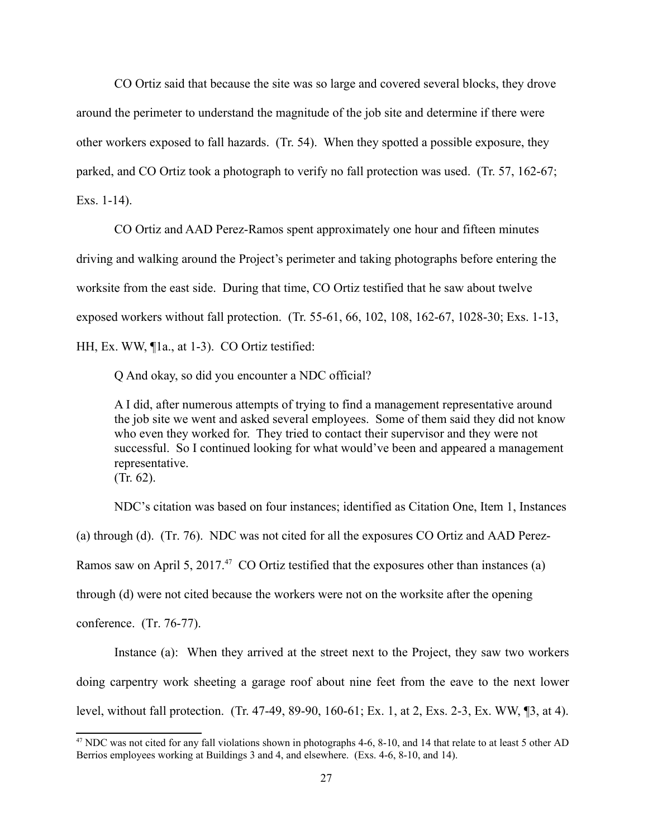CO Ortiz said that because the site was so large and covered several blocks, they drove around the perimeter to understand the magnitude of the job site and determine if there were other workers exposed to fall hazards. (Tr. 54). When they spotted a possible exposure, they parked, and CO Ortiz took a photograph to verify no fall protection was used. (Tr. 57, 162-67; Exs. 1-14).

CO Ortiz and AAD Perez-Ramos spent approximately one hour and fifteen minutes driving and walking around the Project's perimeter and taking photographs before entering the worksite from the east side. During that time, CO Ortiz testified that he saw about twelve exposed workers without fall protection. (Tr. 55-61, 66, 102, 108, 162-67, 1028-30; Exs. 1-13, HH, Ex. WW, ¶1a., at 1-3). CO Ortiz testified:

Q And okay, so did you encounter a NDC official?

A I did, after numerous attempts of trying to find a management representative around the job site we went and asked several employees. Some of them said they did not know who even they worked for. They tried to contact their supervisor and they were not successful. So I continued looking for what would've been and appeared a management representative. (Tr. 62).

NDC's citation was based on four instances; identified as Citation One, Item 1, Instances (a) through (d). (Tr. 76). NDC was not cited for all the exposures CO Ortiz and AAD Perez-Ramos saw on April 5, 2017.<sup>47</sup> CO Ortiz testified that the exposures other than instances (a) through (d) were not cited because the workers were not on the worksite after the opening conference. (Tr. 76-77).

 Instance (a): When they arrived at the street next to the Project, they saw two workers doing carpentry work sheeting a garage roof about nine feet from the eave to the next lower level, without fall protection. (Tr. 47-49, 89-90, 160-61; Ex. 1, at 2, Exs. 2-3, Ex. WW, ¶3, at 4).

<span id="page-26-0"></span><sup>&</sup>lt;sup>47</sup> NDC was not cited for any fall violations shown in photographs 4-6, 8-10, and 14 that relate to at least 5 other AD Berrios employees working at Buildings 3 and 4, and elsewhere. (Exs. 4-6, 8-10, and 14).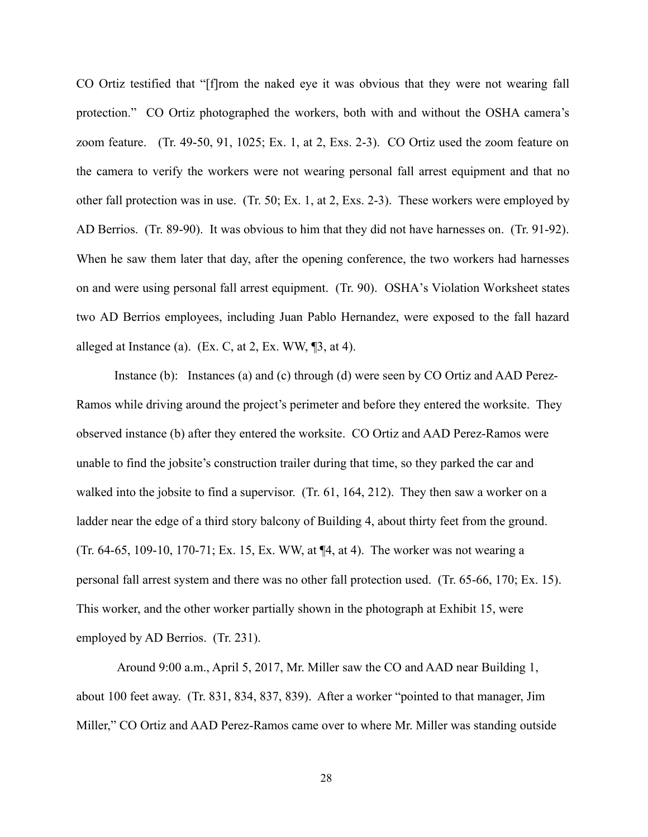CO Ortiz testified that "[f]rom the naked eye it was obvious that they were not wearing fall protection." CO Ortiz photographed the workers, both with and without the OSHA camera's zoom feature. (Tr. 49-50, 91, 1025; Ex. 1, at 2, Exs. 2-3). CO Ortiz used the zoom feature on the camera to verify the workers were not wearing personal fall arrest equipment and that no other fall protection was in use. (Tr. 50; Ex. 1, at 2, Exs. 2-3). These workers were employed by AD Berrios. (Tr. 89-90). It was obvious to him that they did not have harnesses on. (Tr. 91-92). When he saw them later that day, after the opening conference, the two workers had harnesses on and were using personal fall arrest equipment. (Tr. 90). OSHA's Violation Worksheet states two AD Berrios employees, including Juan Pablo Hernandez, were exposed to the fall hazard alleged at Instance (a). (Ex. C, at 2, Ex. WW,  $\mathbb{I}3$ , at 4).

 Ramos while driving around the project's perimeter and before they entered the worksite. They Instance (b): Instances (a) and (c) through (d) were seen by CO Ortiz and AAD Perezobserved instance (b) after they entered the worksite. CO Ortiz and AAD Perez-Ramos were unable to find the jobsite's construction trailer during that time, so they parked the car and walked into the jobsite to find a supervisor. (Tr. 61, 164, 212). They then saw a worker on a ladder near the edge of a third story balcony of Building 4, about thirty feet from the ground. (Tr. 64-65, 109-10, 170-71; Ex. 15, Ex. WW, at ¶4, at 4). The worker was not wearing a personal fall arrest system and there was no other fall protection used. (Tr. 65-66, 170; Ex. 15). This worker, and the other worker partially shown in the photograph at Exhibit 15, were employed by AD Berrios. (Tr. 231).

Around 9:00 a.m., April 5, 2017, Mr. Miller saw the CO and AAD near Building 1, about 100 feet away. (Tr. 831, 834, 837, 839). After a worker "pointed to that manager, Jim Miller," CO Ortiz and AAD Perez-Ramos came over to where Mr. Miller was standing outside

28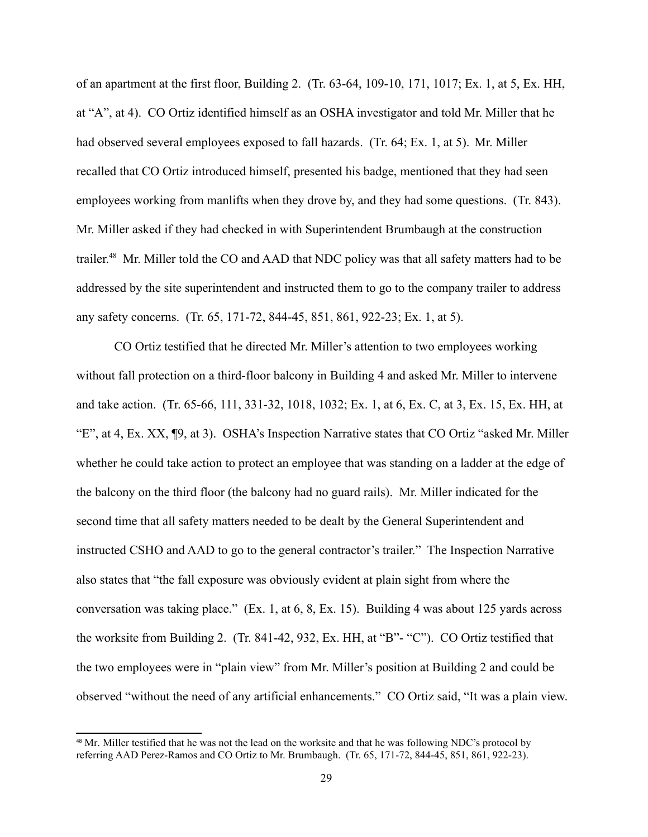had observed several employees exposed to fall hazards. (Tr. 64; Ex. 1, at 5). Mr. Miller of an apartment at the first floor, Building 2. (Tr. 63-64, 109-10, 171, 1017; Ex. 1, at 5, Ex. HH, at "A", at 4). CO Ortiz identified himself as an OSHA investigator and told Mr. Miller that he recalled that CO Ortiz introduced himself, presented his badge, mentioned that they had seen employees working from manlifts when they drove by, and they had some questions. (Tr. 843). Mr. Miller asked if they had checked in with Superintendent Brumbaugh at the construction trailer.<sup>48</sup> Mr. Miller told the CO and AAD that NDC policy was that all safety matters had to be addressed by the site superintendent and instructed them to go to the company trailer to address any safety concerns. (Tr. 65, 171-72, 844-45, 851, 861, 922-23; Ex. 1, at 5).

 instructed CSHO and AAD to go to the general contractor's trailer." The Inspection Narrative CO Ortiz testified that he directed Mr. Miller's attention to two employees working without fall protection on a third-floor balcony in Building 4 and asked Mr. Miller to intervene and take action. (Tr. 65-66, 111, 331-32, 1018, 1032; Ex. 1, at 6, Ex. C, at 3, Ex. 15, Ex. HH, at "E", at 4, Ex. XX, ¶9, at 3). OSHA's Inspection Narrative states that CO Ortiz "asked Mr. Miller whether he could take action to protect an employee that was standing on a ladder at the edge of the balcony on the third floor (the balcony had no guard rails). Mr. Miller indicated for the second time that all safety matters needed to be dealt by the General Superintendent and also states that "the fall exposure was obviously evident at plain sight from where the conversation was taking place." (Ex. 1, at 6, 8, Ex. 15). Building 4 was about 125 yards across the worksite from Building 2. (Tr. 841-42, 932, Ex. HH, at "B"- "C"). CO Ortiz testified that the two employees were in "plain view" from Mr. Miller's position at Building 2 and could be observed "without the need of any artificial enhancements." CO Ortiz said, "It was a plain view.

<span id="page-28-0"></span><sup>&</sup>lt;sup>48</sup> Mr. Miller testified that he was not the lead on the worksite and that he was following NDC's protocol by referring AAD Perez-Ramos and CO Ortiz to Mr. Brumbaugh. (Tr. 65, 171-72, 844-45, 851, 861, 922-23).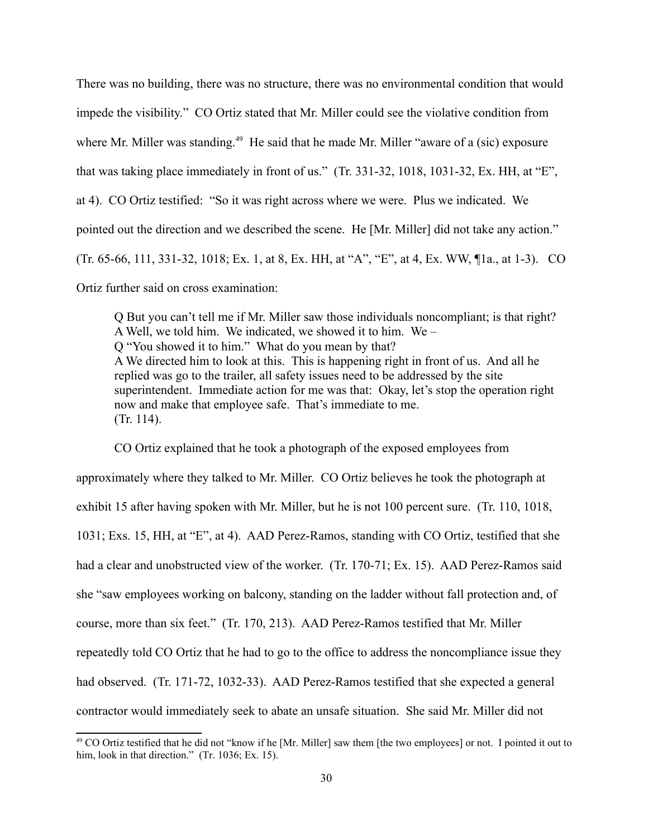pointed out the direction and we described the scene. He [Mr. Miller] did not take any action." There was no building, there was no structure, there was no environmental condition that would impede the visibility." CO Ortiz stated that Mr. Miller could see the violative condition from where Mr. Miller was standing.<sup>49</sup> He said that he made Mr. Miller "aware of a (sic) exposure that was taking place immediately in front of us." (Tr. 331-32, 1018, 1031-32, Ex. HH, at "E", at 4). CO Ortiz testified: "So it was right across where we were. Plus we indicated. We (Tr. 65-66, 111, 331-32, 1018; Ex. 1, at 8, Ex. HH, at "A", "E", at 4, Ex. WW, ¶1a., at 1-3). CO Ortiz further said on cross examination:

 Q But you can't tell me if Mr. Miller saw those individuals noncompliant; is that right? A Well, we told him. We indicated, we showed it to him. We – Q "You showed it to him." What do you mean by that? A We directed him to look at this. This is happening right in front of us. And all he replied was go to the trailer, all safety issues need to be addressed by the site superintendent. Immediate action for me was that: Okay, let's stop the operation right now and make that employee safe. That's immediate to me. (Tr. 114).

CO Ortiz explained that he took a photograph of the exposed employees from approximately where they talked to Mr. Miller. CO Ortiz believes he took the photograph at exhibit 15 after having spoken with Mr. Miller, but he is not 100 percent sure. (Tr. 110, 1018, 1031; Exs. 15, HH, at "E", at 4). AAD Perez-Ramos, standing with CO Ortiz, testified that she had a clear and unobstructed view of the worker. (Tr. 170-71; Ex. 15). AAD Perez-Ramos said she "saw employees working on balcony, standing on the ladder without fall protection and, of course, more than six feet." (Tr. 170, 213). AAD Perez-Ramos testified that Mr. Miller repeatedly told CO Ortiz that he had to go to the office to address the noncompliance issue they had observed. (Tr. 171-72, 1032-33). AAD Perez-Ramos testified that she expected a general contractor would immediately seek to abate an unsafe situation. She said Mr. Miller did not

<span id="page-29-0"></span><sup>&</sup>lt;sup>49</sup> CO Ortiz testified that he did not "know if he [Mr. Miller] saw them [the two employees] or not. I pointed it out to him, look in that direction." (Tr. 1036; Ex. 15).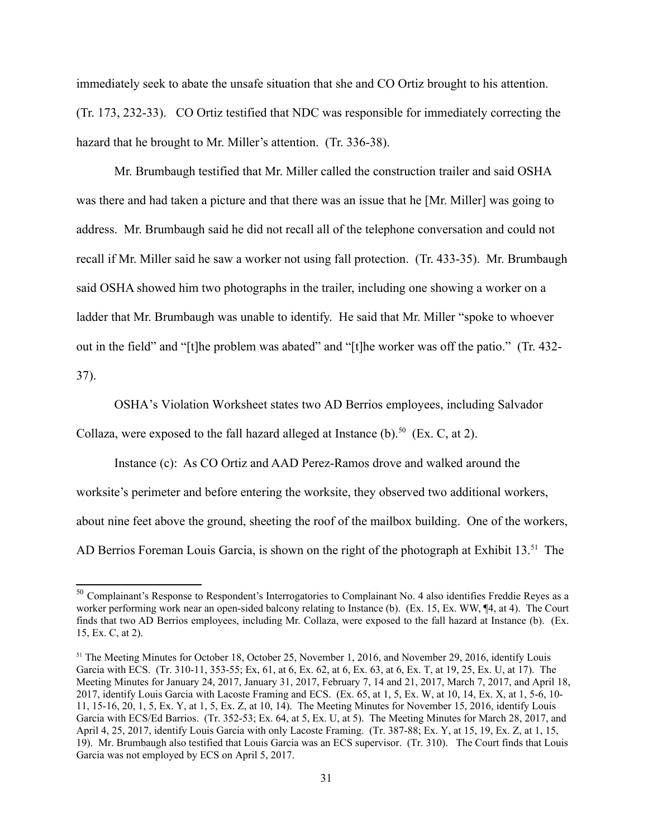immediately seek to abate the unsafe situation that she and CO Ortiz brought to his attention. (Tr. 173, 232-33). CO Ortiz testified that NDC was responsible for immediately correcting the hazard that he brought to Mr. Miller's attention. (Tr. 336-38).

Mr. Brumbaugh testified that Mr. Miller called the construction trailer and said OSHA was there and had taken a picture and that there was an issue that he [Mr. Miller] was going to address. Mr. Brumbaugh said he did not recall all of the telephone conversation and could not recall if Mr. Miller said he saw a worker not using fall protection. (Tr. 433-35). Mr. Brumbaugh said OSHA showed him two photographs in the trailer, including one showing a worker on a ladder that Mr. Brumbaugh was unable to identify. He said that Mr. Miller "spoke to whoever out in the field" and "[t]he problem was abated" and "[t]he worker was off the patio." (Tr. 432- 37).

OSHA's Violation Worksheet states two AD Berrios employees, including Salvador

Collaza, were exposed to the fall hazard alleged at Instance  $(b)$ .<sup>50</sup> (Ex. C, at 2).

 Instance (c): As CO Ortiz and AAD Perez-Ramos drove and walked around the AD Berrios Foreman Louis Garcia, is shown on the right of the photograph at Exhibit 13.<sup>51</sup> The worksite's perimeter and before entering the worksite, they observed two additional workers, about nine feet above the ground, sheeting the roof of the mailbox building. One of the workers,

<span id="page-30-0"></span> $50$  Complainant's Response to Respondent's Interrogatories to Complainant No. 4 also identifies Freddie Reyes as a worker performing work near an open-sided balcony relating to Instance (b). (Ex. 15, Ex. WW, ¶4, at 4). The Court finds that two AD Berrios employees, including Mr. Collaza, were exposed to the fall hazard at Instance (b). (Ex. 15, Ex. C, at 2).

<span id="page-30-1"></span><sup>&</sup>lt;sup>51</sup> The Meeting Minutes for October 18, October 25, November 1, 2016, and November 29, 2016, identify Louis Garcia with ECS. (Tr. 310-11, 353-55; Ex, 61, at 6, Ex. 62, at 6, Ex. 63, at 6, Ex. T, at 19, 25, Ex. U, at 17). The Meeting Minutes for January 24, 2017, January 31, 2017, February 7, 14 and 21, 2017, March 7, 2017, and April 18, 2017, identify Louis Garcia with Lacoste Framing and ECS. (Ex. 65, at 1, 5, Ex. W, at 10, 14, Ex. X, at 1, 5-6, 10- 11, 15-16, 20, 1, 5, Ex. Y, at 1, 5, Ex. Z, at 10, 14). The Meeting Minutes for November 15, 2016, identify Louis Garcia with ECS/Ed Barrios. (Tr. 352-53; Ex. 64, at 5, Ex. U, at 5). The Meeting Minutes for March 28, 2017, and April 4, 25, 2017, identify Louis Garcia with only Lacoste Framing. (Tr. 387-88; Ex. Y, at 15, 19, Ex. Z, at 1, 15, 19). Mr. Brumbaugh also testified that Louis Garcia was an ECS supervisor. (Tr. 310). The Court finds that Louis Garcia was not employed by ECS on April 5, 2017.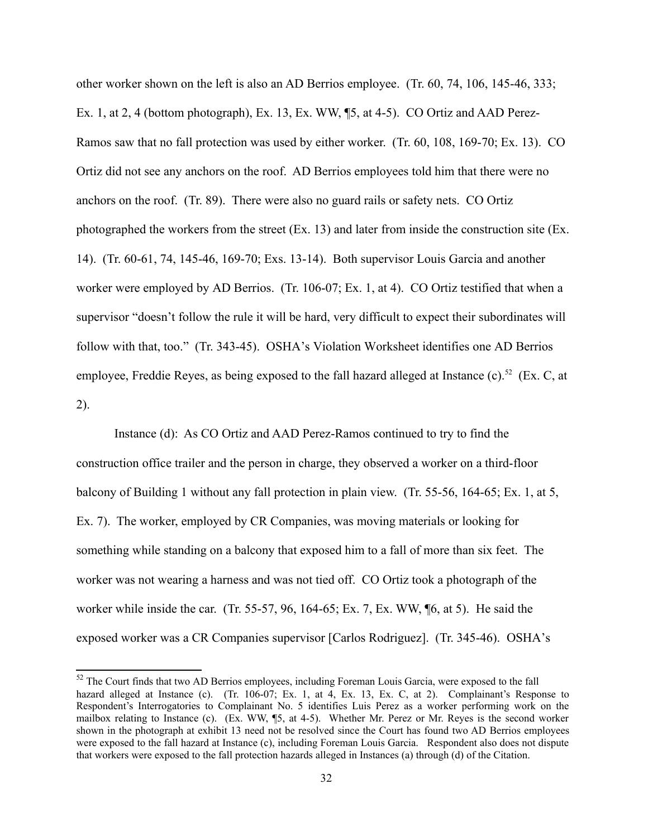other worker shown on the left is also an AD Berrios employee. (Tr. 60, 74, 106, 145-46, 333; Ex. 1, at 2, 4 (bottom photograph), Ex. 13, Ex. WW, ¶5, at 4-5). CO Ortiz and AAD Perez-Ramos saw that no fall protection was used by either worker. (Tr. 60, 108, 169-70; Ex. 13). CO Ortiz did not see any anchors on the roof. AD Berrios employees told him that there were no anchors on the roof. (Tr. 89). There were also no guard rails or safety nets. CO Ortiz photographed the workers from the street (Ex. 13) and later from inside the construction site (Ex. 14). (Tr. 60-61, 74, 145-46, 169-70; Exs. 13-14). Both supervisor Louis Garcia and another worker were employed by AD Berrios. (Tr. 106-07; Ex. 1, at 4). CO Ortiz testified that when a supervisor "doesn't follow the rule it will be hard, very difficult to expect their subordinates will follow with that, too." (Tr. 343-45). OSHA's Violation Worksheet identifies one AD Berrios employee, Freddie Reyes, as being exposed to the fall hazard alleged at Instance (c).<sup>52</sup> (Ex. C, at 2).

 Instance (d): As CO Ortiz and AAD Perez-Ramos continued to try to find the something while standing on a balcony that exposed him to a fall of more than six feet. The construction office trailer and the person in charge, they observed a worker on a third-floor balcony of Building 1 without any fall protection in plain view. (Tr. 55-56, 164-65; Ex. 1, at 5, Ex. 7). The worker, employed by CR Companies, was moving materials or looking for worker was not wearing a harness and was not tied off. CO Ortiz took a photograph of the worker while inside the car. (Tr. 55-57, 96, 164-65; Ex. 7, Ex. WW, ¶6, at 5). He said the exposed worker was a CR Companies supervisor [Carlos Rodriguez]. (Tr. 345-46). OSHA's

<span id="page-31-0"></span>hazard alleged at Instance (c). (Tr. 106-07; Ex. 1, at 4, Ex. 13, Ex. C, at 2). Complainant's Response to Respondent's Interrogatories to Complainant No. 5 identifies Luis Perez as a worker performing work on the mailbox relating to Instance (c). (Ex. WW, ¶5, at 4-5). Whether Mr. Perez or Mr. Reyes is the second worker shown in the photograph at exhibit 13 need not be resolved since the Court has found two AD Berrios employees were exposed to the fall hazard at Instance (c), including Foreman Louis Garcia. Respondent also does not dispute <sup>52</sup> The Court finds that two AD Berrios employees, including Foreman Louis Garcia, were exposed to the fall that workers were exposed to the fall protection hazards alleged in Instances (a) through (d) of the Citation.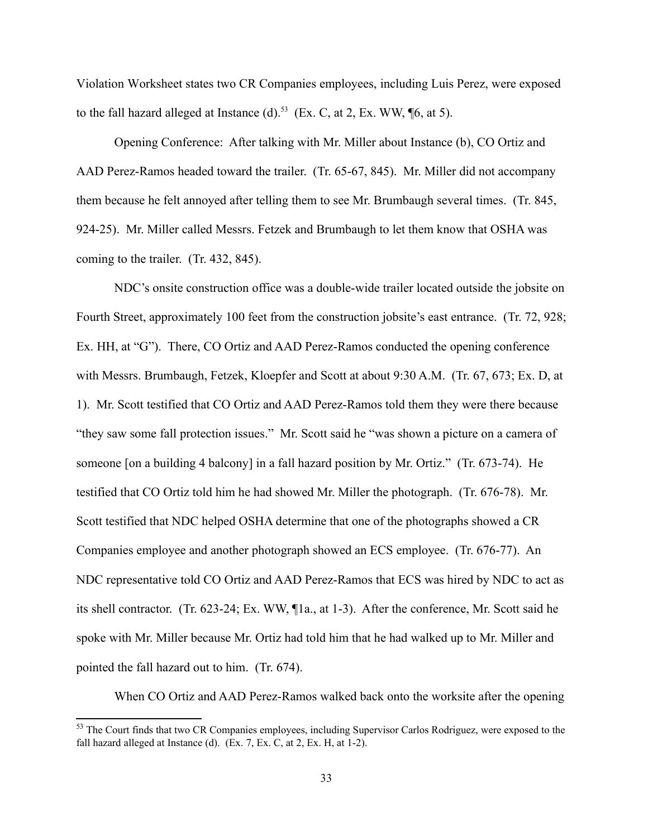Violation Worksheet states two CR Companies employees, including Luis Perez, were exposed to the fall hazard alleged at Instance (d).<sup>53</sup> (Ex. C, at 2, Ex. WW,  $\phi$ <sub>6</sub>, at 5).

 Opening Conference: After talking with Mr. Miller about Instance (b), CO Ortiz and AAD Perez-Ramos headed toward the trailer. (Tr. 65-67, 845). Mr. Miller did not accompany them because he felt annoyed after telling them to see Mr. Brumbaugh several times. (Tr. 845, 924-25). Mr. Miller called Messrs. Fetzek and Brumbaugh to let them know that OSHA was coming to the trailer. (Tr. 432, 845).

 Ex. HH, at "G"). There, CO Ortiz and AAD Perez-Ramos conducted the opening conference NDC's onsite construction office was a double-wide trailer located outside the jobsite on Fourth Street, approximately 100 feet from the construction jobsite's east entrance. (Tr. 72, 928; with Messrs. Brumbaugh, Fetzek, Kloepfer and Scott at about 9:30 A.M. (Tr. 67, 673; Ex. D, at 1). Mr. Scott testified that CO Ortiz and AAD Perez-Ramos told them they were there because "they saw some fall protection issues." Mr. Scott said he "was shown a picture on a camera of someone [on a building 4 balcony] in a fall hazard position by Mr. Ortiz." (Tr. 673-74). He testified that CO Ortiz told him he had showed Mr. Miller the photograph. (Tr. 676-78). Mr. Scott testified that NDC helped OSHA determine that one of the photographs showed a CR Companies employee and another photograph showed an ECS employee. (Tr. 676-77). An NDC representative told CO Ortiz and AAD Perez-Ramos that ECS was hired by NDC to act as its shell contractor. (Tr. 623-24; Ex. WW, ¶1a., at 1-3). After the conference, Mr. Scott said he spoke with Mr. Miller because Mr. Ortiz had told him that he had walked up to Mr. Miller and pointed the fall hazard out to him. (Tr. 674).

When CO Ortiz and AAD Perez-Ramos walked back onto the worksite after the opening

<span id="page-32-0"></span> fall hazard alleged at Instance (d). (Ex. 7, Ex. C, at 2, Ex. H, at 1-2). <sup>53</sup> The Court finds that two CR Companies employees, including Supervisor Carlos Rodriguez, were exposed to the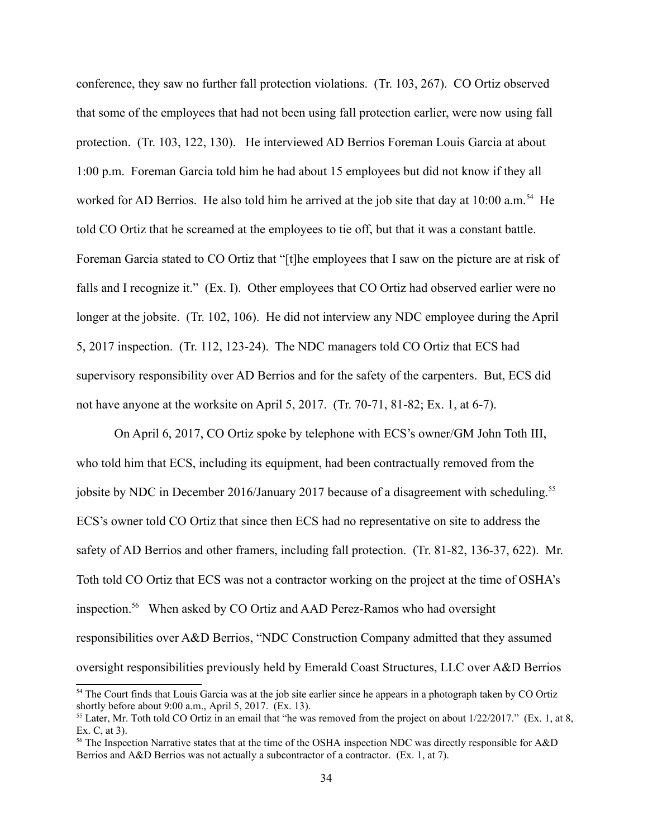told CO Ortiz that he screamed at the employees to tie off, but that it was a constant battle. Foreman Garcia stated to CO Ortiz that "[t]he employees that I saw on the picture are at risk of longer at the jobsite. (Tr. 102, 106). He did not interview any NDC employee during the April conference, they saw no further fall protection violations. (Tr. 103, 267). CO Ortiz observed that some of the employees that had not been using fall protection earlier, were now using fall protection. (Tr. 103, 122, 130). He interviewed AD Berrios Foreman Louis Garcia at about 1:00 p.m. Foreman Garcia told him he had about 15 employees but did not know if they all worked for AD Berrios. He also told him he arrived at the job site that day at 10:00 a.m.<sup>54</sup> He falls and I recognize it." (Ex. I). Other employees that CO Ortiz had observed earlier were no 5, 2017 inspection. (Tr. 112, 123-24). The NDC managers told CO Ortiz that ECS had supervisory responsibility over AD Berrios and for the safety of the carpenters. But, ECS did not have anyone at the worksite on April 5, 2017. (Tr. 70-71, 81-82; Ex. 1, at 6-7).

jobsite by NDC in December 2016/January 2017 because of a disagreement with scheduling.<sup>55</sup> inspection.<sup>56</sup> When asked by CO Ortiz and AAD Perez-Ramos who had oversight On April 6, 2017, CO Ortiz spoke by telephone with ECS's owner/GM John Toth III, who told him that ECS, including its equipment, had been contractually removed from the ECS's owner told CO Ortiz that since then ECS had no representative on site to address the safety of AD Berrios and other framers, including fall protection. (Tr. 81-82, 136-37, 622). Mr. Toth told CO Ortiz that ECS was not a contractor working on the project at the time of OSHA's responsibilities over A&D Berrios, "NDC Construction Company admitted that they assumed oversight responsibilities previously held by Emerald Coast Structures, LLC over A&D Berrios

<span id="page-33-0"></span><sup>&</sup>lt;sup>54</sup> The Court finds that Louis Garcia was at the job site earlier since he appears in a photograph taken by CO Ortiz shortly before about 9:00 a.m., April 5, 2017. (Ex. 13).

<span id="page-33-1"></span><sup>&</sup>lt;sup>55</sup> Later, Mr. Toth told CO Ortiz in an email that "he was removed from the project on about  $1/22/2017$ ." (Ex. 1, at 8, Ex. C, at 3).

<span id="page-33-2"></span><sup>56</sup> The Inspection Narrative states that at the time of the OSHA inspection NDC was directly responsible for A&D Berrios and A&D Berrios was not actually a subcontractor of a contractor. (Ex. 1, at 7).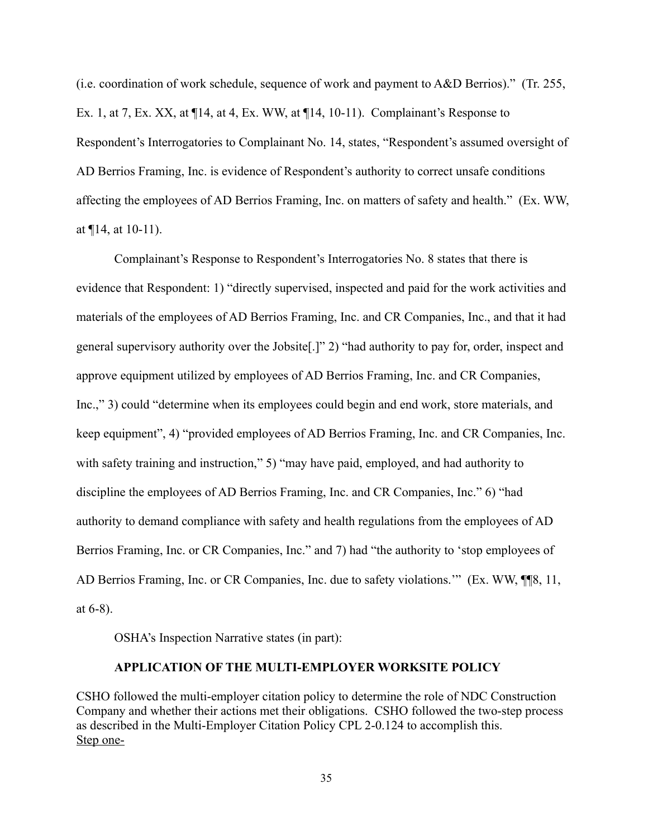(i.e. coordination of work schedule, sequence of work and payment to A&D Berrios)." (Tr. 255, Ex. 1, at 7, Ex. XX, at ¶14, at 4, Ex. WW, at ¶14, 10-11). Complainant's Response to Respondent's Interrogatories to Complainant No. 14, states, "Respondent's assumed oversight of AD Berrios Framing, Inc. is evidence of Respondent's authority to correct unsafe conditions affecting the employees of AD Berrios Framing, Inc. on matters of safety and health." (Ex. WW, at  $\P$ 14, at 10-11).

Complainant's Response to Respondent's Interrogatories No. 8 states that there is evidence that Respondent: 1) "directly supervised, inspected and paid for the work activities and materials of the employees of AD Berrios Framing, Inc. and CR Companies, Inc., and that it had general supervisory authority over the Jobsite[.]" 2) "had authority to pay for, order, inspect and approve equipment utilized by employees of AD Berrios Framing, Inc. and CR Companies, Inc.," 3) could "determine when its employees could begin and end work, store materials, and keep equipment", 4) "provided employees of AD Berrios Framing, Inc. and CR Companies, Inc. with safety training and instruction," 5) "may have paid, employed, and had authority to discipline the employees of AD Berrios Framing, Inc. and CR Companies, Inc." 6) "had authority to demand compliance with safety and health regulations from the employees of AD Berrios Framing, Inc. or CR Companies, Inc." and 7) had "the authority to 'stop employees of AD Berrios Framing, Inc. or CR Companies, Inc. due to safety violations.'" (Ex. WW, ¶¶8, 11, at 6-8).

OSHA's Inspection Narrative states (in part):

### **APPL CAT ON OF THE MULT -EMPLOYER WORKS TE POL CY**

CSHO followed the multi-employer citation policy to determine the role of NDC Construction Company and whether their actions met their obligations. CSHO followed the two-step process as described in the Multi-Employer Citation Policy CPL 2-0.124 to accomplish this. Step one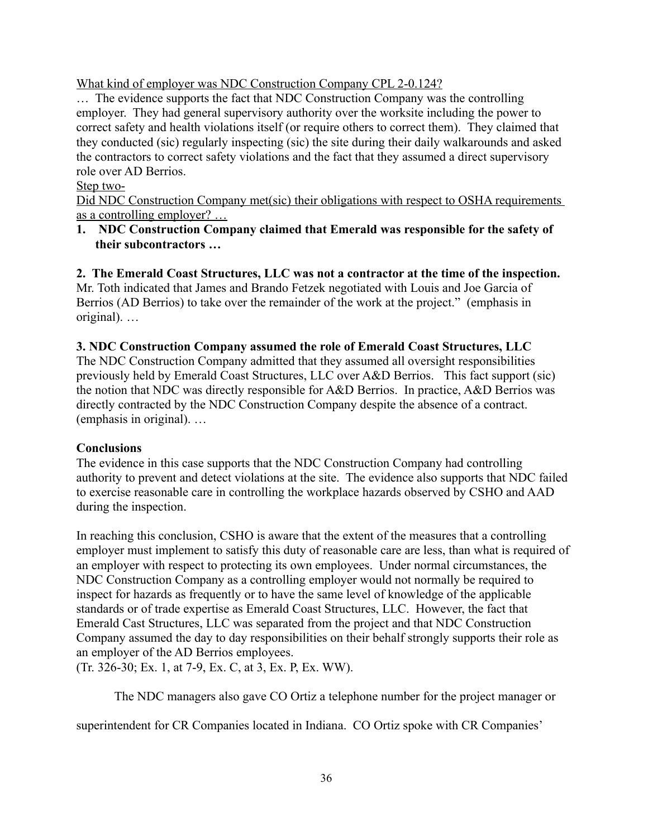What kind of employer was NDC Construction Company CPL 2-0.124?

… The evidence supports the fact that NDC Construction Company was the controlling employer. They had general supervisory authority over the worksite including the power to correct safety and health violations itself (or require others to correct them). They claimed that they conducted (sic) regularly inspecting (sic) the site during their daily walkarounds and asked the contractors to correct safety violations and the fact that they assumed a direct supervisory role over AD Berrios.

# Step two-

Did NDC Construction Company met(sic) their obligations with respect to OSHA requirements as a controlling employer? …

**1. NDC Construction Company claimed that Emerald was responsible for the safety of their subcontractors …** 

**2. The Emerald Coast Structures, LLC was not a contractor at the time of the inspection.**  Mr. Toth indicated that James and Brando Fetzek negotiated with Louis and Joe Garcia of Berrios (AD Berrios) to take over the remainder of the work at the project." (emphasis in original). …

# **3. NDC Construction Company assumed the role of Emerald Coast Structures, LLC**

 previously held by Emerald Coast Structures, LLC over A&D Berrios. This fact support (sic) directly contracted by the NDC Construction Company despite the absence of a contract. (emphasis in original). … The NDC Construction Company admitted that they assumed all oversight responsibilities the notion that NDC was directly responsible for A&D Berrios. In practice, A&D Berrios was

# **Conclusions**

 to exercise reasonable care in controlling the workplace hazards observed by CSHO and AAD The evidence in this case supports that the NDC Construction Company had controlling authority to prevent and detect violations at the site. The evidence also supports that NDC failed during the inspection.

In reaching this conclusion, CSHO is aware that the extent of the measures that a controlling employer must implement to satisfy this duty of reasonable care are less, than what is required of an employer with respect to protecting its own employees. Under normal circumstances, the NDC Construction Company as a controlling employer would not normally be required to inspect for hazards as frequently or to have the same level of knowledge of the applicable standards or of trade expertise as Emerald Coast Structures, LLC. However, the fact that Emerald Cast Structures, LLC was separated from the project and that NDC Construction Company assumed the day to day responsibilities on their behalf strongly supports their role as an employer of the AD Berrios employees.

(Tr. 326-30; Ex. 1, at 7-9, Ex. C, at 3, Ex. P, Ex. WW).

The NDC managers also gave CO Ortiz a telephone number for the project manager or

superintendent for CR Companies located in Indiana. CO Ortiz spoke with CR Companies'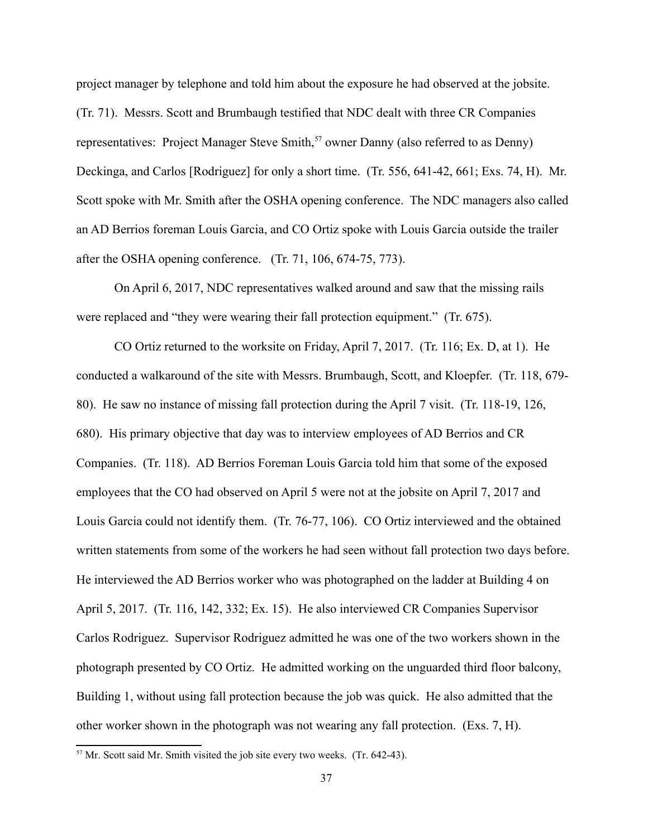project manager by telephone and told him about the exposure he had observed at the jobsite. (Tr. 71). Messrs. Scott and Brumbaugh testified that NDC dealt with three CR Companies representatives: Project Manager Steve Smith,<sup>57</sup> owner Danny (also referred to as Denny) Deckinga, and Carlos [Rodriguez] for only a short time. (Tr. 556, 641-42, 661; Exs. 74, H). Mr. Scott spoke with Mr. Smith after the OSHA opening conference. The NDC managers also called an AD Berrios foreman Louis Garcia, and CO Ortiz spoke with Louis Garcia outside the trailer after the OSHA opening conference. (Tr. 71, 106, 674-75, 773).

On April 6, 2017, NDC representatives walked around and saw that the missing rails were replaced and "they were wearing their fall protection equipment." (Tr. 675).

CO Ortiz returned to the worksite on Friday, April 7, 2017. (Tr. 116; Ex. D, at 1). He conducted a walkaround of the site with Messrs. Brumbaugh, Scott, and Kloepfer. (Tr. 118, 679- 80). He saw no instance of missing fall protection during the April 7 visit. (Tr. 118-19, 126, 680). His primary objective that day was to interview employees of AD Berrios and CR Companies. (Tr. 118). AD Berrios Foreman Louis Garcia told him that some of the exposed employees that the CO had observed on April 5 were not at the jobsite on April 7, 2017 and Louis Garcia could not identify them. (Tr. 76-77, 106). CO Ortiz interviewed and the obtained written statements from some of the workers he had seen without fall protection two days before. He interviewed the AD Berrios worker who was photographed on the ladder at Building 4 on April 5, 2017. (Tr. 116, 142, 332; Ex. 15). He also interviewed CR Companies Supervisor Carlos Rodriguez. Supervisor Rodriguez admitted he was one of the two workers shown in the photograph presented by CO Ortiz. He admitted working on the unguarded third floor balcony, Building 1, without using fall protection because the job was quick. He also admitted that the other worker shown in the photograph was not wearing any fall protection. (Exs. 7, H).

<span id="page-36-0"></span><sup>&</sup>lt;sup>57</sup> Mr. Scott said Mr. Smith visited the job site every two weeks. (Tr. 642-43).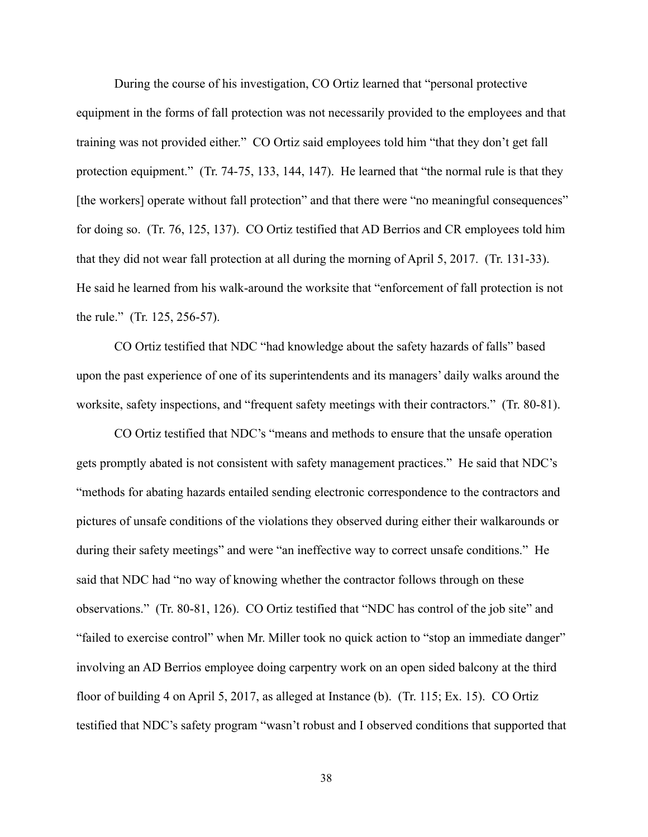During the course of his investigation, CO Ortiz learned that "personal protective equipment in the forms of fall protection was not necessarily provided to the employees and that training was not provided either." CO Ortiz said employees told him "that they don't get fall protection equipment." (Tr. 74-75, 133, 144, 147). He learned that "the normal rule is that they [the workers] operate without fall protection" and that there were "no meaningful consequences" for doing so. (Tr. 76, 125, 137). CO Ortiz testified that AD Berrios and CR employees told him that they did not wear fall protection at all during the morning of April 5, 2017. (Tr. 131-33). He said he learned from his walk-around the worksite that "enforcement of fall protection is not the rule." (Tr. 125, 256-57).

CO Ortiz testified that NDC "had knowledge about the safety hazards of falls" based upon the past experience of one of its superintendents and its managers' daily walks around the worksite, safety inspections, and "frequent safety meetings with their contractors." (Tr. 80-81).

CO Ortiz testified that NDC's "means and methods to ensure that the unsafe operation gets promptly abated is not consistent with safety management practices." He said that NDC's "methods for abating hazards entailed sending electronic correspondence to the contractors and pictures of unsafe conditions of the violations they observed during either their walkarounds or during their safety meetings" and were "an ineffective way to correct unsafe conditions." He said that NDC had "no way of knowing whether the contractor follows through on these observations." (Tr. 80-81, 126). CO Ortiz testified that "NDC has control of the job site" and "failed to exercise control" when Mr. Miller took no quick action to "stop an immediate danger" involving an AD Berrios employee doing carpentry work on an open sided balcony at the third floor of building 4 on April 5, 2017, as alleged at Instance (b). (Tr. 115; Ex. 15). CO Ortiz testified that NDC's safety program "wasn't robust and I observed conditions that supported that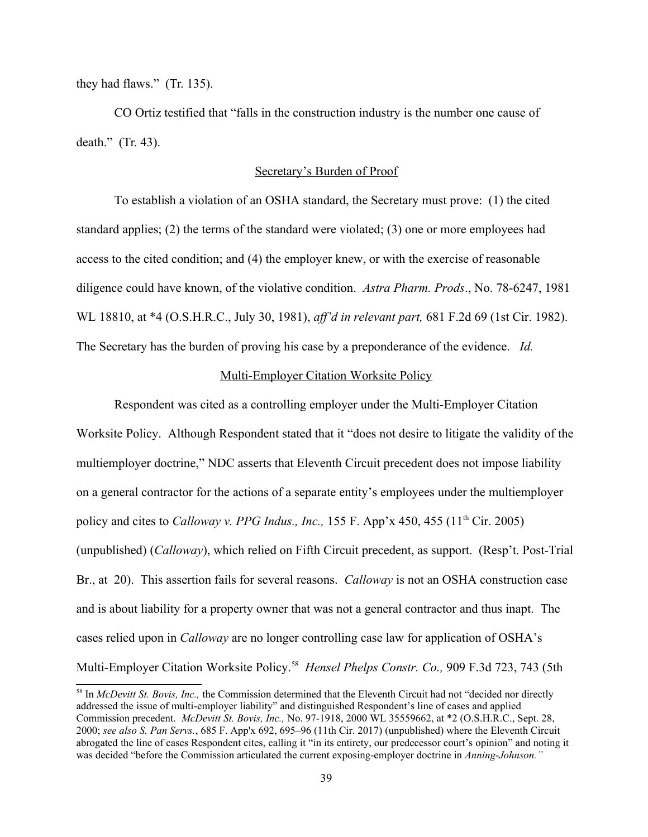they had flaws." (Tr. 135).

CO Ortiz testified that "falls in the construction industry is the number one cause of death." (Tr. 43).

## Secretary's Burden of Proof

diligence could have known, of the violative condition. Astra Pharm. Prods., No. 78-6247, 1981 The Secretary has the burden of proving his case by a preponderance of the evidence. *Id.*  To establish a violation of an OSHA standard, the Secretary must prove: (1) the cited standard applies; (2) the terms of the standard were violated; (3) one or more employees had access to the cited condition; and (4) the employer knew, or with the exercise of reasonable WL 18810, at \*4 (O.S.H.R.C., July 30, 1981), *aff'd in relevant part*, 681 F.2d 69 (1st Cir. 1982).

### Multi-Employer Citation Worksite Policy

 Multi-Employer Citation Worksite Policy[.58](#page-38-0) *Hensel Phelps Constr. Co.,* 909 F.3d 723, 743 (5th Respondent was cited as a controlling employer under the Multi-Employer Citation Worksite Policy. Although Respondent stated that it "does not desire to litigate the validity of the multiemployer doctrine," NDC asserts that Eleventh Circuit precedent does not impose liability on a general contractor for the actions of a separate entity's employees under the multiemployer policy and cites to *Calloway v. PPG Indus., Inc.*, 155 F. App'x 450, 455 (11<sup>th</sup> Cir. 2005) (unpublished) (*Calloway*), which relied on Fifth Circuit precedent, as support. (Resp't. Post-Trial Br., at 20). This assertion fails for several reasons. *Calloway* is not an OSHA construction case and is about liability for a property owner that was not a general contractor and thus inapt. The cases relied upon in *Calloway* are no longer controlling case law for application of OSHA's

<span id="page-38-0"></span> Commission precedent. *McDevitt St. Bovis, Inc.,* No. 97-1918, 2000 WL 35559662, at \*2 (O.S.H.R.C., Sept. 28, 58 In *McDevitt St. Bovis, Inc.,* the Commission determined that the Eleventh Circuit had not "decided nor directly addressed the issue of multi-employer liability" and distinguished Respondent's line of cases and applied 2000; see also S. Pan Servs., 685 F. App'x 692, 695–96 (11th Cir. 2017) (unpublished) where the Eleventh Circuit abrogated the line of cases Respondent cites, calling it "in its entirety, our predecessor court's opinion" and noting it was decided "before the Commission articulated the current exposing-employer doctrine in *Anning-Johnson."*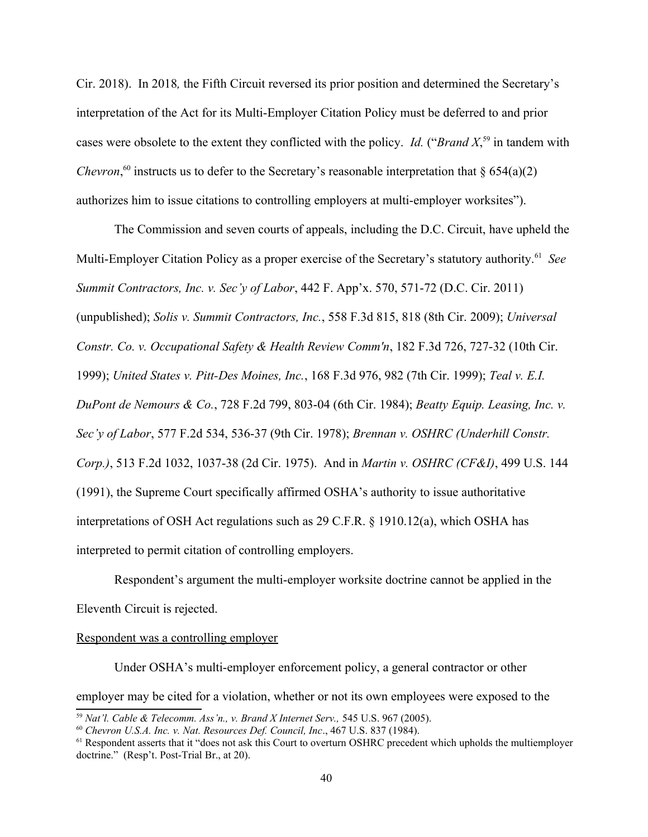cases were obsolete to the extent they conflicted with the policy. *Id.* ("*Brand X*<sup>[59](#page-39-0)</sup> in tandem with Cir. 2018). In 2018*,* the Fifth Circuit reversed its prior position and determined the Secretary's interpretation of the Act for its Multi-Employer Citation Policy must be deferred to and prior *Chevron*,<sup>[60](#page-39-1)</sup> instructs us to defer to the Secretary's reasonable interpretation that  $\S 654(a)(2)$ authorizes him to issue citations to controlling employers at multi-employer worksites").

 Multi-Employer Citation Policy as a proper exercise of the Secretary's statutory authority[.61](#page-39-2) *See*  The Commission and seven courts of appeals, including the D.C. Circuit, have upheld the *Summit Contractors, Inc. v. Sec'y of Labor,* 442 F. App'x. 570, 571-72 (D.C. Cir. 2011) (unpublished); *Solis v. Summit Contractors, Inc.*, 558 F.3d 815, 818 (8th Cir. 2009); *Universal Constr. Co. v. Occupational Safety & Health Review Comm'n, 182 F.3d 726, 727-32 (10th Cir.* 1999); *United States v. Pitt-Des Moines, Inc.*, 168 F.3d 976, 982 (7th Cir. 1999); *Teal v. E.I. DuPont de Nemours & Co., 728 F.2d 799, 803-04 (6th Cir. 1984); Beatty Equip. Leasing, Inc. v. Sec'y of Labor*, 577 F.2d 534, 536-37 (9th Cir. 1978); *Brennan v. OSHRC (Underhill Constr. Corp.)*, 513 F.2d 1032, 1037-38 (2d Cir. 1975). And in *Martin v. OSHRC (CF&I)*, 499 U.S. 144 (1991), the Supreme Court specifically affirmed OSHA's authority to issue authoritative interpretations of OSH Act regulations such as 29 C.F.R. § 1910.12(a), which OSHA has interpreted to permit citation of controlling employers.

Respondent's argument the multi-employer worksite doctrine cannot be applied in the Eleventh Circuit is rejected.

### Respondent was a controlling employer

Under OSHA's multi-employer enforcement policy, a general contractor or other employer may be cited for a violation, whether or not its own employees were exposed to the

<span id="page-39-2"></span><span id="page-39-1"></span>

<span id="page-39-0"></span><sup>&</sup>lt;sup>59</sup> Nat'l. Cable & Telecomm. Ass'n., v. Brand X Internet Serv., 545 U.S. 967 (2005).<br><sup>60</sup> Chevron U.S.A. Inc. v. Nat. Resources Def. Council, Inc., 467 U.S. 837 (1984).<br><sup>61</sup> Respondent asserts that it "does not ask this doctrine." (Resp't. Post-Trial Br., at 20).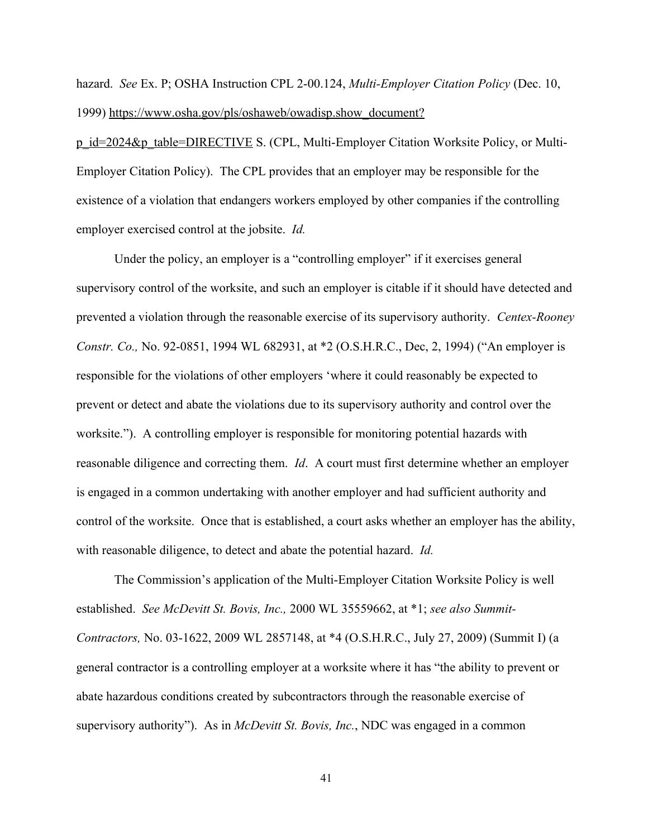hazard. *See* Ex. P; OSHA Instruction CPL 2-00.124, *Multi-Employer Citation Policy* (Dec. 10, 1999) https://www.osha.gov/pls/oshaweb/owadisp.show\_document?

p\_id=2024&p\_table=DIRECTIVE S. (CPL, Multi-Employer Citation Worksite Policy, or Multi-Employer Citation Policy). The CPL provides that an employer may be responsible for the existence of a violation that endangers workers employed by other companies if the controlling employer exercised control at the jobsite. *Id.* 

 with reasonable diligence, to detect and abate the potential hazard. *Id.*  Under the policy, an employer is a "controlling employer" if it exercises general supervisory control of the worksite, and such an employer is citable if it should have detected and prevented a violation through the reasonable exercise of its supervisory authority. *Centex-Rooney Constr. Co.,* No. 92-0851, 1994 WL 682931, at \*2 (O.S.H.R.C., Dec, 2, 1994) ("An employer is responsible for the violations of other employers 'where it could reasonably be expected to prevent or detect and abate the violations due to its supervisory authority and control over the worksite."). A controlling employer is responsible for monitoring potential hazards with reasonable diligence and correcting them. *Id*. A court must first determine whether an employer is engaged in a common undertaking with another employer and had sufficient authority and control of the worksite. Once that is established, a court asks whether an employer has the ability,

established. See McDevitt St. Bovis, Inc., 2000 WL 35559662, at \*1; see also Summit- supervisory authority"). As in *McDevitt St. Bovis, Inc.*, NDC was engaged in a common The Commission's application of the Multi-Employer Citation Worksite Policy is well *Contr ctors,* No. 03-1622, 2009 WL 2857148, at \*4 (O.S.H.R.C., July 27, 2009) (Summit I) (a general contractor is a controlling employer at a worksite where it has "the ability to prevent or abate hazardous conditions created by subcontractors through the reasonable exercise of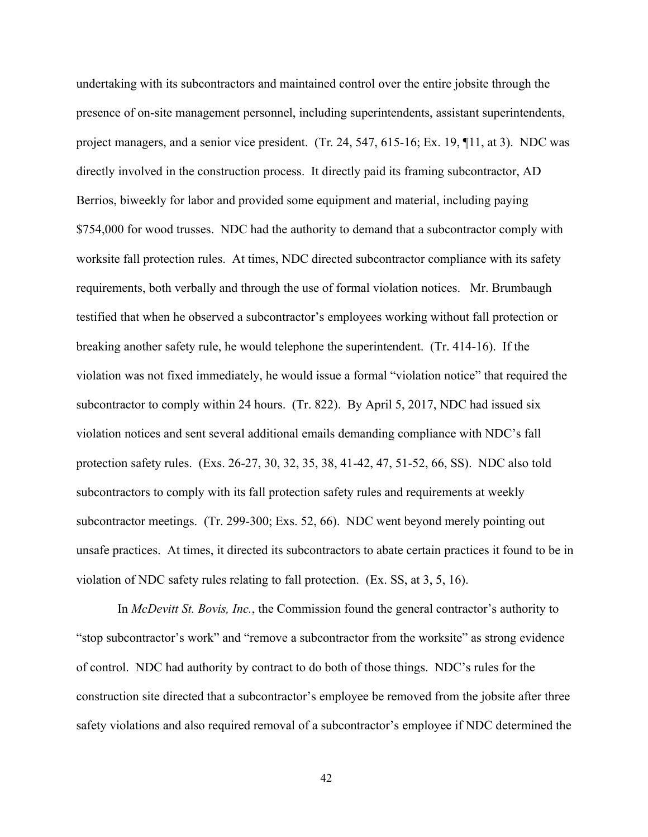undertaking with its subcontractors and maintained control over the entire jobsite through the presence of on-site management personnel, including superintendents, assistant superintendents, project managers, and a senior vice president. (Tr. 24, 547, 615-16; Ex. 19, ¶11, at 3). NDC was directly involved in the construction process. It directly paid its framing subcontractor, AD Berrios, biweekly for labor and provided some equipment and material, including paying \$754,000 for wood trusses. NDC had the authority to demand that a subcontractor comply with worksite fall protection rules. At times, NDC directed subcontractor compliance with its safety requirements, both verbally and through the use of formal violation notices. Mr. Brumbaugh testified that when he observed a subcontractor's employees working without fall protection or breaking another safety rule, he would telephone the superintendent. (Tr. 414-16). If the violation was not fixed immediately, he would issue a formal "violation notice" that required the subcontractor to comply within 24 hours. (Tr. 822). By April 5, 2017, NDC had issued six violation notices and sent several additional emails demanding compliance with NDC's fall protection safety rules. (Exs. 26-27, 30, 32, 35, 38, 41-42, 47, 51-52, 66, SS). NDC also told subcontractors to comply with its fall protection safety rules and requirements at weekly subcontractor meetings. (Tr. 299-300; Exs. 52, 66). NDC went beyond merely pointing out unsafe practices. At times, it directed its subcontractors to abate certain practices it found to be in violation of NDC safety rules relating to fall protection. (Ex. SS, at 3, 5, 16).

 In *McDevitt St. Bovis, Inc.*, the Commission found the general contractor's authority to "stop subcontractor's work" and "remove a subcontractor from the worksite" as strong evidence of control. NDC had authority by contract to do both of those things. NDC's rules for the construction site directed that a subcontractor's employee be removed from the jobsite after three safety violations and also required removal of a subcontractor's employee if NDC determined the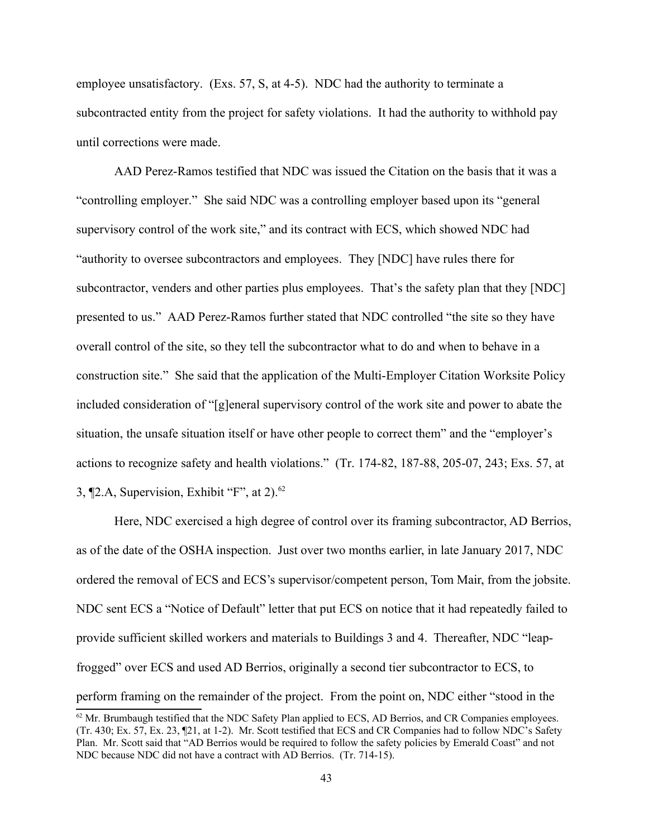employee unsatisfactory. (Exs. 57, S, at 4-5). NDC had the authority to terminate a subcontracted entity from the project for safety violations. It had the authority to withhold pay until corrections were made.

3,  $[2.A,$  Supervision, Exhibit "F", at 2). $^{62}$ AAD Perez-Ramos testified that NDC was issued the Citation on the basis that it was a "controlling employer." She said NDC was a controlling employer based upon its "general supervisory control of the work site," and its contract with ECS, which showed NDC had "authority to oversee subcontractors and employees. They [NDC] have rules there for subcontractor, venders and other parties plus employees. That's the safety plan that they [NDC] presented to us." AAD Perez-Ramos further stated that NDC controlled "the site so they have overall control of the site, so they tell the subcontractor what to do and when to behave in a construction site." She said that the application of the Multi-Employer Citation Worksite Policy included consideration of "[g]eneral supervisory control of the work site and power to abate the situation, the unsafe situation itself or have other people to correct them" and the "employer's actions to recognize safety and health violations." (Tr. 174-82, 187-88, 205-07, 243; Exs. 57, at

Here, NDC exercised a high degree of control over its framing subcontractor, AD Berrios, as of the date of the OSHA inspection. Just over two months earlier, in late January 2017, NDC ordered the removal of ECS and ECS's supervisor/competent person, Tom Mair, from the jobsite. NDC sent ECS a "Notice of Default" letter that put ECS on notice that it had repeatedly failed to provide sufficient skilled workers and materials to Buildings 3 and 4. Thereafter, NDC "leapfrogged" over ECS and used AD Berrios, originally a second tier subcontractor to ECS, to perform framing on the remainder of the project. From the point on, NDC either "stood in the

<span id="page-42-0"></span> $^{62}$  Mr. Brumbaugh testified that the NDC Safety Plan applied to ECS, AD Berrios, and CR Companies employees.  $(Tr. 430; Ex. 57, Ex. 23, 21, at 1-2)$ . Mr. Scott testified that ECS and CR Companies had to follow NDC's Safety Plan. Mr. Scott said that "AD Berrios would be required to follow the safety policies by Emerald Coast" and not NDC because NDC did not have a contract with AD Berrios. (Tr. 714-15).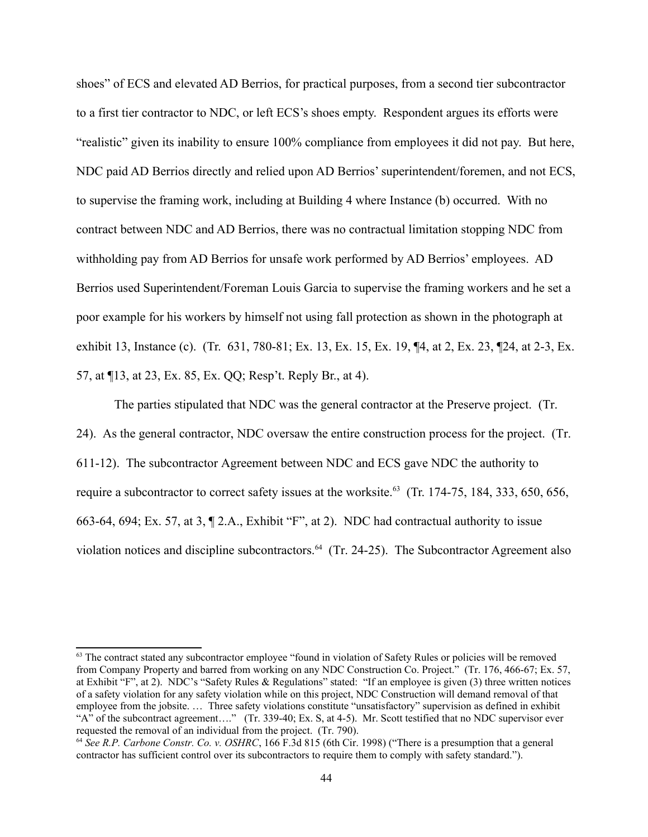shoes" of ECS and elevated AD Berrios, for practical purposes, from a second tier subcontractor to a first tier contractor to NDC, or left ECS's shoes empty. Respondent argues its efforts were "realistic" given its inability to ensure 100% compliance from employees it did not pay. But here, NDC paid AD Berrios directly and relied upon AD Berrios' superintendent/foremen, and not ECS, to supervise the framing work, including at Building 4 where Instance (b) occurred. With no contract between NDC and AD Berrios, there was no contractual limitation stopping NDC from withholding pay from AD Berrios for unsafe work performed by AD Berrios' employees. AD Berrios used Superintendent/Foreman Louis Garcia to supervise the framing workers and he set a poor example for his workers by himself not using fall protection as shown in the photograph at exhibit 13, Instance (c). (Tr. 631, 780-81; Ex. 13, Ex. 15, Ex. 19, ¶4, at 2, Ex. 23, ¶24, at 2-3, Ex. 57, at ¶13, at 23, Ex. 85, Ex. QQ; Resp't. Reply Br., at 4).

The parties stipulated that NDC was the general contractor at the Preserve project. (Tr. 24). As the general contractor, NDC oversaw the entire construction process for the project. (Tr. 611-12). The subcontractor Agreement between NDC and ECS gave NDC the authority to require a subcontractor to correct safety issues at the worksite.<sup>63</sup> (Tr. 174-75, 184, 333, 650, 656, 663-64, 694; Ex. 57, at 3, ¶ 2.A., Exhibit "F", at 2). NDC had contractual authority to issue violation notices and discipline subcontractors.<sup>64</sup> (Tr. 24-25). The Subcontractor Agreement also

<span id="page-43-0"></span> $63$  The contract stated any subcontractor employee "found in violation of Safety Rules or policies will be removed from Company Property and barred from working on any NDC Construction Co. Project." (Tr. 176, 466-67; Ex. 57, at Exhibit "F", at 2). NDC's "Safety Rules & Regulations" stated: "If an employee is given (3) three written notices of a safety violation for any safety violation while on this project, NDC Construction will demand removal of that employee from the jobsite. … Three safety violations constitute "unsatisfactory" supervision as defined in exhibit "A" of the subcontract agreement…." (Tr. 339-40; Ex. S, at 4-5). Mr. Scott testified that no NDC supervisor ever requested the removal of an individual from the project. (Tr. 790).

<span id="page-43-1"></span><sup>&</sup>lt;sup>64</sup> See R.P. Carbone Constr. Co. v. OSHRC, 166 F.3d 815 (6th Cir. 1998) ("There is a presumption that a general contractor has sufficient control over its subcontractors to require them to comply with safety standard.").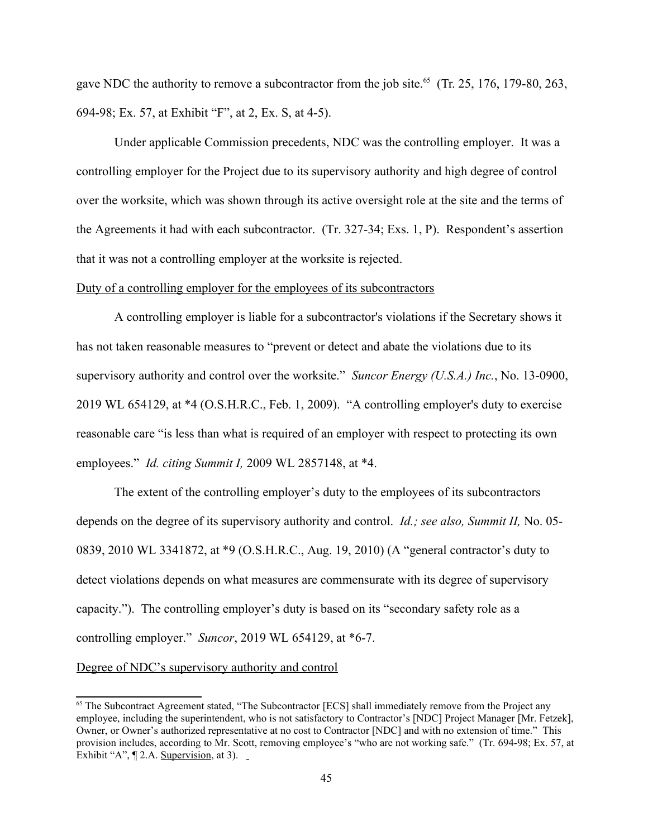gave NDC the authority to remove a subcontractor from the job site.<sup>[65](#page-44-0)</sup> (Tr. 25, 176, 179-80, 263, 694-98; Ex. 57, at Exhibit "F", at 2, Ex. S, at 4-5).

that it was not a controlling employer at the worksite is rejected. Under applicable Commission precedents, NDC was the controlling employer. It was a controlling employer for the Project due to its supervisory authority and high degree of control over the worksite, which was shown through its active oversight role at the site and the terms of the Agreements it had with each subcontractor. (Tr. 327-34; Exs. 1, P). Respondent's assertion

### Duty of a controlling employer for the employees of its subcontractors

 supervisory authority and control over the worksite." *Suncor Energy (U.S.A.) Inc.*, No. 13-0900, employees." *Id. citing Summit I,* 2009 WL 2857148, at \*4. A controlling employer is liable for a subcontractor's violations if the Secretary shows it has not taken reasonable measures to "prevent or detect and abate the violations due to its 2019 WL 654129, at \*4 (O.S.H.R.C., Feb. 1, 2009). "A controlling employer's duty to exercise reasonable care "is less than what is required of an employer with respect to protecting its own

 controlling employer." *Suncor*, 2019 WL 654129, at \*6-7. The extent of the controlling employer's duty to the employees of its subcontractors depends on the degree of its supervisory authority and control. *Id.; see lso, Summit II,* No. 05- 0839, 2010 WL 3341872, at \*9 (O.S.H.R.C., Aug. 19, 2010) (A "general contractor's duty to detect violations depends on what measures are commensurate with its degree of supervisory capacity."). The controlling employer's duty is based on its "secondary safety role as a

## Degree of NDC's supervisory authority and control

<span id="page-44-0"></span>Exhibit "A", [2.A. Supervision, at 3). <sup>65</sup> The Subcontract Agreement stated, "The Subcontractor [ECS] shall immediately remove from the Project any employee, including the superintendent, who is not satisfactory to Contractor's [NDC] Project Manager [Mr. Fetzek], Owner, or Owner's authorized representative at no cost to Contractor [NDC] and with no extension of time." This provision includes, according to Mr. Scott, removing employee's "who are not working safe." (Tr. 694-98; Ex. 57, at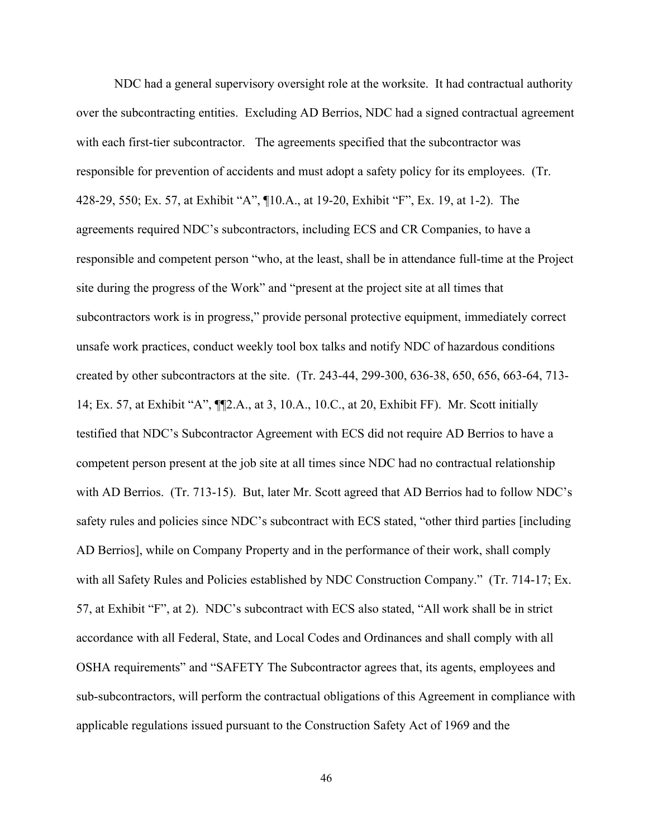NDC had a general supervisory oversight role at the worksite. It had contractual authority over the subcontracting entities. Excluding AD Berrios, NDC had a signed contractual agreement with each first-tier subcontractor. The agreements specified that the subcontractor was responsible for prevention of accidents and must adopt a safety policy for its employees. (Tr. 428-29, 550; Ex. 57, at Exhibit "A", ¶10.A., at 19-20, Exhibit "F", Ex. 19, at 1-2). The agreements required NDC's subcontractors, including ECS and CR Companies, to have a responsible and competent person "who, at the least, shall be in attendance full-time at the Project site during the progress of the Work" and "present at the project site at all times that subcontractors work is in progress," provide personal protective equipment, immediately correct unsafe work practices, conduct weekly tool box talks and notify NDC of hazardous conditions created by other subcontractors at the site. (Tr. 243-44, 299-300, 636-38, 650, 656, 663-64, 713- 14; Ex. 57, at Exhibit "A", ¶¶2.A., at 3, 10.A., 10.C., at 20, Exhibit FF). Mr. Scott initially testified that NDC's Subcontractor Agreement with ECS did not require AD Berrios to have a competent person present at the job site at all times since NDC had no contractual relationship with AD Berrios. (Tr. 713-15). But, later Mr. Scott agreed that AD Berrios had to follow NDC's safety rules and policies since NDC's subcontract with ECS stated, "other third parties [including AD Berrios], while on Company Property and in the performance of their work, shall comply with all Safety Rules and Policies established by NDC Construction Company." (Tr. 714-17; Ex. 57, at Exhibit "F", at 2). NDC's subcontract with ECS also stated, "All work shall be in strict accordance with all Federal, State, and Local Codes and Ordinances and shall comply with all OSHA requirements" and "SAFETY The Subcontractor agrees that, its agents, employees and sub-subcontractors, will perform the contractual obligations of this Agreement in compliance with applicable regulations issued pursuant to the Construction Safety Act of 1969 and the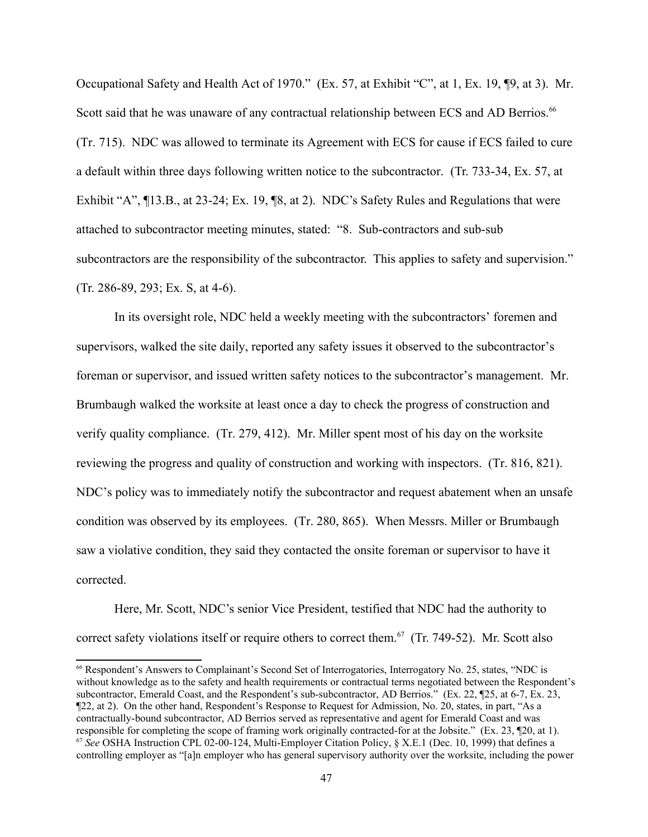Scott said that he was unaware of any contractual relationship between ECS and AD Berrios.<sup>66</sup> a default within three days following written notice to the subcontractor. (Tr. 733-34, Ex. 57, at Occupational Safety and Health Act of 1970." (Ex. 57, at Exhibit "C", at 1, Ex. 19, ¶9, at 3). Mr. (Tr. 715). NDC was allowed to terminate its Agreement with ECS for cause if ECS failed to cure Exhibit "A", ¶13.B., at 23-24; Ex. 19, ¶8, at 2). NDC's Safety Rules and Regulations that were attached to subcontractor meeting minutes, stated: "8. Sub-contractors and sub-sub subcontractors are the responsibility of the subcontractor. This applies to safety and supervision." (Tr. 286-89, 293; Ex. S, at 4-6).

corrected. In its oversight role, NDC held a weekly meeting with the subcontractors' foremen and supervisors, walked the site daily, reported any safety issues it observed to the subcontractor's foreman or supervisor, and issued written safety notices to the subcontractor's management. Mr. Brumbaugh walked the worksite at least once a day to check the progress of construction and verify quality compliance. (Tr. 279, 412). Mr. Miller spent most of his day on the worksite reviewing the progress and quality of construction and working with inspectors. (Tr. 816, 821). NDC's policy was to immediately notify the subcontractor and request abatement when an unsafe condition was observed by its employees. (Tr. 280, 865). When Messrs. Miller or Brumbaugh saw a violative condition, they said they contacted the onsite foreman or supervisor to have it

Here, Mr. Scott, NDC's senior Vice President, testified that NDC had the authority to correct safety violations itself or require others to correct them.<sup>67</sup> (Tr. 749-52). Mr. Scott also

<span id="page-46-1"></span><span id="page-46-0"></span>responsible for completing the scope of framing work originally contracted-for at the Jobsite." (Ex. 23, 120, at 1). <sup>66</sup> Respondent's Answers to Complainant's Second Set of Interrogatories, Interrogatory No. 25, states, "NDC is without knowledge as to the safety and health requirements or contractual terms negotiated between the Respondent's subcontractor, Emerald Coast, and the Respondent's sub-subcontractor, AD Berrios." (Ex. 22, ¶25, at 6-7, Ex. 23, ¶22, at 2). On the other hand, Respondent's Response to Request for Admission, No. 20, states, in part, "As a contractually-bound subcontractor, AD Berrios served as representative and agent for Emerald Coast and was <sup>67</sup> See OSHA Instruction CPL 02-00-124, Multi-Employer Citation Policy, § X.E.1 (Dec. 10, 1999) that defines a controlling employer as "[a]n employer who has general supervisory authority over the worksite, including the power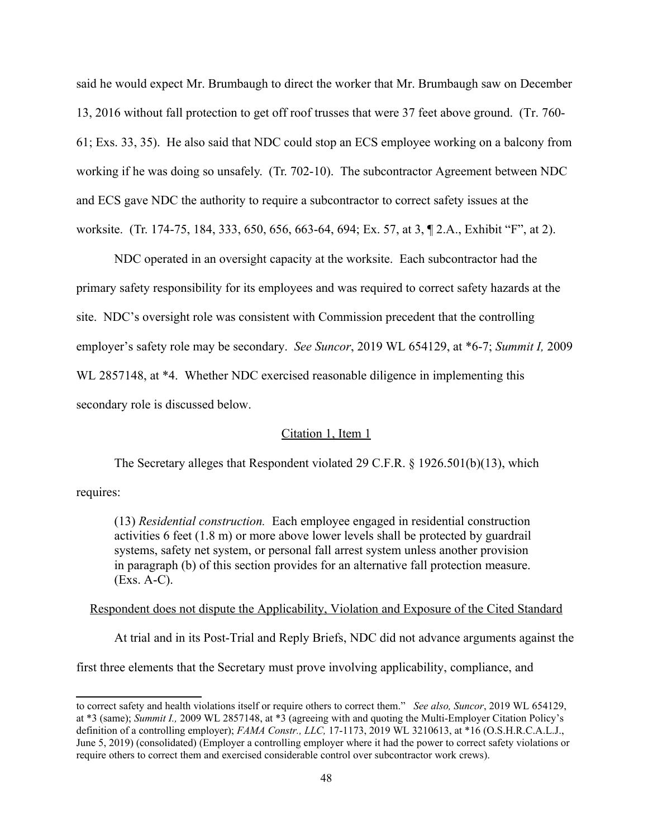said he would expect Mr. Brumbaugh to direct the worker that Mr. Brumbaugh saw on December 13, 2016 without fall protection to get off roof trusses that were 37 feet above ground. (Tr. 760- 61; Exs. 33, 35). He also said that NDC could stop an ECS employee working on a balcony from working if he was doing so unsafely. (Tr. 702-10). The subcontractor Agreement between NDC and ECS gave NDC the authority to require a subcontractor to correct safety issues at the worksite. (Tr. 174-75, 184, 333, 650, 656, 663-64, 694; Ex. 57, at 3, ¶ 2.A., Exhibit "F", at 2).

NDC operated in an oversight capacity at the worksite. Each subcontractor had the primary safety responsibility for its employees and was required to correct safety hazards at the site. NDC's oversight role was consistent with Commission precedent that the controlling employer's safety role may be secondary. *See Suncor*, 2019 WL 654129, at \*6-7; *Summit I,* 2009 WL 2857148, at \*4. Whether NDC exercised reasonable diligence in implementing this secondary role is discussed below.

# Citation 1, Item 1

The Secretary alleges that Respondent violated 29 C.F.R. § 1926.501(b)(13), which

requires:

 in paragraph (b) of this section provides for an alternative fall protection measure. (Exs. A-C). (13) *Residential construction.* Each employee engaged in residential construction activities 6 feet (1.8 m) or more above lower levels shall be protected by guardrail systems, safety net system, or personal fall arrest system unless another provision

## Respondent does not dispute the Applicability, Violation and Exposure of the Cited Standard

At trial and in its Post-Trial and Reply Briefs, NDC did not advance arguments against the

first three elements that the Secretary must prove involving applicability, compliance, and

 to correct safety and health violations itself or require others to correct them." *See lso, Suncor*, 2019 WL 654129, at \*3 (same); *Summit I.,* 2009 WL 2857148, at \*3 (agreeing with and quoting the Multi-Employer Citation Policy's definition of a controlling employer); *FAMA Constr., LLC,* 17-1173, 2019 WL 3210613, at \*16 (O.S.H.R.C.A.L.J., June 5, 2019) (consolidated) (Employer a controlling employer where it had the power to correct safety violations or require others to correct them and exercised considerable control over subcontractor work crews).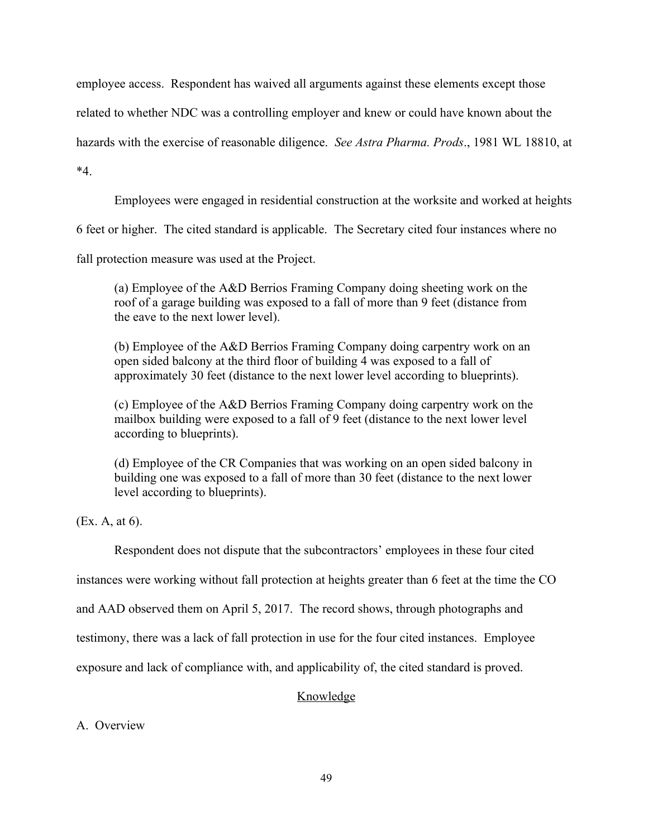employee access. Respondent has waived all arguments against these elements except those

related to whether NDC was a controlling employer and knew or could have known about the

hazards with the exercise of reasonable diligence. *See Astra Pharma. Prods.*, 1981 WL 18810, at

\*4.

Employees were engaged in residential construction at the worksite and worked at heights

6 feet or higher. The cited standard is applicable. The Secretary cited four instances where no

fall protection measure was used at the Project.

(a) Employee of the A&D Berrios Framing Company doing sheeting work on the roof of a garage building was exposed to a fall of more than 9 feet (distance from the eave to the next lower level).

(b) Employee of the A&D Berrios Framing Company doing carpentry work on an open sided balcony at the third floor of building 4 was exposed to a fall of approximately 30 feet (distance to the next lower level according to blueprints).

(c) Employee of the A&D Berrios Framing Company doing carpentry work on the mailbox building were exposed to a fall of 9 feet (distance to the next lower level according to blueprints).

(d) Employee of the CR Companies that was working on an open sided balcony in building one was exposed to a fall of more than 30 feet (distance to the next lower level according to blueprints).

(Ex. A, at 6).

Respondent does not dispute that the subcontractors' employees in these four cited

instances were working without fall protection at heights greater than 6 feet at the time the CO

and AAD observed them on April 5, 2017. The record shows, through photographs and

testimony, there was a lack of fall protection in use for the four cited instances. Employee

exposure and lack of compliance with, and applicability of, the cited standard is proved.

# Knowledge

# A. Overview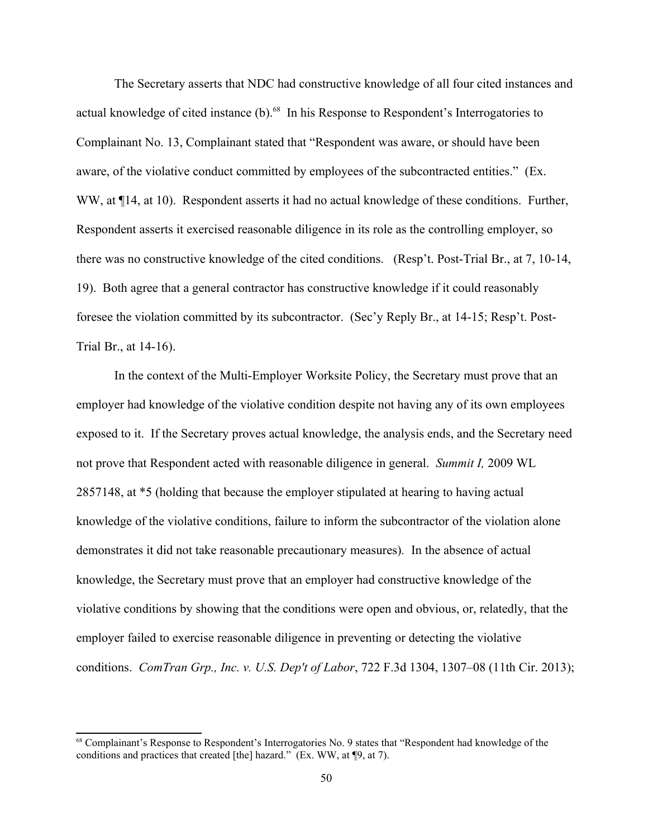The Secretary asserts that NDC had constructive knowledge of all four cited instances and actual knowledge of cited instance (b).<sup>[68](#page-49-0)</sup> In his Response to Respondent's Interrogatories to Complainant No. 13, Complainant stated that "Respondent was aware, or should have been aware, of the violative conduct committed by employees of the subcontracted entities." (Ex. WW, at  $\P$ 14, at 10). Respondent asserts it had no actual knowledge of these conditions. Further, Respondent asserts it exercised reasonable diligence in its role as the controlling employer, so there was no constructive knowledge of the cited conditions. (Resp't. Post-Trial Br., at 7, 10-14, 19). Both agree that a general contractor has constructive knowledge if it could reasonably foresee the violation committed by its subcontractor. (Sec'y Reply Br., at 14-15; Resp't. Post-Trial Br., at 14-16).

 not prove that Respondent acted with reasonable diligence in general. *Summit I,* 2009 WL conditions. *ComTran Grp., Inc. v. U.S. Dep't of Labor*, 722 F.3d 1304, 1307–08 (11th Cir. 2013); In the context of the Multi-Employer Worksite Policy, the Secretary must prove that an employer had knowledge of the violative condition despite not having any of its own employees exposed to it. If the Secretary proves actual knowledge, the analysis ends, and the Secretary need 2857148, at \*5 (holding that because the employer stipulated at hearing to having actual knowledge of the violative conditions, failure to inform the subcontractor of the violation alone demonstrates it did not take reasonable precautionary measures)*.* In the absence of actual knowledge, the Secretary must prove that an employer had constructive knowledge of the violative conditions by showing that the conditions were open and obvious, or, relatedly, that the employer failed to exercise reasonable diligence in preventing or detecting the violative

<span id="page-49-0"></span><sup>&</sup>lt;sup>68</sup> Complainant's Response to Respondent's Interrogatories No. 9 states that "Respondent had knowledge of the conditions and practices that created [the] hazard." (Ex. WW, at ¶9, at 7).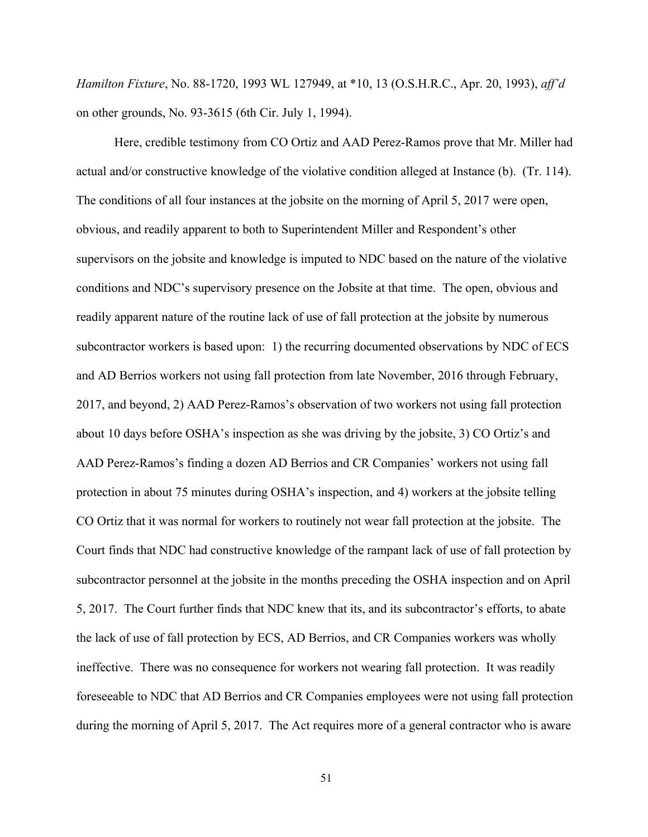*H milton Fixture*, No. 88-1720, 1993 WL 127949, at \*10, 13 (O.S.H.R.C., Apr. 20, 1993), *ff'd*  on other grounds, No. 93-3615 (6th Cir. July 1, 1994).

Here, credible testimony from CO Ortiz and AAD Perez-Ramos prove that Mr. Miller had actual and/or constructive knowledge of the violative condition alleged at Instance (b). (Tr. 114). The conditions of all four instances at the jobsite on the morning of April 5, 2017 were open, obvious, and readily apparent to both to Superintendent Miller and Respondent's other supervisors on the jobsite and knowledge is imputed to NDC based on the nature of the violative conditions and NDC's supervisory presence on the Jobsite at that time. The open, obvious and readily apparent nature of the routine lack of use of fall protection at the jobsite by numerous subcontractor workers is based upon: 1) the recurring documented observations by NDC of ECS and AD Berrios workers not using fall protection from late November, 2016 through February, 2017, and beyond, 2) AAD Perez-Ramos's observation of two workers not using fall protection about 10 days before OSHA's inspection as she was driving by the jobsite, 3) CO Ortiz's and AAD Perez-Ramos's finding a dozen AD Berrios and CR Companies' workers not using fall protection in about 75 minutes during OSHA's inspection, and 4) workers at the jobsite telling CO Ortiz that it was normal for workers to routinely not wear fall protection at the jobsite. The Court finds that NDC had constructive knowledge of the rampant lack of use of fall protection by subcontractor personnel at the jobsite in the months preceding the OSHA inspection and on April 5, 2017. The Court further finds that NDC knew that its, and its subcontractor's efforts, to abate the lack of use of fall protection by ECS, AD Berrios, and CR Companies workers was wholly ineffective. There was no consequence for workers not wearing fall protection. It was readily foreseeable to NDC that AD Berrios and CR Companies employees were not using fall protection during the morning of April 5, 2017. The Act requires more of a general contractor who is aware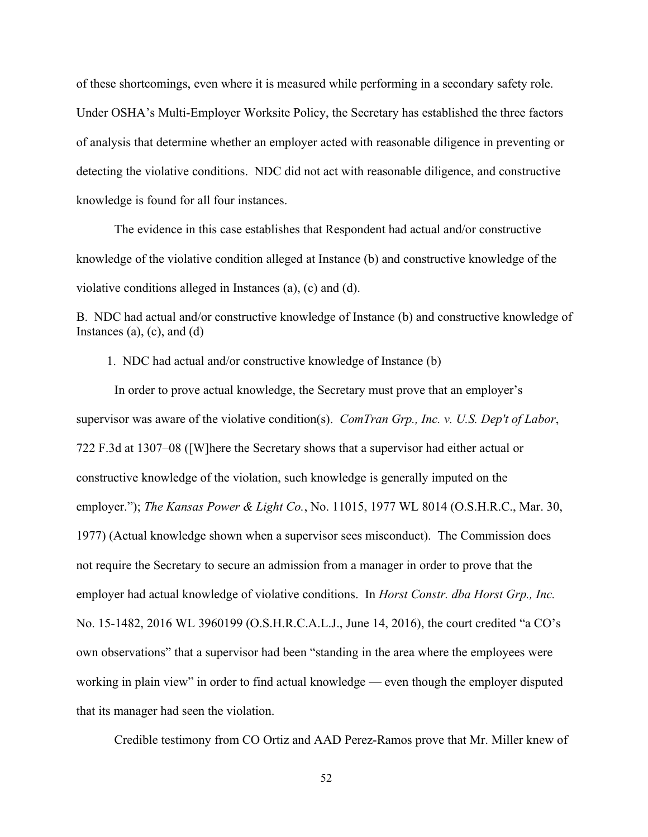of these shortcomings, even where it is measured while performing in a secondary safety role. Under OSHA's Multi-Employer Worksite Policy, the Secretary has established the three factors of analysis that determine whether an employer acted with reasonable diligence in preventing or detecting the violative conditions. NDC did not act with reasonable diligence, and constructive knowledge is found for all four instances.

The evidence in this case establishes that Respondent had actual and/or constructive knowledge of the violative condition alleged at Instance (b) and constructive knowledge of the violative conditions alleged in Instances (a), (c) and (d).

B. NDC had actual and/or constructive knowledge of Instance (b) and constructive knowledge of Instances  $(a)$ ,  $(c)$ , and  $(d)$ 

1. NDC had actual and/or constructive knowledge of Instance (b)

supervisor was aware of the violative condition(s). *ComTran Grp., Inc. v. U.S. Dep't of Labor*, In order to prove actual knowledge, the Secretary must prove that an employer's 722 F.3d at 1307–08 ([W]here the Secretary shows that a supervisor had either actual or constructive knowledge of the violation, such knowledge is generally imputed on the employer."); *The Kansas Power & Light Co.*, No. 11015, 1977 WL 8014 (O.S.H.R.C., Mar. 30, 1977) (Actual knowledge shown when a supervisor sees misconduct). The Commission does not require the Secretary to secure an admission from a manager in order to prove that the employer had actual knowledge of violative conditions. In *Horst Constr. dba Horst Grp., Inc.* No. 15-1482, 2016 WL 3960199 (O.S.H.R.C.A.L.J., June 14, 2016), the court credited "a CO's own observations" that a supervisor had been "standing in the area where the employees were working in plain view" in order to find actual knowledge — even though the employer disputed that its manager had seen the violation.

Credible testimony from CO Ortiz and AAD Perez-Ramos prove that Mr. Miller knew of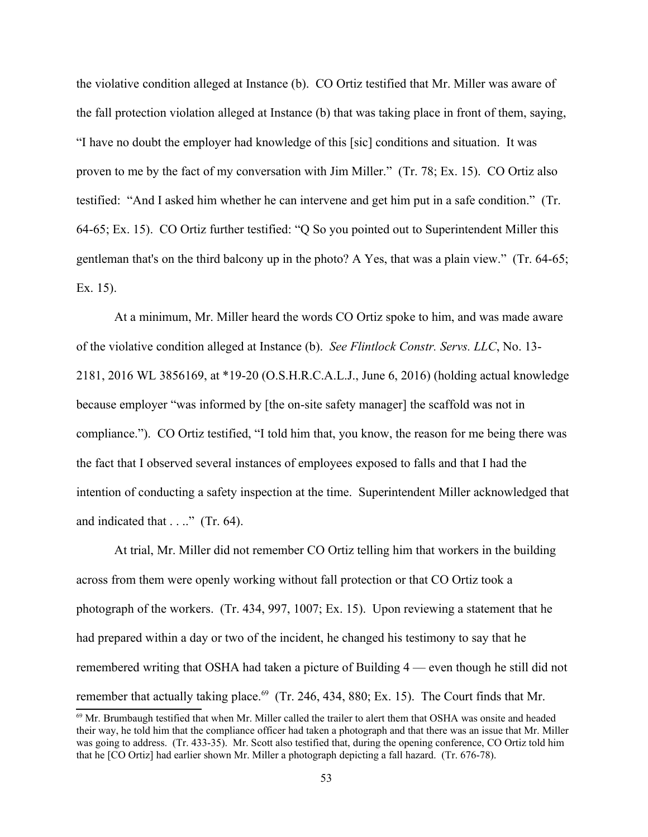the violative condition alleged at Instance (b). CO Ortiz testified that Mr. Miller was aware of the fall protection violation alleged at Instance (b) that was taking place in front of them, saying, "I have no doubt the employer had knowledge of this [sic] conditions and situation. It was proven to me by the fact of my conversation with Jim Miller." (Tr. 78; Ex. 15). CO Ortiz also testified: "And I asked him whether he can intervene and get him put in a safe condition." (Tr. 64-65; Ex. 15). CO Ortiz further testified: "Q So you pointed out to Superintendent Miller this gentleman that's on the third balcony up in the photo? A Yes, that was a plain view." (Tr. 64-65; Ex. 15).

At a minimum, Mr. Miller heard the words CO Ortiz spoke to him, and was made aware of the violative condition alleged at Instance (b). *See Flintlock Constr. Servs. LLC*, No. 13- 2181, 2016 WL 3856169, at \*19-20 (O.S.H.R.C.A.L.J., June 6, 2016) (holding actual knowledge because employer "was informed by [the on-site safety manager] the scaffold was not in compliance."). CO Ortiz testified, "I told him that, you know, the reason for me being there was the fact that I observed several instances of employees exposed to falls and that I had the intention of conducting a safety inspection at the time. Superintendent Miller acknowledged that and indicated that . . .." (Tr. 64).

 had prepared within a day or two of the incident, he changed his testimony to say that he At trial, Mr. Miller did not remember CO Ortiz telling him that workers in the building across from them were openly working without fall protection or that CO Ortiz took a photograph of the workers. (Tr. 434, 997, 1007; Ex. 15). Upon reviewing a statement that he remembered writing that OSHA had taken a picture of Building 4 — even though he still did not remember that actually taking place.<sup>[69](#page-52-0)</sup> (Tr. 246, 434, 880; Ex. 15). The Court finds that Mr.

<span id="page-52-0"></span> that he [CO Ortiz] had earlier shown Mr. Miller a photograph depicting a fall hazard. (Tr. 676-78). 53  $^{69}$  Mr. Brumbaugh testified that when Mr. Miller called the trailer to alert them that OSHA was onsite and headed their way, he told him that the compliance officer had taken a photograph and that there was an issue that Mr. Miller was going to address. (Tr. 433-35). Mr. Scott also testified that, during the opening conference, CO Ortiz told him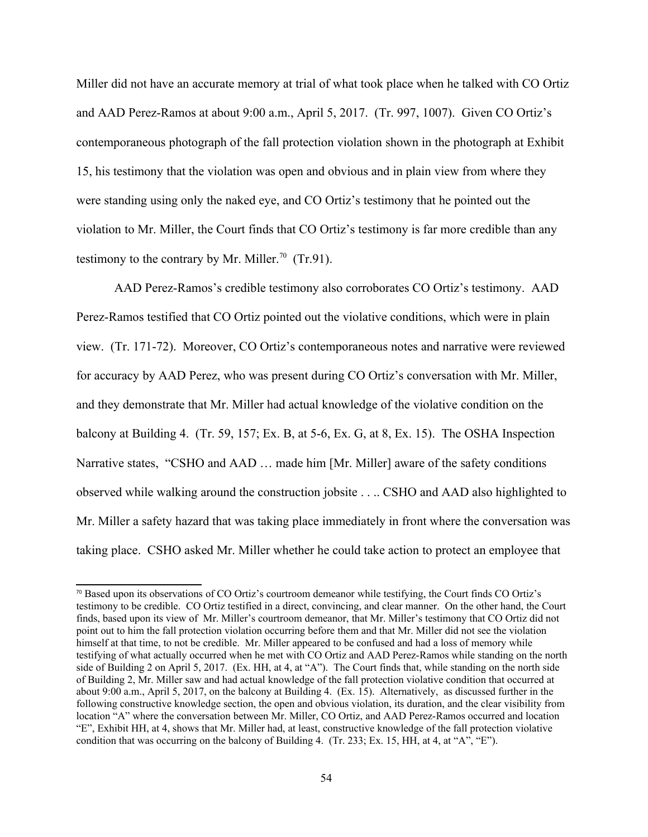Miller did not have an accurate memory at trial of what took place when he talked with CO Ortiz and AAD Perez-Ramos at about 9:00 a.m., April 5, 2017. (Tr. 997, 1007). Given CO Ortiz's contemporaneous photograph of the fall protection violation shown in the photograph at Exhibit 15, his testimony that the violation was open and obvious and in plain view from where they were standing using only the naked eye, and CO Ortiz's testimony that he pointed out the violation to Mr. Miller, the Court finds that CO Ortiz's testimony is far more credible than any testimony to the contrary by Mr. Miller.<sup>[70](#page-53-0)</sup> (Tr.91).

AAD Perez-Ramos's credible testimony also corroborates CO Ortiz's testimony. AAD Perez-Ramos testified that CO Ortiz pointed out the violative conditions, which were in plain view. (Tr. 171-72). Moreover, CO Ortiz's contemporaneous notes and narrative were reviewed for accuracy by AAD Perez, who was present during CO Ortiz's conversation with Mr. Miller, and they demonstrate that Mr. Miller had actual knowledge of the violative condition on the balcony at Building 4. (Tr. 59, 157; Ex. B, at 5-6, Ex. G, at 8, Ex. 15). The OSHA Inspection Narrative states, "CSHO and AAD … made him [Mr. Miller] aware of the safety conditions observed while walking around the construction jobsite . . .. CSHO and AAD also highlighted to Mr. Miller a safety hazard that was taking place immediately in front where the conversation was taking place. CSHO asked Mr. Miller whether he could take action to protect an employee that

<span id="page-53-0"></span><sup>70</sup>Based upon its observations of CO Ortiz's courtroom demeanor while testifying, the Court finds CO Ortiz's testimony to be credible. CO Ortiz testified in a direct, convincing, and clear manner. On the other hand, the Court finds, based upon its view of Mr. Miller's courtroom demeanor, that Mr. Miller's testimony that CO Ortiz did not point out to him the fall protection violation occurring before them and that Mr. Miller did not see the violation himself at that time, to not be credible. Mr. Miller appeared to be confused and had a loss of memory while testifying of what actually occurred when he met with CO Ortiz and AAD Perez-Ramos while standing on the north side of Building 2 on April 5, 2017. (Ex. HH, at 4, at "A"). The Court finds that, while standing on the north side of Building 2, Mr. Miller saw and had actual knowledge of the fall protection violative condition that occurred at about 9:00 a.m., April 5, 2017, on the balcony at Building 4. (Ex. 15). Alternatively, as discussed further in the following constructive knowledge section, the open and obvious violation, its duration, and the clear visibility from location "A" where the conversation between Mr. Miller, CO Ortiz, and AAD Perez-Ramos occurred and location "E", Exhibit HH, at 4, shows that Mr. Miller had, at least, constructive knowledge of the fall protection violative condition that was occurring on the balcony of Building 4. (Tr. 233; Ex. 15, HH, at 4, at "A", "E").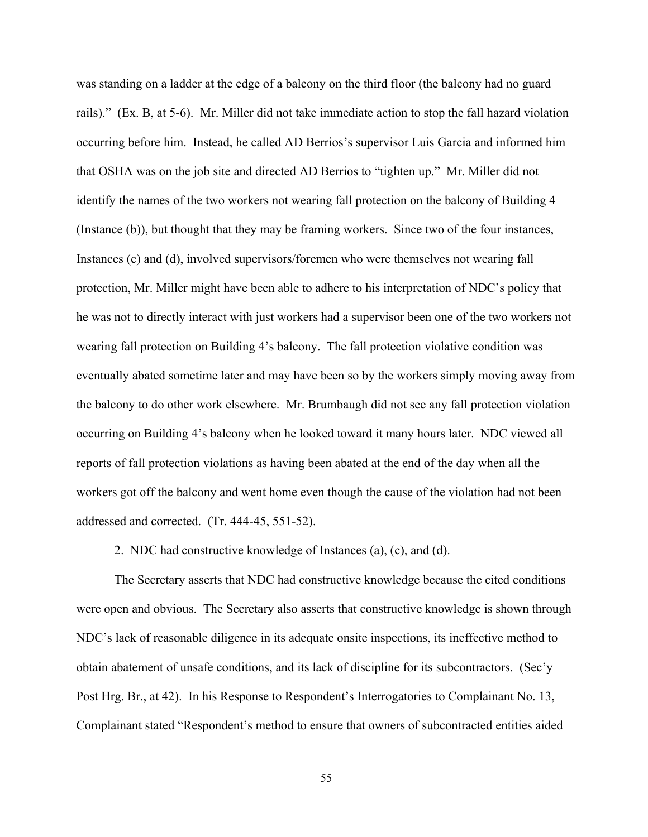was standing on a ladder at the edge of a balcony on the third floor (the balcony had no guard rails)." (Ex. B, at 5-6). Mr. Miller did not take immediate action to stop the fall hazard violation occurring before him. Instead, he called AD Berrios's supervisor Luis Garcia and informed him that OSHA was on the job site and directed AD Berrios to "tighten up." Mr. Miller did not identify the names of the two workers not wearing fall protection on the balcony of Building 4 (Instance (b)), but thought that they may be framing workers. Since two of the four instances, Instances (c) and (d), involved supervisors/foremen who were themselves not wearing fall protection, Mr. Miller might have been able to adhere to his interpretation of NDC's policy that he was not to directly interact with just workers had a supervisor been one of the two workers not wearing fall protection on Building 4's balcony. The fall protection violative condition was eventually abated sometime later and may have been so by the workers simply moving away from the balcony to do other work elsewhere. Mr. Brumbaugh did not see any fall protection violation occurring on Building 4's balcony when he looked toward it many hours later. NDC viewed all reports of fall protection violations as having been abated at the end of the day when all the workers got off the balcony and went home even though the cause of the violation had not been addressed and corrected. (Tr. 444-45, 551-52).

2. NDC had constructive knowledge of Instances (a), (c), and (d).

The Secretary asserts that NDC had constructive knowledge because the cited conditions were open and obvious. The Secretary also asserts that constructive knowledge is shown through NDC's lack of reasonable diligence in its adequate onsite inspections, its ineffective method to obtain abatement of unsafe conditions, and its lack of discipline for its subcontractors. (Sec'y Post Hrg. Br., at 42). In his Response to Respondent's Interrogatories to Complainant No. 13, Complainant stated "Respondent's method to ensure that owners of subcontracted entities aided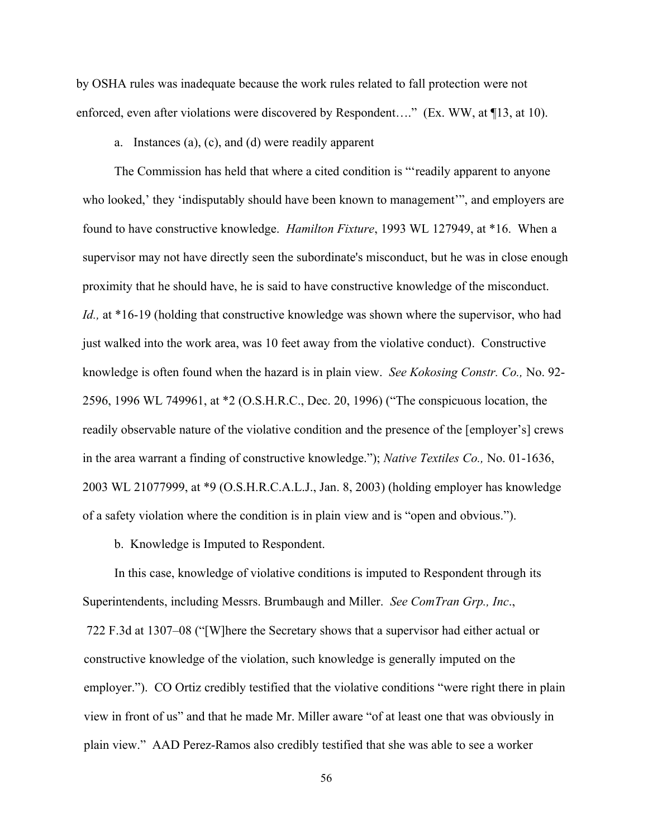by OSHA rules was inadequate because the work rules related to fall protection were not enforced, even after violations were discovered by Respondent...." (Ex. WW, at  $\P$ 13, at 10).

a. Instances (a), (c), and (d) were readily apparent

found to have constructive knowledge. *Hamilton Fixture*, 1993 WL 127949, at \*16. When a proximity that he should have, he is said to have constructive knowledge of the misconduct. knowledge is often found when the hazard is in plain view. *See Kokosing Constr. Co.,* No. 92- The Commission has held that where a cited condition is "'readily apparent to anyone who looked,' they 'indisputably should have been known to management'", and employers are supervisor may not have directly seen the subordinate's misconduct, but he was in close enough *Id.*, at \*16-19 (holding that constructive knowledge was shown where the supervisor, who had just walked into the work area, was 10 feet away from the violative conduct). Constructive 2596, 1996 WL 749961, at \*2 (O.S.H.R.C., Dec. 20, 1996) ("The conspicuous location, the readily observable nature of the violative condition and the presence of the [employer's] crews in the area warrant a finding of constructive knowledge."); *Native Textiles Co.*, No. 01-1636, 2003 WL 21077999, at \*9 (O.S.H.R.C.A.L.J., Jan. 8, 2003) (holding employer has knowledge of a safety violation where the condition is in plain view and is "open and obvious.").

b. Knowledge is Imputed to Respondent.

In this case, knowledge of violative conditions is imputed to Respondent through its In this case, knowledge of violative conditions is imputed to Respondent through its Superintendents, including Messrs. Brumbaugh and Miller. *See ComTran Grp., Inc.*, 722 F.3d at 1307–08 ("[W]here the Secretary shows that a supervisor had either actual or constructive knowledge of the violation, such knowledge is generally imputed on the employer."). CO Ortiz credibly testified that the violative conditions "were right there in plain view in front of us" and that he made Mr. Miller aware "of at least one that was obviously in plain view." AAD Perez-Ramos also credibly testified that she was able to see a worker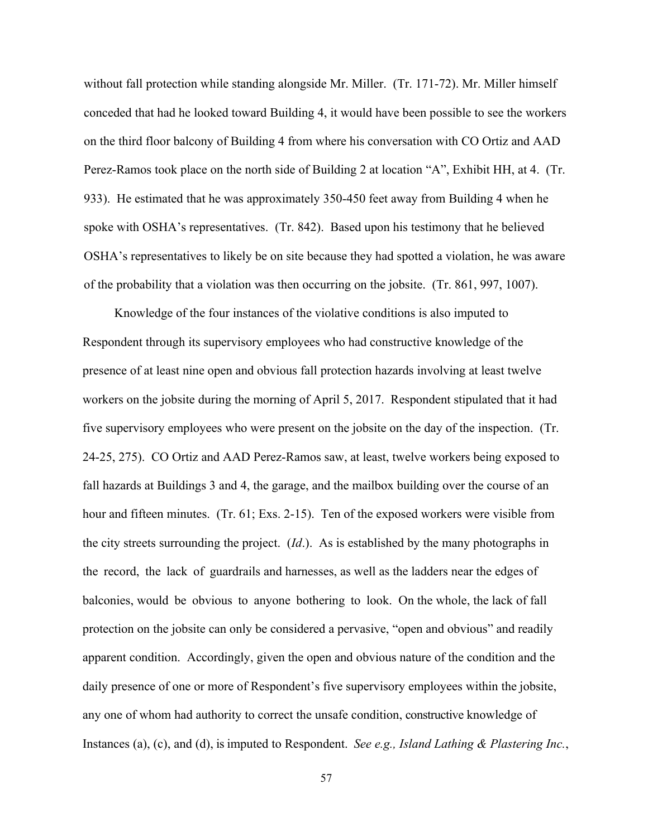without fall protection while standing alongside Mr. Miller. (Tr. 171-72). Mr. Miller himself conceded that had he looked toward Building 4, it would have been possible to see the workers on the third floor balcony of Building 4 from where his conversation with CO Ortiz and AAD Perez-Ramos took place on the north side of Building 2 at location "A", Exhibit HH, at 4. (Tr. 933). He estimated that he was approximately 350-450 feet away from Building 4 when he spoke with OSHA's representatives. (Tr. 842). Based upon his testimony that he believed OSHA's representatives to likely be on site because they had spotted a violation, he was aware of the probability that a violation was then occurring on the jobsite. (Tr. 861, 997, 1007).

 the record, the lack of guardrails and harnesses, as well as the ladders near the edges of balconies, would be obvious to anyone bothering to look. On the whole, the lack of fall daily presence of one or more of Respondent's five supervisory employees within the jobsite, any one of whom had authority to correct the unsafe condition, constructive knowledge of Instances (a), (c), and (d), is imputed to Respondent. *See e.g., Island Lathing & Plastering Inc.*, Knowledge of the four instances of the violative conditions is also imputed to Respondent through its supervisory employees who had constructive knowledge of the presence of at least nine open and obvious fall protection hazards involving at least twelve workers on the jobsite during the morning of April 5, 2017. Respondent stipulated that it had five supervisory employees who were present on the jobsite on the day of the inspection. (Tr. 24-25, 275). CO Ortiz and AAD Perez-Ramos saw, at least, twelve workers being exposed to fall hazards at Buildings 3 and 4, the garage, and the mailbox building over the course of an hour and fifteen minutes. (Tr. 61; Exs. 2-15). Ten of the exposed workers were visible from the city streets surrounding the project. (*Id*.). As is established by the many photographs in protection on the jobsite can only be considered a pervasive, "open and obvious" and readily apparent condition. Accordingly, given the open and obvious nature of the condition and the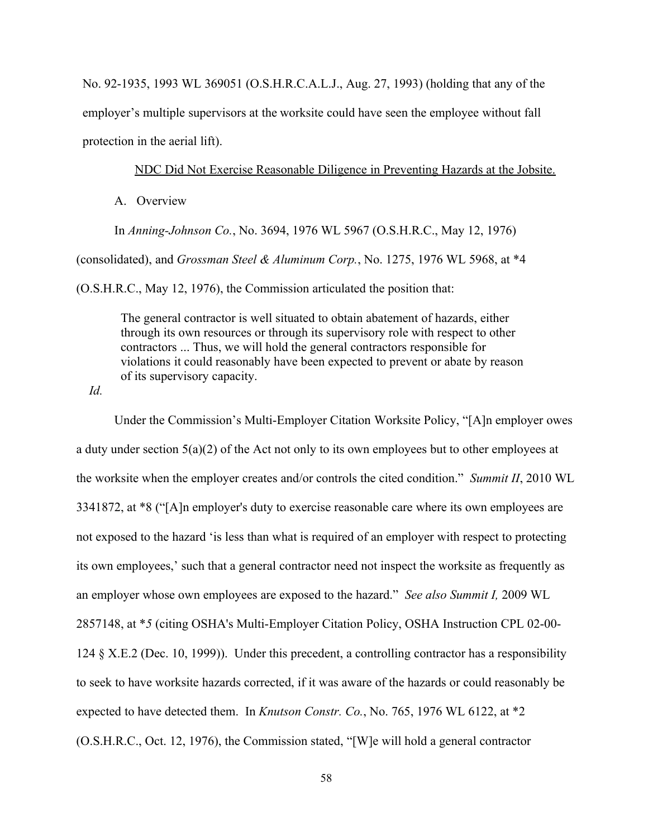No. 92-1935, 1993 WL 369051 (O.S.H.R.C.A.L.J., Aug. 27, 1993) (holding that any of the employer's multiple supervisors at the worksite could have seen the employee without fall protection in the aerial lift).

### NDC Did Not Exercise Reasonable Diligence in Preventing Hazards at the Jobsite.

A. Overview

In *Anning-Johnson Co.*, No. 3694, 1976 WL 5967 (O.S.H.R.C., May 12, 1976)

(consolidated), and *Grossman Steel & Aluminum Corp.*, No. 1275, 1976 WL 5968, at \*4

(O.S.H.R.C., May 12, 1976), the Commission articulated the position that:

The general contractor is well situated to obtain abatement of hazards, either through its own resources or through its supervisory role with respect to other contractors ... Thus, we will hold the general contractors responsible for violations it could reasonably have been expected to prevent or abate by reason of its supervisory capacity.

*Id.* 

 the worksite when the employer creates and/or controls the cited condition." *Summit II*, 2010 WL an employer whose own employees are exposed to the hazard." *See also Summit I*, 2009 WL expected to have detected them. In *Knutson Constr. Co.*, No. 765, 1976 WL 6122, at \*2 Under the Commission's Multi-Employer Citation Worksite Policy, "[A]n employer owes a duty under section 5(a)(2) of the Act not only to its own employees but to other employees at 3341872, at \*8 ("[A]n employer's duty to exercise reasonable care where its own employees are not exposed to the hazard 'is less than what is required of an employer with respect to protecting its own employees,' such that a general contractor need not inspect the worksite as frequently as 2857148, at \**5* (citing OSHA's Multi-Employer Citation Policy, OSHA Instruction CPL 02-00- 124 § X.E.2 (Dec. 10, 1999)). Under this precedent, a controlling contractor has a responsibility to seek to have worksite hazards corrected, if it was aware of the hazards or could reasonably be (O.S.H.R.C., Oct. 12, 1976), the Commission stated, "[W]e will hold a general contractor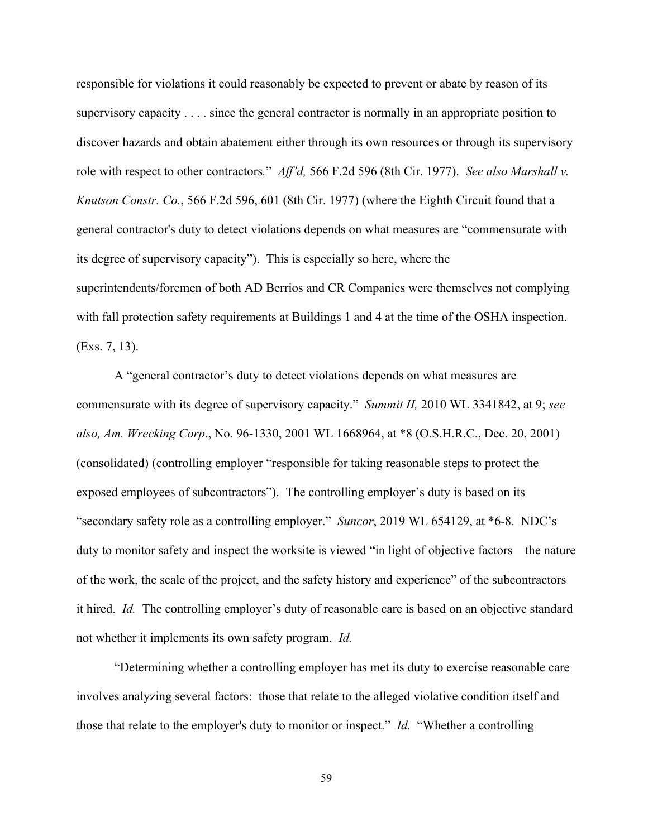role with respect to other contractors." *Aff'd*, 566 F.2d 596 (8th Cir. 1977). *See also Marshall v.*  its degree of supervisory capacity"). This is especially so here, where the with fall protection safety requirements at Buildings 1 and 4 at the time of the OSHA inspection.<br>(Exs. 7, 13). responsible for violations it could reasonably be expected to prevent or abate by reason of its supervisory capacity . . . . since the general contractor is normally in an appropriate position to discover hazards and obtain abatement either through its own resources or through its supervisory *Knutson Constr. Co.*, 566 F.2d 596, 601 (8th Cir. 1977) (where the Eighth Circuit found that a general contractor's duty to detect violations depends on what measures are "commensurate with superintendents/foremen of both AD Berrios and CR Companies were themselves not complying

 commensurate with its degree of supervisory capacity." *Summit II,* 2010 WL 3341842, at 9; *see*  "secondary safety role as a controlling employer." *Suncor*, 2019 WL 654129, at \*6-8. NDC's it hired. *Id.* The controlling employer's duty of reasonable care is based on an objective standard not whether it implements its own safety program. *Id.*  A "general contractor's duty to detect violations depends on what measures are  *lso, Am. Wrecking Corp*., No. 96-1330, 2001 WL 1668964, at \*8 (O.S.H.R.C., Dec. 20, 2001) (consolidated) (controlling employer "responsible for taking reasonable steps to protect the exposed employees of subcontractors"). The controlling employer's duty is based on its duty to monitor safety and inspect the worksite is viewed "in light of objective factors—the nature of the work, the scale of the project, and the safety history and experience" of the subcontractors

 those that relate to the employer's duty to monitor or inspect." *Id.* "Whether a controlling "Determining whether a controlling employer has met its duty to exercise reasonable care involves analyzing several factors: those that relate to the alleged violative condition itself and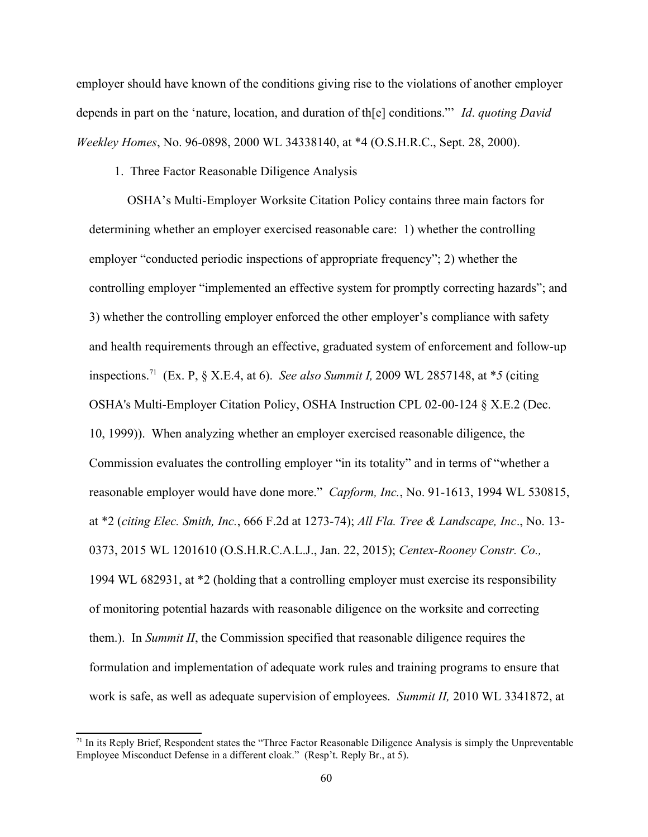depends in part on the 'nature, location, and duration of th[e] conditions."" *Id. quoting David* employer should have known of the conditions giving rise to the violations of another employer *Weekley Homes*, No. 96-0898, 2000 WL 34338140, at \*4 (O.S.H.R.C., Sept. 28, 2000).

1. Three Factor Reasonable Diligence Analysis

reasonable employer would have done more." *Capform, Inc.*, No. 91-1613, 1994 WL 530815, 1994 WL 682931, at \*2 (holding that a controlling employer must exercise its responsibility 1. Three Factor Reasonable Diligence Analysis OSHA's Multi-Employer Worksite Citation Policy contains three main factors for determining whether an employer exercised reasonable care: 1) whether the controlling employer "conducted periodic inspections of appropriate frequency"; 2) whether the controlling employer "implemented an effective system for promptly correcting hazards"; and 3) whether the controlling employer enforced the other employer's compliance with safety and health requirements through an effective, graduated system of enforcement and follow-up inspections.<sup>71</sup> (Ex. P, § X.E.4, at 6). *See also Summit I*, 2009 WL 2857148, at \*5 (citing OSHA's Multi-Employer Citation Policy, OSHA Instruction CPL 02-00-124 § X.E.2 (Dec. 10, 1999)). When analyzing whether an employer exercised reasonable diligence, the Commission evaluates the controlling employer "in its totality" and in terms of "whether a at \*2 (*citing Elec. Smith, Inc.,* 666 F.2d at 1273-74); *All Fla. Tree & Landscape, Inc.*, No. 13-0373, 2015 WL 1201610 (O.S.H.R.C.A.L.J., Jan. 22, 2015); *Centex-Rooney Constr. Co.,*  of monitoring potential hazards with reasonable diligence on the worksite and correcting them.). In *Summit II*, the Commission specified that reasonable diligence requires the formulation and implementation of adequate work rules and training programs to ensure that work is safe, as well as adequate supervision of employees. *Summit II,* 2010 WL 3341872, at

<span id="page-59-0"></span><sup>&</sup>lt;sup>71</sup> In its Reply Brief, Respondent states the "Three Factor Reasonable Diligence Analysis is simply the Unpreventable Employee Misconduct Defense in a different cloak." (Resp't. Reply Br., at 5).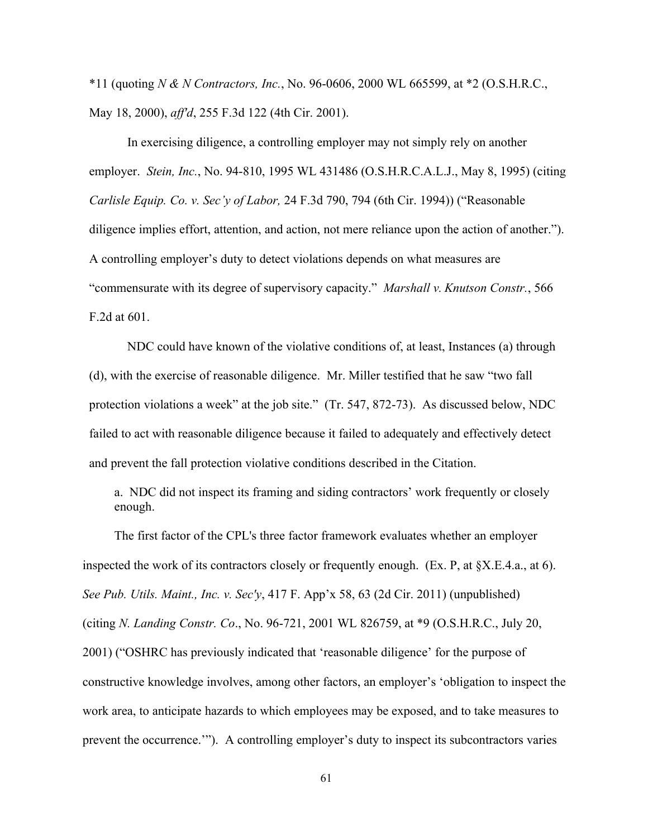\*11 (quoting *N & N Contractors, Inc., No.* 96-0606, 2000 WL 665599, at \*2 (O.S.H.R.C., May 18, 2000), *ff'd*, 255 F.3d 122 (4th Cir. 2001).

 employer. *Stein, Inc.*, No. 94-810, 1995 WL 431486 (O.S.H.R.C.A.L.J., May 8, 1995) (citing "commensurate with its degree of supervisory capacity." *Marshall v. Knutson Constr.*, 566 In exercising diligence, a controlling employer may not simply rely on another *Carlisle Equip. Co. v. Sec'y of Labor, 24 F.3d 790, 794 (6th Cir. 1994))* ("Reasonable diligence implies effort, attention, and action, not mere reliance upon the action of another."). A controlling employer's duty to detect violations depends on what measures are F.2d at 601.

NDC could have known of the violative conditions of, at least, Instances (a) through (d), with the exercise of reasonable diligence. Mr. Miller testified that he saw "two fall protection violations a week" at the job site." (Tr. 547, 872-73). As discussed below, NDC failed to act with reasonable diligence because it failed to adequately and effectively detect and prevent the fall protection violative conditions described in the Citation.

a. NDC did not inspect its framing and siding contractors' work frequently or closely enough.

The first factor of the CPL's three factor framework evaluates whether an employer inspected the work of its contractors closely or frequently enough. (Ex. P, at §X.E.4.a., at 6). *See Pub. Utils. Maint., Inc. v. Sec'y,* 417 F. App'x 58, 63 (2d Cir. 2011) (unpublished) (citing *N. Landing Constr. Co.*, No. 96-721, 2001 WL 826759, at \*9 (O.S.H.R.C., July 20, 2001) ("OSHRC has previously indicated that 'reasonable diligence' for the purpose of constructive knowledge involves, among other factors, an employer's 'obligation to inspect the work area, to anticipate hazards to which employees may be exposed, and to take measures to prevent the occurrence.'"). A controlling employer's duty to inspect its subcontractors varies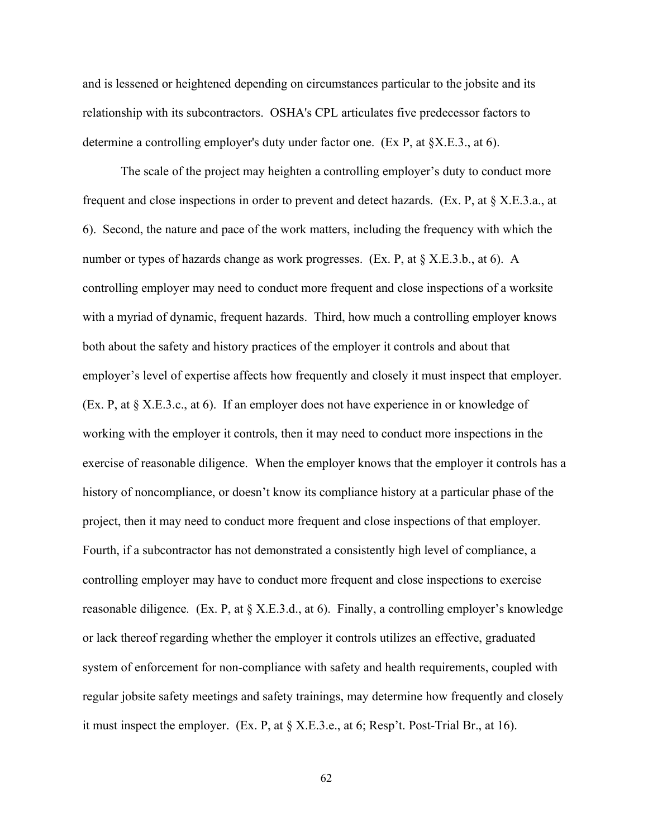and is lessened or heightened depending on circumstances particular to the jobsite and its relationship with its subcontractors. OSHA's CPL articulates five predecessor factors to determine a controlling employer's duty under factor one. (Ex P, at §X.E.3., at 6).

 6). Second, the nature and pace of the work matters, including the frequency with which the number or types of hazards change as work progresses. (Ex. P, at § X.E.3.b., at 6). A employer's level of expertise affects how frequently and closely it must inspect that employer.<br>(Ex. P, at § X.E.3.c., at 6). If an employer does not have experience in or knowledge of (Ex. P, at § X.E.3.c., at 6). If an employer does not have experience in or knowledge of exercise of reasonable diligence. When the employer knows that the employer it controls has a project, then it may need to conduct more frequent and close inspections of that employer. Fourth, if a subcontractor has not demonstrated a consistently high level of compliance, a reasonable diligence. (Ex. P, at § X.E.3.d., at 6). Finally, a controlling employer's knowledge The scale of the project may heighten a controlling employer's duty to conduct more frequent and close inspections in order to prevent and detect hazards. (Ex. P, at  $\S$  X.E.3.a., at controlling employer may need to conduct more frequent and close inspections of a worksite with a myriad of dynamic, frequent hazards. Third, how much a controlling employer knows both about the safety and history practices of the employer it controls and about that working with the employer it controls, then it may need to conduct more inspections in the history of noncompliance, or doesn't know its compliance history at a particular phase of the controlling employer may have to conduct more frequent and close inspections to exercise or lack thereof regarding whether the employer it controls utilizes an effective, graduated system of enforcement for non-compliance with safety and health requirements, coupled with regular jobsite safety meetings and safety trainings, may determine how frequently and closely it must inspect the employer. (Ex. P, at § X.E.3.e., at 6; Resp't. Post-Trial Br., at 16).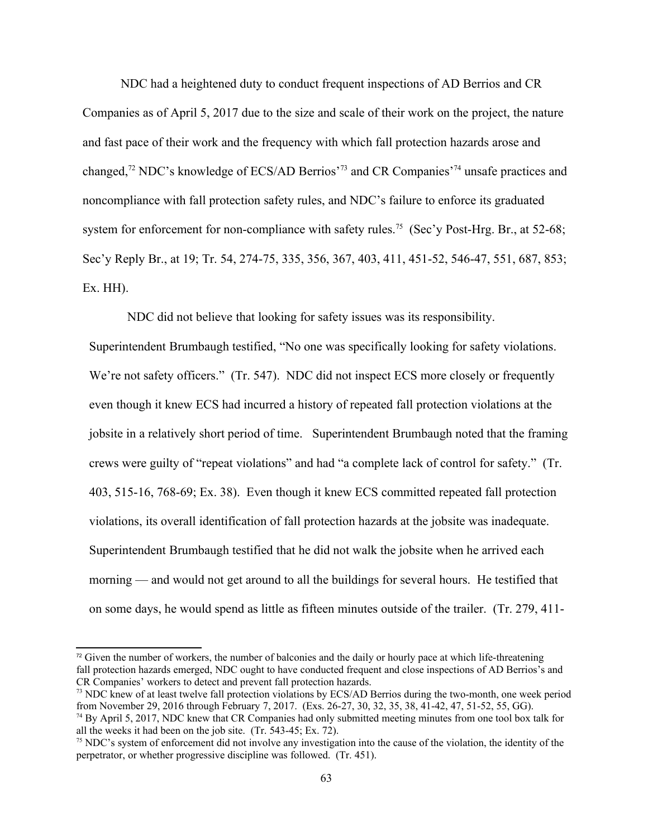NDC had a heightened duty to conduct frequent inspections of AD Berrios and CR Companies as of April 5, 2017 due to the size and scale of their work on the project, the nature and fast pace of their work and the frequency with which fall protection hazards arose and changed[,72](#page-62-0) NDC's knowledge of ECS/AD Berrios'[73](#page-62-1) and CR Companies'[74](#page-62-2) unsafe practices and noncompliance with fall protection safety rules, and NDC's failure to enforce its graduated system for enforcement for non-compliance with safety rules.<sup>75</sup> (Sec'y Post-Hrg. Br., at 52-68; Sec'y Reply Br., at 19; Tr. 54, 274-75, 335, 356, 367, 403, 411, 451-52, 546-47, 551, 687, 853; Ex. HH).

NDC did not believe that looking for safety issues was its responsibility.

 violations, its overall identification of fall protection hazards at the jobsite was inadequate. NDC did not believe that looking for safety issues was its responsibility.<br>Superintendent Brumbaugh testified, "No one was specifically looking for safety violations.<br>We're not safety officers." (Tr. 547). NDC did not insp even though it knew ECS had incurred a history of repeated fall protection violations at the jobsite in a relatively short period of time. Superintendent Brumbaugh noted that the framing crews were guilty of "repeat violations" and had "a complete lack of control for safety." (Tr. 403, 515-16, 768-69; Ex. 38). Even though it knew ECS committed repeated fall protection Superintendent Brumbaugh testified that he did not walk the jobsite when he arrived each morning — and would not get around to all the buildings for several hours. He testified that on some days, he would spend as little as fifteen minutes outside of the trailer. (Tr. 279, 411-

<span id="page-62-0"></span> $72$  Given the number of workers, the number of balconies and the daily or hourly pace at which life-threatening fall protection hazards emerged, NDC ought to have conducted frequent and close inspections of AD Berrios's and CR Companies' workers to detect and prevent fall protection hazards.

<span id="page-62-1"></span>from November 29, 2016 through February 7, 2017. (Exs. 26-27, 30, 32, 35, 38, 41-42, 47, 51-52, 55, GG). <sup>73</sup> NDC knew of at least twelve fall protection violations by ECS/AD Berrios during the two-month, one week period

<span id="page-62-2"></span><sup>&</sup>lt;sup>74</sup> By April 5, 2017, NDC knew that CR Companies had only submitted meeting minutes from one tool box talk for all the weeks it had been on the job site. (Tr. 543-45; Ex. 72).

<span id="page-62-3"></span><sup>&</sup>lt;sup>75</sup> NDC's system of enforcement did not involve any investigation into the cause of the violation, the identity of the perpetrator, or whether progressive discipline was followed. (Tr. 451).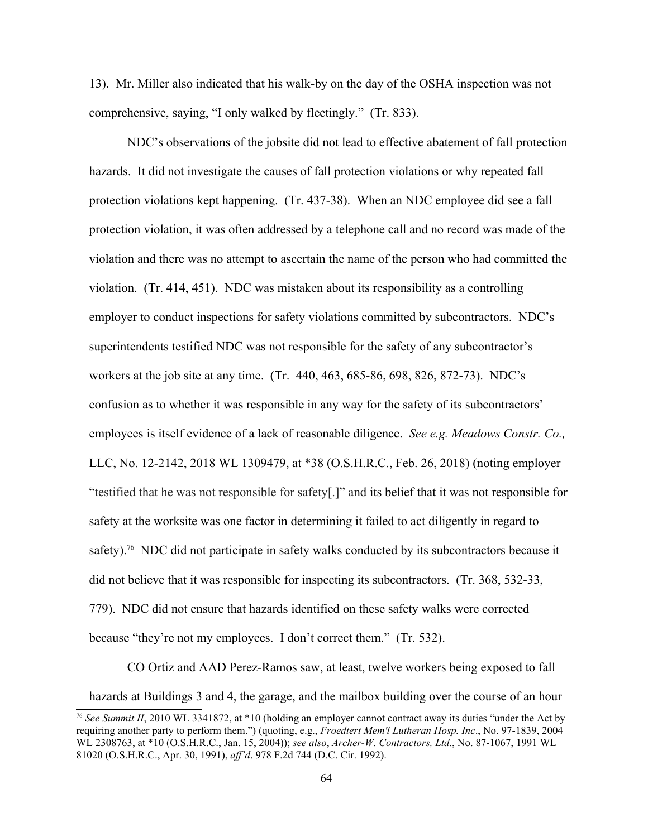13). Mr. Miller also indicated that his walk-by on the day of the OSHA inspection was not comprehensive, saying, "I only walked by fleetingly." (Tr. 833).

employees is itself evidence of a lack of reasonable diligence. *See e.g. Meadows Constr. Co.*, NDC's observations of the jobsite did not lead to effective abatement of fall protection hazards. It did not investigate the causes of fall protection violations or why repeated fall protection violations kept happening. (Tr. 437-38). When an NDC employee did see a fall protection violation, it was often addressed by a telephone call and no record was made of the violation and there was no attempt to ascertain the name of the person who had committed the violation. (Tr. 414, 451). NDC was mistaken about its responsibility as a controlling employer to conduct inspections for safety violations committed by subcontractors. NDC's superintendents testified NDC was not responsible for the safety of any subcontractor's workers at the job site at any time. (Tr. 440, 463, 685-86, 698, 826, 872-73). NDC's confusion as to whether it was responsible in any way for the safety of its subcontractors' LLC, No. 12-2142, 2018 WL 1309479, at \*38 (O.S.H.R.C., Feb. 26, 2018) (noting employer "testified that he was not responsible for safety[.]" and its belief that it was not responsible for safety at the worksite was one factor in determining it failed to act diligently in regard to safety).<sup>76</sup> NDC did not participate in safety walks conducted by its subcontractors because it did not believe that it was responsible for inspecting its subcontractors. (Tr. 368, 532-33, 779). NDC did not ensure that hazards identified on these safety walks were corrected because "they're not my employees. I don't correct them." (Tr. 532).

CO Ortiz and AAD Perez-Ramos saw, at least, twelve workers being exposed to fall

hazards at Buildings 3 and 4, the garage, and the mailbox building over the course of an hour

<span id="page-63-0"></span>WL 2308763, at \*10 (O.S.H.R.C., Jan. 15, 2004)); *see also, Archer-W. Contractors, Ltd.*, No. 87-1067, 1991 WL <sup>76</sup>*See Summit II*, 2010 WL 3341872, at \*10 (holding an employer cannot contract away its duties "under the Act by requiring another party to perform them.") (quoting, e.g., *Froedtert Mem'l Luther n Hosp. Inc*., No. 97-1839, 2004 81020 (O.S.H.R.C., Apr. 30, 1991), *ff'd*. 978 F.2d 744 (D.C. Cir. 1992).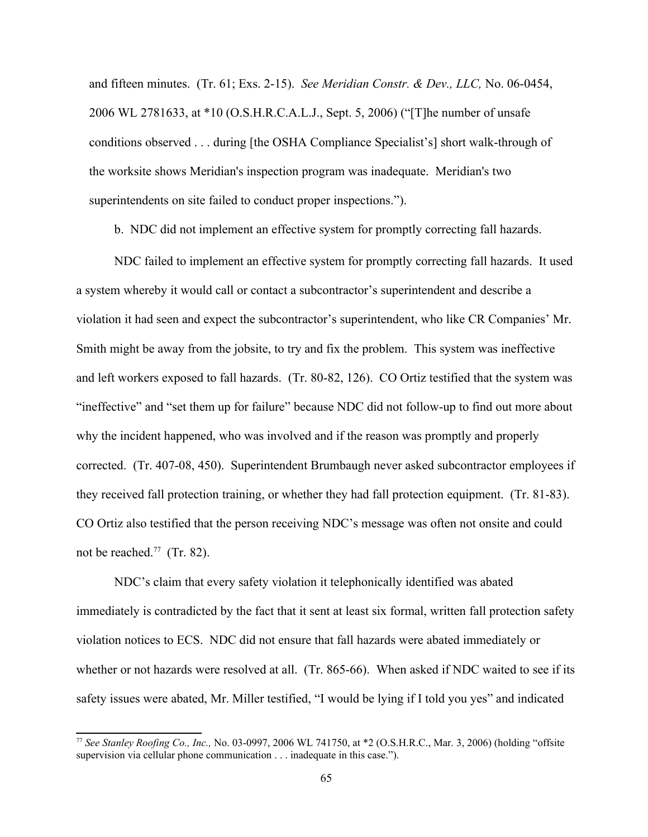and fifteen minutes. (Tr. 61; Exs. 2-15). *See Meridian Constr. & Dev., LLC*, No. 06-0454, 2006 WL 2781633, at \*10 (O.S.H.R.C.A.L.J., Sept. 5, 2006) ("[T]he number of unsafe conditions observed . . . during [the OSHA Compliance Specialist's] short walk-through of the worksite shows Meridian's inspection program was inadequate. Meridian's two superintendents on site failed to conduct proper inspections.").

b. NDC did not implement an effective system for promptly correcting fall hazards.

NDC failed to implement an effective system for promptly correcting fall hazards. It used a system whereby it would call or contact a subcontractor's superintendent and describe a violation it had seen and expect the subcontractor's superintendent, who like CR Companies' Mr. Smith might be away from the jobsite, to try and fix the problem. This system was ineffective and left workers exposed to fall hazards. (Tr. 80-82, 126). CO Ortiz testified that the system was "ineffective" and "set them up for failure" because NDC did not follow-up to find out more about why the incident happened, who was involved and if the reason was promptly and properly corrected. (Tr. 407-08, 450). Superintendent Brumbaugh never asked subcontractor employees if they received fall protection training, or whether they had fall protection equipment. (Tr. 81-83). CO Ortiz also testified that the person receiving NDC's message was often not onsite and could not be reached.<sup>[77](#page-64-0)</sup> (Tr. 82).

NDC's claim that every safety violation it telephonically identified was abated immediately is contradicted by the fact that it sent at least six formal, written fall protection safety violation notices to ECS. NDC did not ensure that fall hazards were abated immediately or whether or not hazards were resolved at all. (Tr. 865-66). When asked if NDC waited to see if its safety issues were abated, Mr. Miller testified, "I would be lying if I told you yes" and indicated

<span id="page-64-0"></span><sup>&</sup>lt;sup>77</sup> See Stanley Roofing Co., Inc., No. 03-0997, 2006 WL 741750, at \*2 (O.S.H.R.C., Mar. 3, 2006) (holding "offsite supervision via cellular phone communication . . . inadequate in this case.").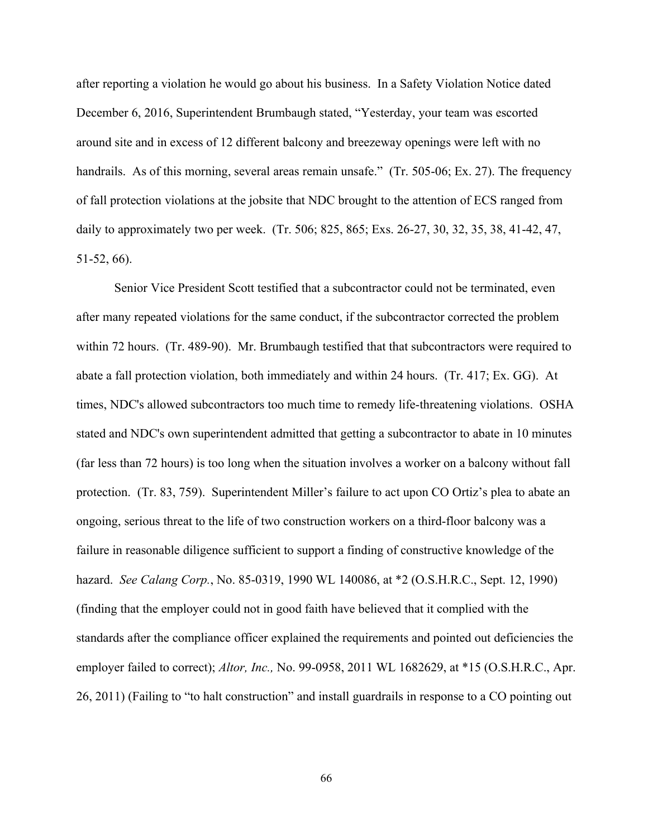after reporting a violation he would go about his business. In a Safety Violation Notice dated December 6, 2016, Superintendent Brumbaugh stated, "Yesterday, your team was escorted around site and in excess of 12 different balcony and breezeway openings were left with no handrails. As of this morning, several areas remain unsafe." (Tr. 505-06; Ex. 27). The frequency of fall protection violations at the jobsite that NDC brought to the attention of ECS ranged from daily to approximately two per week. (Tr. 506; 825, 865; Exs. 26-27, 30, 32, 35, 38, 41-42, 47, 51-52, 66).

hazard. *See Calang Corp.*, No. 85-0319, 1990 WL 140086, at \*2 (O.S.H.R.C., Sept. 12, 1990) Senior Vice President Scott testified that a subcontractor could not be terminated, even after many repeated violations for the same conduct, if the subcontractor corrected the problem within 72 hours. (Tr. 489-90). Mr. Brumbaugh testified that that subcontractors were required to abate a fall protection violation, both immediately and within 24 hours. (Tr. 417; Ex. GG). At times, NDC's allowed subcontractors too much time to remedy life-threatening violations. OSHA stated and NDC's own superintendent admitted that getting a subcontractor to abate in 10 minutes (far less than 72 hours) is too long when the situation involves a worker on a balcony without fall protection. (Tr. 83, 759). Superintendent Miller's failure to act upon CO Ortiz's plea to abate an ongoing, serious threat to the life of two construction workers on a third-floor balcony was a failure in reasonable diligence sufficient to support a finding of constructive knowledge of the (finding that the employer could not in good faith have believed that it complied with the standards after the compliance officer explained the requirements and pointed out deficiencies the employer failed to correct); *Altor, Inc.,* No. 99-0958, 2011 WL 1682629, at \*15 (O.S.H.R.C., Apr. 26, 2011) (Failing to "to halt construction" and install guardrails in response to a CO pointing out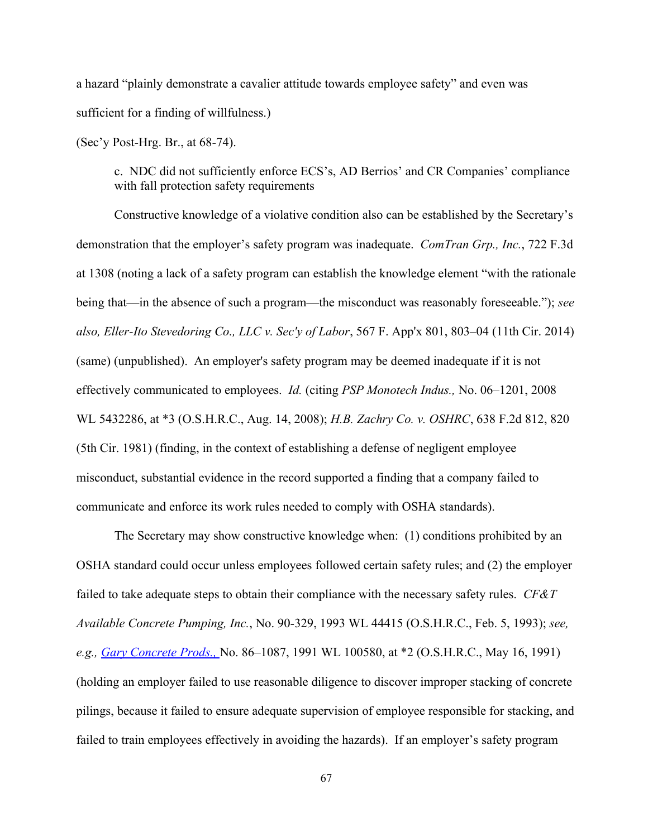a hazard "plainly demonstrate a cavalier attitude towards employee safety" and even was sufficient for a finding of willfulness.)

(Sec'y Post-Hrg. Br., at 68-74).

c. NDC did not sufficiently enforce ECS's, AD Berrios' and CR Companies' compliance with fall protection safety requirements

demonstration that the employer's safety program was inadequate. *ComTran Grp., Inc.*, 722 F.3d effectively communicated to employees. *Id.* (citing *PSP Monotech Indus.,* No. 06–1201, 2008 Constructive knowledge of a violative condition also can be established by the Secretary's at 1308 (noting a lack of a safety program can establish the knowledge element "with the rationale being that—in the absence of such a program—the misconduct was reasonably foreseeable."); *see*  also, Eller-Ito Stevedoring Co., LLC v. Sec'y of Labor, 567 F. App'x 801, 803–04 (11th Cir. 2014) (same) (unpublished). An employer's safety program may be deemed inadequate if it is not WL 5432286, at \*3 (O.S.H.R.C., Aug. 14, 2008); *H.B. Z chry Co. v. OSHRC*, 638 F.2d 812, 820 (5th Cir. 1981) (finding, in the context of establishing a defense of negligent employee misconduct, substantial evidence in the record supported a finding that a company failed to communicate and enforce its work rules needed to comply with OSHA standards).

The Secretary may show constructive knowledge when: (1) conditions prohibited by an OSHA standard could occur unless employees followed certain safety rules; and (2) the employer failed to take adequate steps to obtain their compliance with the necessary safety rules. *CF&T Av il ble Concrete Pumping, Inc.*, No. 90-329, 1993 WL 44415 (O.S.H.R.C., Feb. 5, 1993); *see, e.g., Gary Concrete Prods., No.* 86–1087, 1991 WL 100580, at \*2 (O.S.H.R.C., May 16, 1991) (holding an employer failed to use reasonable diligence to discover improper stacking of concrete pilings, because it failed to ensure adequate supervision of employee responsible for stacking, and failed to train employees effectively in avoiding the hazards). If an employer's safety program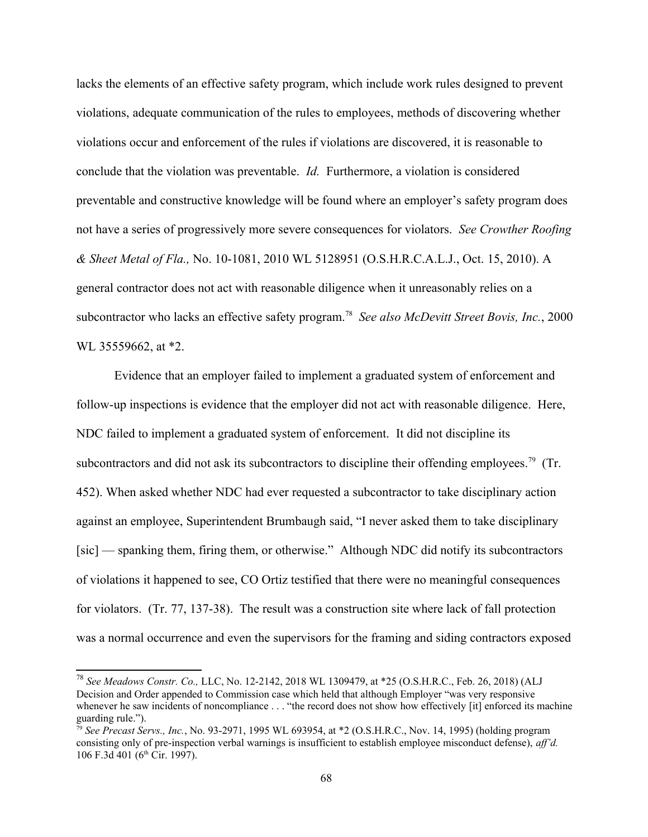conclude that the violation was preventable. *Id.* Furthermore, a violation is considered not have a series of progressively more severe consequences for violators. *See Crowther Roofing*  lacks the elements of an effective safety program, which include work rules designed to prevent violations, adequate communication of the rules to employees, methods of discovering whether violations occur and enforcement of the rules if violations are discovered, it is reasonable to preventable and constructive knowledge will be found where an employer's safety program does *& Sheet Metal of Fla., No.* 10-1081, 2010 WL 5128951 (O.S.H.R.C.A.L.J., Oct. 15, 2010). A general contractor does not act with reasonable diligence when it unreasonably relies on a subcontractor who lacks an effective safety program.<sup>78</sup> See also McDevitt Street Bovis, Inc., 2000 WL 35559662, at \*2.

Evidence that an employer failed to implement a graduated system of enforcement and follow-up inspections is evidence that the employer did not act with reasonable diligence. Here, NDC failed to implement a graduated system of enforcement. It did not discipline its subcontractors and did not ask its subcontractors to discipline their offending employees.<sup>79</sup> (Tr. 452). When asked whether NDC had ever requested a subcontractor to take disciplinary action against an employee, Superintendent Brumbaugh said, "I never asked them to take disciplinary [sic] — spanking them, firing them, or otherwise." Although NDC did notify its subcontractors of violations it happened to see, CO Ortiz testified that there were no meaningful consequences for violators. (Tr. 77, 137-38). The result was a construction site where lack of fall protection was a normal occurrence and even the supervisors for the framing and siding contractors exposed

<span id="page-67-0"></span>guarding rule."). <sup>78</sup>*See Me dows Constr. Co.,* LLC, No. 12-2142, 2018 WL 1309479, at \*25 (O.S.H.R.C., Feb. 26, 2018) (ALJ Decision and Order appended to Commission case which held that although Employer "was very responsive whenever he saw incidents of noncompliance ... "the record does not show how effectively [it] enforced its machine

<span id="page-67-1"></span> $\frac{1}{29}$  *See Precast Servs., Inc.*, No. 93-2971, 1995 WL 693954, at \*2 (O.S.H.R.C., Nov. 14, 1995) (holding program consisting only of pre-inspection verbal warnings is insufficient to establish employee misconduct defense), *ff'd.*  106 F.3d 401 (6<sup>th</sup> Cir. 1997).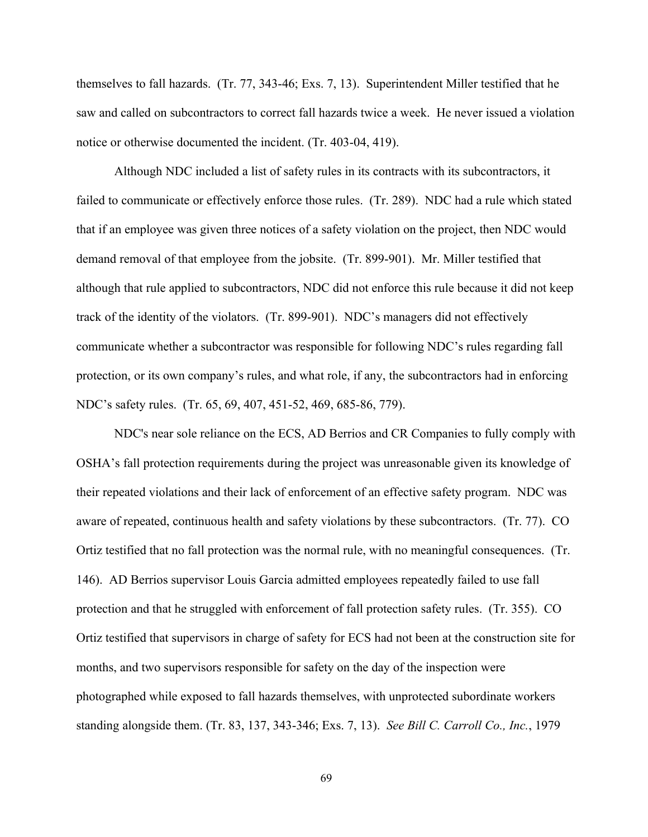themselves to fall hazards. (Tr. 77, 343-46; Exs. 7, 13). Superintendent Miller testified that he saw and called on subcontractors to correct fall hazards twice a week. He never issued a violation notice or otherwise documented the incident. (Tr. 403-04, 419).

Although NDC included a list of safety rules in its contracts with its subcontractors, it failed to communicate or effectively enforce those rules. (Tr. 289). NDC had a rule which stated that if an employee was given three notices of a safety violation on the project, then NDC would demand removal of that employee from the jobsite. (Tr. 899-901). Mr. Miller testified that although that rule applied to subcontractors, NDC did not enforce this rule because it did not keep track of the identity of the violators. (Tr. 899-901). NDC's managers did not effectively communicate whether a subcontractor was responsible for following NDC's rules regarding fall protection, or its own company's rules, and what role, if any, the subcontractors had in enforcing NDC's safety rules. (Tr. 65, 69, 407, 451-52, 469, 685-86, 779).

NDC's near sole reliance on the ECS, AD Berrios and CR Companies to fully comply with OSHA's fall protection requirements during the project was unreasonable given its knowledge of their repeated violations and their lack of enforcement of an effective safety program. NDC was aware of repeated, continuous health and safety violations by these subcontractors. (Tr. 77). CO Ortiz testified that no fall protection was the normal rule, with no meaningful consequences. (Tr. 146). AD Berrios supervisor Louis Garcia admitted employees repeatedly failed to use fall protection and that he struggled with enforcement of fall protection safety rules. (Tr. 355). CO Ortiz testified that supervisors in charge of safety for ECS had not been at the construction site for months, and two supervisors responsible for safety on the day of the inspection were photographed while exposed to fall hazards themselves, with unprotected subordinate workers standing alongside them. (Tr. 83, 137, 343-346; Exs. 7, 13). *See Bill C. Carroll Co., Inc.*, 1979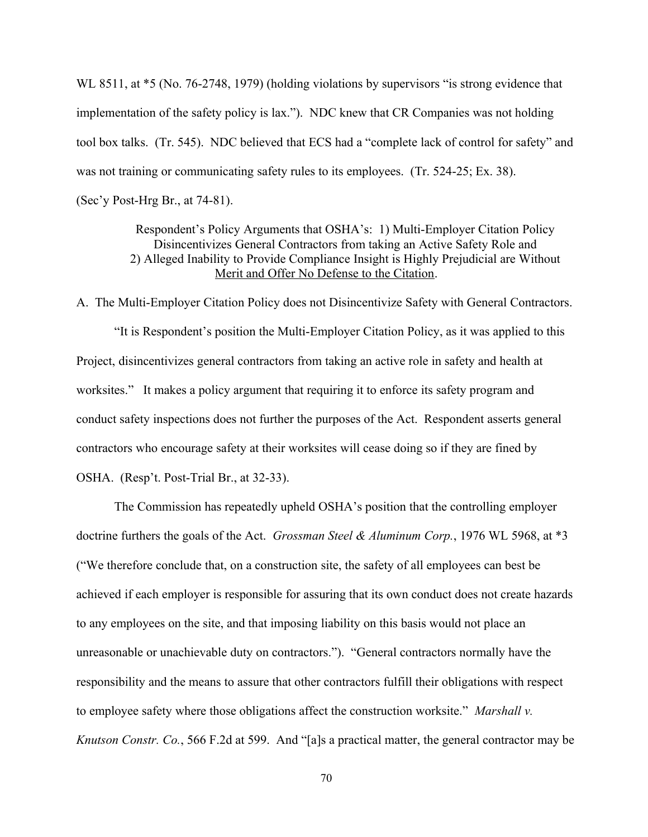WL 8511, at  $*5$  (No. 76-2748, 1979) (holding violations by supervisors "is strong evidence that implementation of the safety policy is lax."). NDC knew that CR Companies was not holding tool box talks. (Tr. 545). NDC believed that ECS had a "complete lack of control for safety" and was not training or communicating safety rules to its employees. (Tr. 524-25; Ex. 38). (Sec'y Post-Hrg Br., at 74-81).

> Respondent's Policy Arguments that OSHA's: 1) Multi-Employer Citation Policy Disincentivizes General Contractors from taking an Active Safety Role and 2) Alleged Inability to Provide Compliance Insight is Highly Prejudicial are Without Merit and Offer No Defense to the Citation.

A. The Multi-Employer Citation Policy does not Disincentivize Safety with General Contractors.

"It is Respondent's position the Multi-Employer Citation Policy, as it was applied to this Project, disincentivizes general contractors from taking an active role in safety and health at worksites." It makes a policy argument that requiring it to enforce its safety program and conduct safety inspections does not further the purposes of the Act. Respondent asserts general contractors who encourage safety at their worksites will cease doing so if they are fined by OSHA. (Resp't. Post-Trial Br., at 32-33).

 unreasonable or unachievable duty on contractors."). "General contractors normally have the to employee safety where those obligations affect the construction worksite." *Marshall v.* The Commission has repeatedly upheld OSHA's position that the controlling employer doctrine furthers the goals of the Act. *Grossman Steel & Aluminum Corp.*, 1976 WL 5968, at \*3 ("We therefore conclude that, on a construction site, the safety of all employees can best be achieved if each employer is responsible for assuring that its own conduct does not create hazards to any employees on the site, and that imposing liability on this basis would not place an responsibility and the means to assure that other contractors fulfill their obligations with respect *Knutson Constr. Co.*, 566 F.2d at 599. And "[a]s a practical matter, the general contractor may be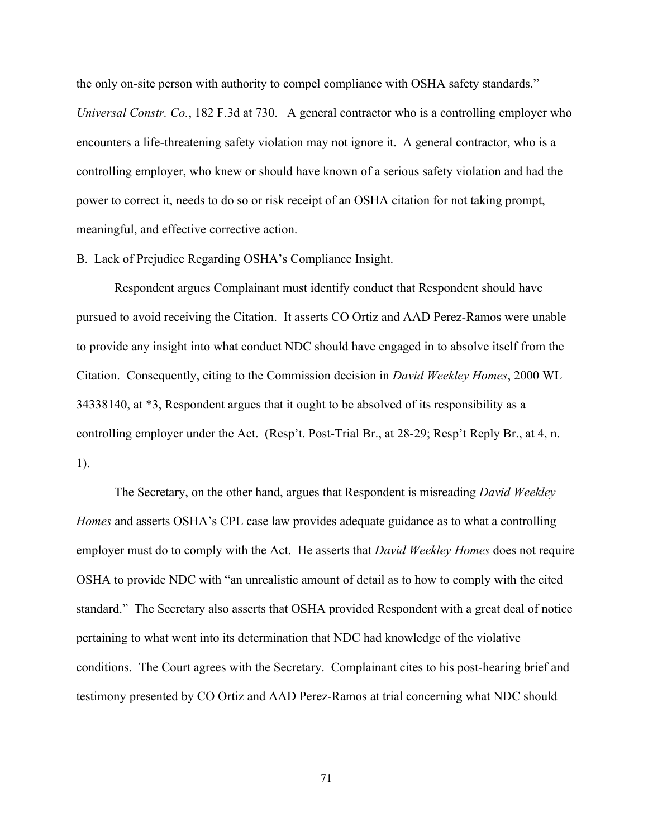the only on-site person with authority to compel compliance with OSHA safety standards." meaningful, and effective corrective action. *Universal Constr. Co.*, 182 F.3d at 730. A general contractor who is a controlling employer who encounters a life-threatening safety violation may not ignore it. A general contractor, who is a controlling employer, who knew or should have known of a serious safety violation and had the power to correct it, needs to do so or risk receipt of an OSHA citation for not taking prompt,

B. Lack of Prejudice Regarding OSHA's Compliance Insight.

Respondent argues Complainant must identify conduct that Respondent should have pursued to avoid receiving the Citation. It asserts CO Ortiz and AAD Perez-Ramos were unable to provide any insight into what conduct NDC should have engaged in to absolve itself from the Citation. Consequently, citing to the Commission decision in *David Weekley Homes*, 2000 WL 34338140, at \*3, Respondent argues that it ought to be absolved of its responsibility as a controlling employer under the Act. (Resp't. Post-Trial Br., at 28-29; Resp't Reply Br., at 4, n. 1).

The Secretary, on the other hand, argues that Respondent is misreading *David Weekley Homes* and asserts OSHA's CPL case law provides adequate guidance as to what a controlling employer must do to comply with the Act. He asserts that *David Weekley Homes* does not require OSHA to provide NDC with "an unrealistic amount of detail as to how to comply with the cited standard." The Secretary also asserts that OSHA provided Respondent with a great deal of notice pertaining to what went into its determination that NDC had knowledge of the violative conditions. The Court agrees with the Secretary. Complainant cites to his post-hearing brief and testimony presented by CO Ortiz and AAD Perez-Ramos at trial concerning what NDC should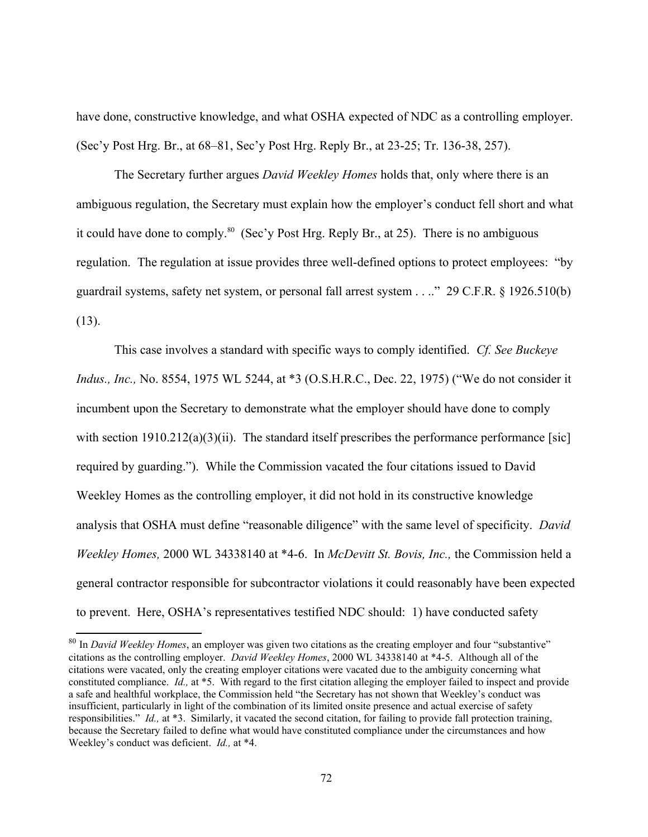have done, constructive knowledge, and what OSHA expected of NDC as a controlling employer. (Sec'y Post Hrg. Br., at 68–81, Sec'y Post Hrg. Reply Br., at 23-25; Tr. 136-38, 257).

 guardrail systems, safety net system, or personal fall arrest system . . .." 29 C.F.R. § 1926.510(b) The Secretary further argues *David Weekley Homes* holds that, only where there is an ambiguous regulation, the Secretary must explain how the employer's conduct fell short and what it could have done to comply.<sup>80</sup> (Sec'y Post Hrg. Reply Br., at 25). There is no ambiguous regulation. The regulation at issue provides three well-defined options to protect employees: "by (13).

 This case involves a standard with specific ways to comply identified. *Cf. See Buckeye*  analysis that OSHA must define "reasonable diligence" with the same level of specificity. *David Indus., Inc.,* No. 8554, 1975 WL 5244, at \*3 (O.S.H.R.C., Dec. 22, 1975) ("We do not consider it incumbent upon the Secretary to demonstrate what the employer should have done to comply with section  $1910.212(a)(3)(ii)$ . The standard itself prescribes the performance performance [sic] required by guarding."). While the Commission vacated the four citations issued to David Weekley Homes as the controlling employer, it did not hold in its constructive knowledge *Weekley Homes,* 2000 WL 34338140 at \*4-6. In *McDevitt St. Bovis, Inc.,* the Commission held a general contractor responsible for subcontractor violations it could reasonably have been expected to prevent. Here, OSHA's representatives testified NDC should: 1) have conducted safety

<span id="page-71-0"></span>citations as the controlling employer. *David Weekley Homes*, 2000 WL 34338140 at \*4-5. Although all of the constituted compliance. *Id.,* at \*5. With regard to the first citation alleging the employer failed to inspect and provide responsibilities." *Id.,* at \*3. Similarly, it vacated the second citation, for failing to provide fall protection training, Weekley's conduct was deficient. *Id.,* at \*4. <sup>80</sup> In *David Weekley Homes*, an employer was given two citations as the creating employer and four "substantive" citations were vacated, only the creating employer citations were vacated due to the ambiguity concerning what a safe and healthful workplace, the Commission held "the Secretary has not shown that Weekley's conduct was insufficient, particularly in light of the combination of its limited onsite presence and actual exercise of safety because the Secretary failed to define what would have constituted compliance under the circumstances and how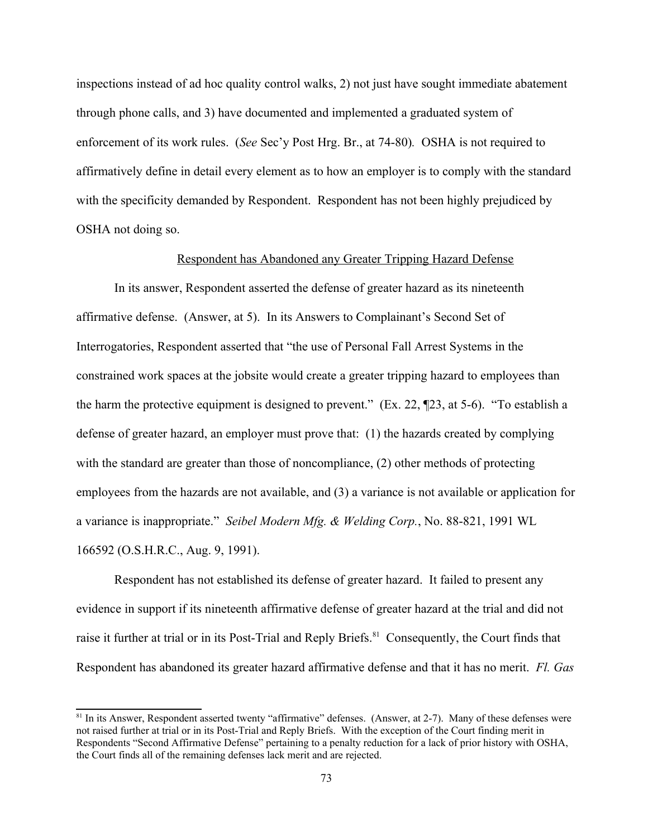inspections instead of ad hoc quality control walks, 2) not just have sought immediate abatement through phone calls, and 3) have documented and implemented a graduated system of enforcement of its work rules. (*See* Sec'y Post Hrg. Br., at 74-80)*.* OSHA is not required to affirmatively define in detail every element as to how an employer is to comply with the standard with the specificity demanded by Respondent. Respondent has not been highly prejudiced by OSHA not doing so.

## Respondent has Abandoned any Greater Tripping Hazard Defense

 a variance is inappropriate." *Seibel Modern Mfg. & Welding Corp.*, No. 88-821, 1991 WL In its answer, Respondent asserted the defense of greater hazard as its nineteenth affirmative defense. (Answer, at 5). In its Answers to Complainant's Second Set of Interrogatories, Respondent asserted that "the use of Personal Fall Arrest Systems in the constrained work spaces at the jobsite would create a greater tripping hazard to employees than the harm the protective equipment is designed to prevent." (Ex. 22, ¶23, at 5-6). "To establish a defense of greater hazard, an employer must prove that: (1) the hazards created by complying with the standard are greater than those of noncompliance, (2) other methods of protecting employees from the hazards are not available, and (3) a variance is not available or application for 166592 (O.S.H.R.C., Aug. 9, 1991).

Respondent has abandoned its greater hazard affirmative defense and that it has no merit. *Fl. Gas* Respondent has not established its defense of greater hazard. It failed to present any evidence in support if its nineteenth affirmative defense of greater hazard at the trial and did not raise it further at trial or in its Post-Trial and Reply Briefs.<sup>[81](#page-72-0)</sup> Consequently, the Court finds that

<span id="page-72-0"></span><sup>&</sup>lt;sup>81</sup> In its Answer, Respondent asserted twenty "affirmative" defenses. (Answer, at 2-7). Many of these defenses were not raised further at trial or in its Post-Trial and Reply Briefs. With the exception of the Court finding merit in Respondents "Second Affirmative Defense" pertaining to a penalty reduction for a lack of prior history with OSHA, the Court finds all of the remaining defenses lack merit and are rejected.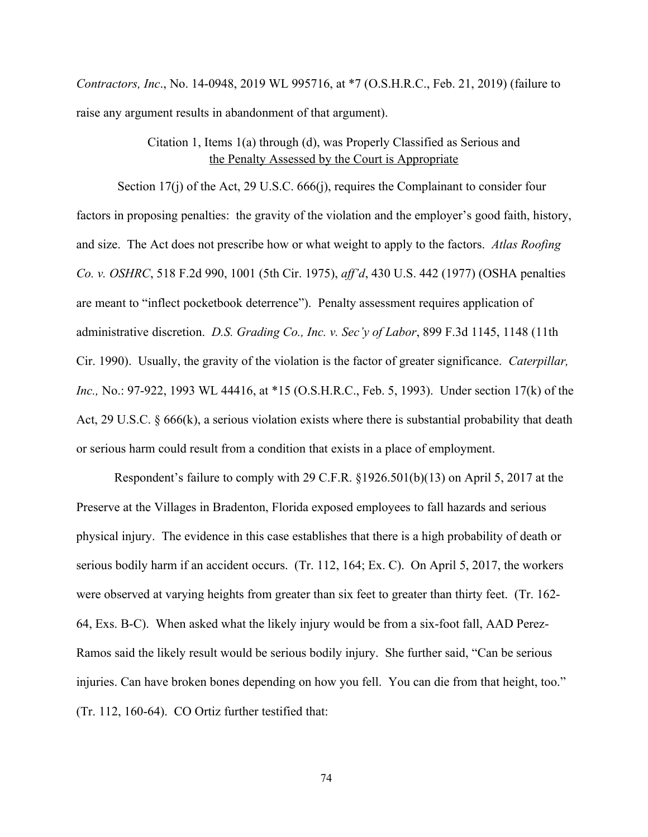*Contractors, Inc.*, No. 14-0948, 2019 WL 995716, at \*7 (O.S.H.R.C., Feb. 21, 2019) (failure to raise any argument results in abandonment of that argument).

# Citation 1, Items 1(a) through (d), was Properly Classified as Serious and the Penalty Assessed by the Court is Appropriate

and size. The Act does not prescribe how or what weight to apply to the factors. Atlas Roofing administrative discretion. *D.S. Grading Co., Inc. v. Sec'y of Labor*, 899 F.3d 1145, 1148 (11th Cir. 1990). Usually, the gravity of the violation is the factor of greater significance. *Caterpillar*, or serious harm could result from a condition that exists in a place of employment. Section 17(j) of the Act, 29 U.S.C. 666(j), requires the Complainant to consider four factors in proposing penalties: the gravity of the violation and the employer's good faith, history, *Co. v. OSHRC*, 518 F.2d 990, 1001 (5th Cir. 1975), *ff'd*, 430 U.S. 442 (1977) (OSHA penalties are meant to "inflect pocketbook deterrence"). Penalty assessment requires application of *Inc.,* No.: 97-922, 1993 WL 44416, at \*15 (O.S.H.R.C., Feb. 5, 1993). Under section 17(k) of the Act, 29 U.S.C. § 666(k), a serious violation exists where there is substantial probability that death

 injuries. Can have broken bones depending on how you fell. You can die from that height, too." (Tr. 112, 160-64). CO Ortiz further testified that: Respondent's failure to comply with 29 C.F.R.  $\S 1926.501(b)(13)$  on April 5, 2017 at the Preserve at the Villages in Bradenton, Florida exposed employees to fall hazards and serious physical injury. The evidence in this case establishes that there is a high probability of death or serious bodily harm if an accident occurs. (Tr. 112, 164; Ex. C). On April 5, 2017, the workers were observed at varying heights from greater than six feet to greater than thirty feet. (Tr. 162- 64, Exs. B-C). When asked what the likely injury would be from a six-foot fall, AAD Perez-Ramos said the likely result would be serious bodily injury. She further said, "Can be serious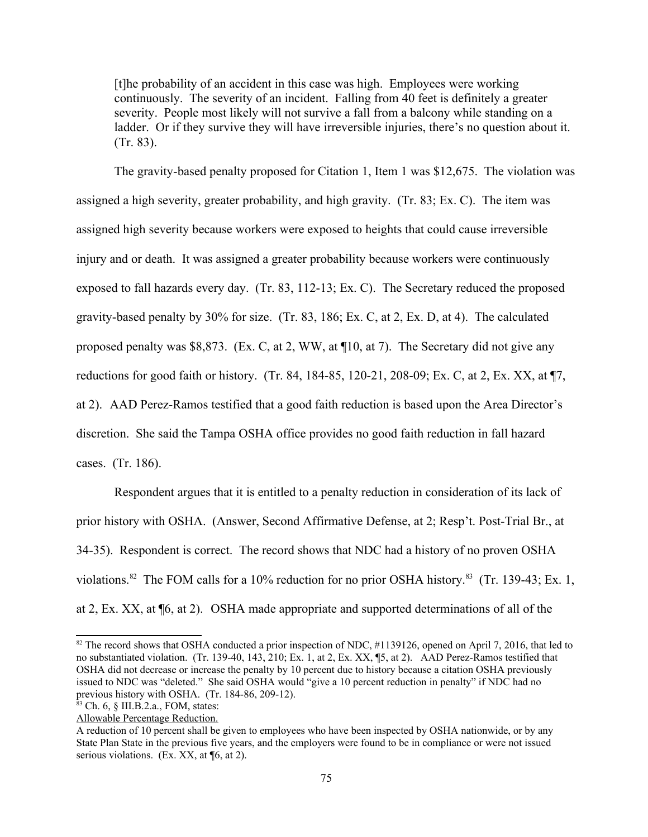[t]he probability of an accident in this case was high. Employees were working continuously. The severity of an incident. Falling from 40 feet is definitely a greater severity. People most likely will not survive a fall from a balcony while standing on a ladder. Or if they survive they will have irreversible injuries, there's no question about it. (Tr. 83).

 at 2). AAD Perez-Ramos testified that a good faith reduction is based upon the Area Director's The gravity-based penalty proposed for Citation 1, Item 1 was \$12,675. The violation was assigned a high severity, greater probability, and high gravity. (Tr. 83; Ex. C). The item was assigned high severity because workers were exposed to heights that could cause irreversible injury and or death. It was assigned a greater probability because workers were continuously exposed to fall hazards every day. (Tr. 83, 112-13; Ex. C). The Secretary reduced the proposed gravity-based penalty by 30% for size. (Tr. 83, 186; Ex. C, at 2, Ex. D, at 4). The calculated proposed penalty was \$8,873. (Ex. C, at 2, WW, at ¶10, at 7). The Secretary did not give any reductions for good faith or history. (Tr. 84, 184-85, 120-21, 208-09; Ex. C, at 2, Ex. XX, at ¶7, discretion. She said the Tampa OSHA office provides no good faith reduction in fall hazard cases. (Tr. 186).

 at 2, Ex. XX, at ¶6, at 2). OSHA made appropriate and supported determinations of all of the Respondent argues that it is entitled to a penalty reduction in consideration of its lack of prior history with OSHA. (Answer, Second Affirmative Defense, at 2; Resp't. Post-Trial Br., at 34-35). Respondent is correct. The record shows that NDC had a history of no proven OSHA violations.<sup>82</sup> The FOM calls for a 10% reduction for no prior OSHA history.<sup>[83](#page-74-1)</sup> (Tr. 139-43; Ex. 1,

<span id="page-74-0"></span><sup>&</sup>lt;sup>82</sup> The record shows that OSHA conducted a prior inspection of NDC, #1139126, opened on April 7, 2016, that led to no substantiated violation. (Tr. 139-40, 143, 210; Ex. 1, at 2, Ex. XX, ¶5, at 2). AAD Perez-Ramos testified that OSHA did not decrease or increase the penalty by 10 percent due to history because a citation OSHA previously issued to NDC was "deleted." She said OSHA would "give a 10 percent reduction in penalty" if NDC had no previous history with OSHA. (Tr. 184-86, 209-12).

<span id="page-74-1"></span><sup>83</sup> Ch. 6, § III.B.2.a., FOM, states:

Allowable Percentage Reduction.

A reduction of 10 percent shall be given to employees who have been inspected by OSHA nationwide, or by any State Plan State in the previous five years, and the employers were found to be in compliance or were not issued serious violations. (Ex. XX, at ¶6, at 2).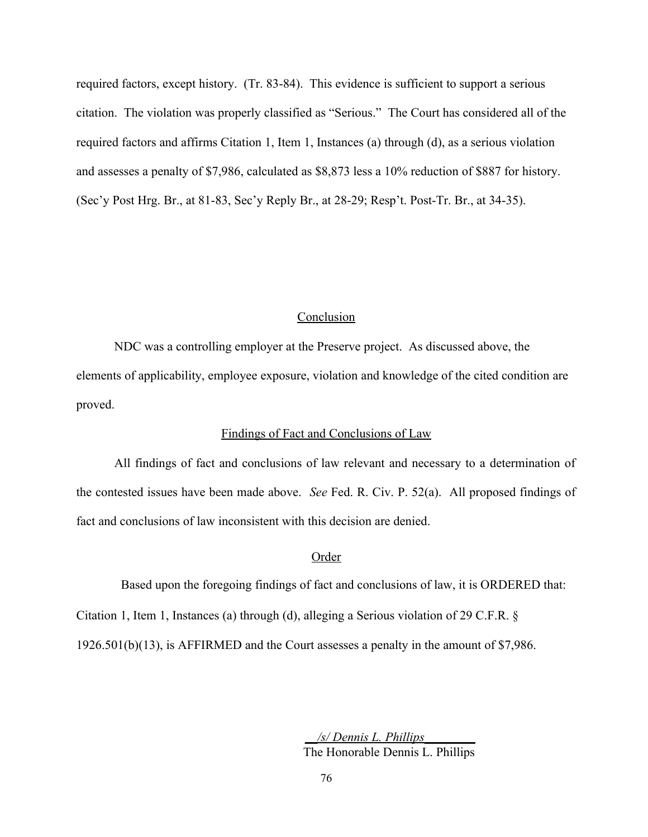required factors, except history. (Tr. 83-84). This evidence is sufficient to support a serious citation. The violation was properly classified as "Serious." The Court has considered all of the required factors and affirms Citation 1, Item 1, Instances (a) through (d), as a serious violation and assesses a penalty of \$7,986, calculated as \$8,873 less a 10% reduction of \$887 for history. (Sec'y Post Hrg. Br., at 81-83, Sec'y Reply Br., at 28-29; Resp't. Post-Tr. Br., at 34-35).

#### Conclusion

proved. NDC was a controlling employer at the Preserve project. As discussed above, the elements of applicability, employee exposure, violation and knowledge of the cited condition are

## Findings of Fact and Conclusions of Law

 All findings of fact and conclusions of law relevant and necessary to a determination of the contested issues have been made above. *See* Fed. R. Civ. P. 52(a). All proposed findings of fact and conclusions of law inconsistent with this decision are denied.

## **Order**

Based upon the foregoing findings of fact and conclusions of law, it is ORDERED that:

Citation 1, Item 1, Instances (a) through (d), alleging a Serious violation of 29 C.F.R. §

1926.501(b)(13), is AFFIRMED and the Court assesses a penalty in the amount of \$7,986.

*\_\_/s/ Dennis L. Phillips\_\_\_\_\_\_\_\_* The Honorable Dennis L. Phillips